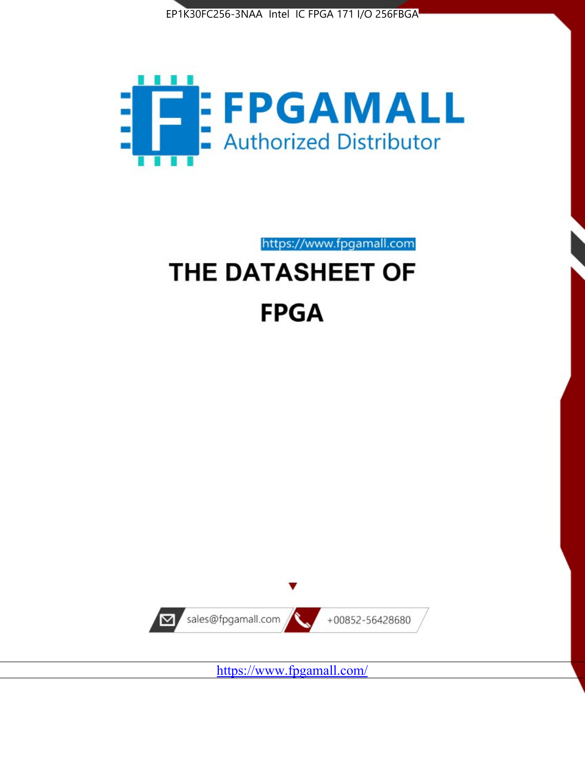



https://www.fpgamall.com

# THE DATASHEET OF **FPGA**



<https://www.fpgamall.com/>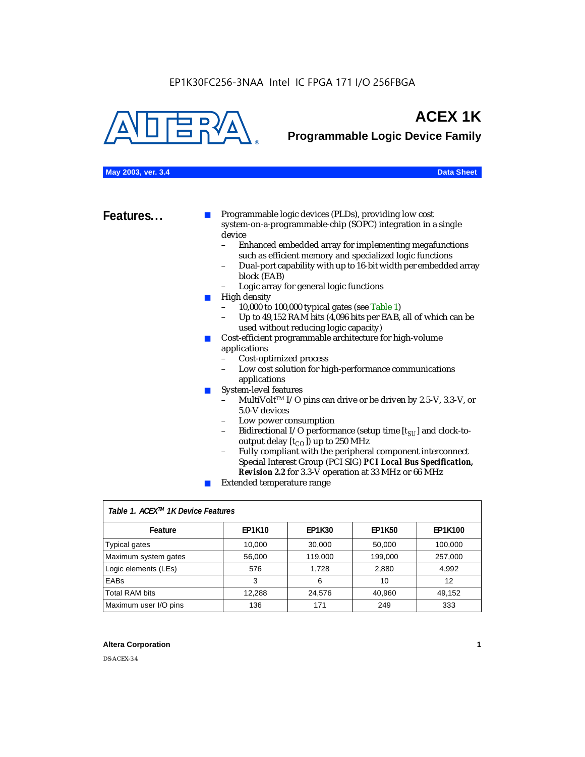

## **ACEX 1K**

**Programmable Logic Device Family**

## **May 2003, ver. 3.4 Data Sheet**

**Features...** ■ Programmable logic devices (PLDs), providing low cost system-on-a-programmable-chip (SOPC) integration in a single device

- Enhanced embedded array for implementing megafunctions such as efficient memory and specialized logic functions
- Dual-port capability with up to 16-bit width per embedded array block (EAB)
- Logic array for general logic functions
- High density
	- 10,000 to 100,000 typical gates (see Table 1)
	- Up to 49,152 RAM bits (4,096 bits per EAB, all of which can be used without reducing logic capacity)
- Cost-efficient programmable architecture for high-volume applications
	- Cost-optimized process
	- Low cost solution for high-performance communications applications
- System-level features
	- MultiVolt<sup>™</sup> I/O pins can drive or be driven by 2.5-V, 3.3-V, or 5.0-V devices
	- Low power consumption
	- Bidirectional I/O performance (setup time [ $t_{SU}$ ] and clock-tooutput delay  $[t_{CO}]$ ) up to 250 MHz
	- Fully compliant with the peripheral component interconnect Special Interest Group (PCI SIG) *PCI Local Bus Specification, Revision 2.2* for 3.3-V operation at 33 MHz or 66 MHz
	- Extended temperature range

| Table 1. ACEX™ 1K Device Features |               |               |               |                |  |  |  |
|-----------------------------------|---------------|---------------|---------------|----------------|--|--|--|
| Feature                           | <b>EP1K10</b> | <b>EP1K30</b> | <b>EP1K50</b> | <b>EP1K100</b> |  |  |  |
| <b>Typical gates</b>              | 10,000        | 30,000        | 50,000        | 100,000        |  |  |  |
| Maximum system gates              | 56,000        | 119,000       | 199,000       | 257,000        |  |  |  |
| Logic elements (LEs)              | 576           | 1.728         | 2,880         | 4,992          |  |  |  |
| <b>EABs</b>                       | 3             | 6             | 10            | 12             |  |  |  |
| <b>Total RAM bits</b>             | 12,288        | 24,576        | 40.960        | 49.152         |  |  |  |
| Maximum user I/O pins             | 136           | 171           | 249           | 333            |  |  |  |

## **Altera Corporation 1**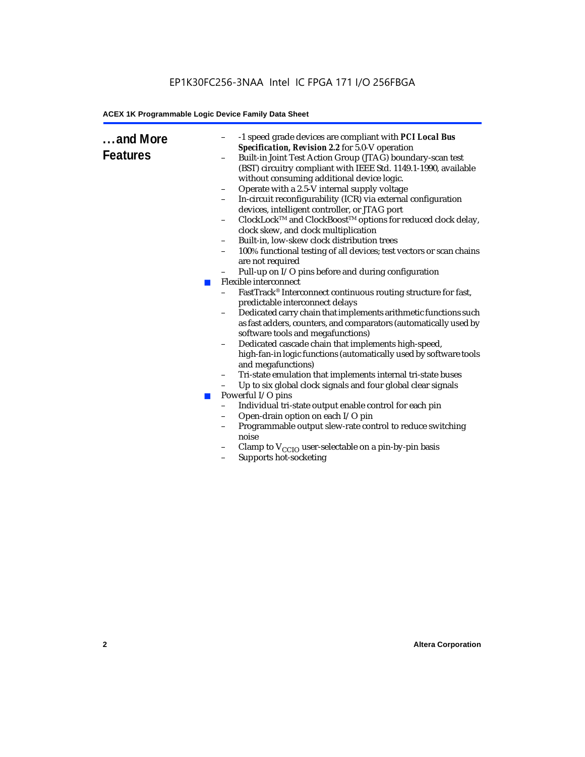## EP1K30FC256-3NAA Intel IC FPGA 171 I/O 256FBGA

## **ACEX 1K Programmable Logic Device Family Data Sheet**

| and More<br><b>Features</b> | <b>College</b><br>ш | -1 speed grade devices are compliant with PCI Local Bus<br>-<br>Specification, Revision 2.2 for 5.0-V operation<br>Built-in Joint Test Action Group (JTAG) boundary-scan test<br>(BST) circuitry compliant with IEEE Std. 1149.1-1990, available<br>without consuming additional device logic.<br>Operate with a 2.5-V internal supply voltage<br>$\qquad \qquad -$<br>In-circuit reconfigurability (ICR) via external configuration<br>devices, intelligent controller, or JTAG port<br>ClockLock™ and ClockBoost™ options for reduced clock delay,<br>clock skew, and clock multiplication<br>Built-in, low-skew clock distribution trees<br>$\qquad \qquad -$<br>100% functional testing of all devices; test vectors or scan chains<br>$\overline{\phantom{a}}$<br>are not required<br>Pull-up on I/O pins before and during configuration<br>Flexible interconnect<br>FastTrack® Interconnect continuous routing structure for fast,<br>predictable interconnect delays<br>Dedicated carry chain that implements arithmetic functions such<br>-<br>as fast adders, counters, and comparators (automatically used by<br>software tools and megafunctions)<br>Dedicated cascade chain that implements high-speed,<br>high-fan-in logic functions (automatically used by software tools<br>and megafunctions)<br>Tri-state emulation that implements internal tri-state buses<br>-<br>Up to six global clock signals and four global clear signals<br>$\qquad \qquad -$<br>Powerful I/O pins<br>Individual tri-state output enable control for each pin<br>$\qquad \qquad -$<br>Open-drain option on each I/O pin<br>$\qquad \qquad -$<br>Programmable output slew-rate control to reduce switching<br>$\qquad \qquad -$<br>noise<br>Clamp to $V_{\text{CCIO}}$ user-selectable on a pin-by-pin basis<br>-<br>Supports hot-socketing |
|-----------------------------|---------------------|----------------------------------------------------------------------------------------------------------------------------------------------------------------------------------------------------------------------------------------------------------------------------------------------------------------------------------------------------------------------------------------------------------------------------------------------------------------------------------------------------------------------------------------------------------------------------------------------------------------------------------------------------------------------------------------------------------------------------------------------------------------------------------------------------------------------------------------------------------------------------------------------------------------------------------------------------------------------------------------------------------------------------------------------------------------------------------------------------------------------------------------------------------------------------------------------------------------------------------------------------------------------------------------------------------------------------------------------------------------------------------------------------------------------------------------------------------------------------------------------------------------------------------------------------------------------------------------------------------------------------------------------------------------------------------------------------------------------------------------------------------------------------------------------------------------------------------------|
|                             |                     |                                                                                                                                                                                                                                                                                                                                                                                                                                                                                                                                                                                                                                                                                                                                                                                                                                                                                                                                                                                                                                                                                                                                                                                                                                                                                                                                                                                                                                                                                                                                                                                                                                                                                                                                                                                                                                        |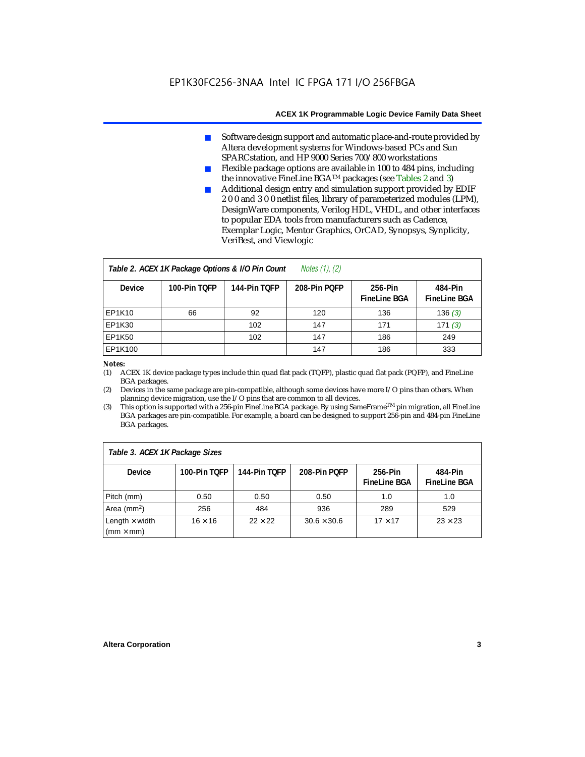- Software design support and automatic place-and-route provided by Altera development systems for Windows-based PCs and Sun SPARCstation, and HP 9000 Series 700/800 workstations
- Flexible package options are available in 100 to 484 pins, including the innovative FineLine BGATM packages (see Tables 2 and 3)
- Additional design entry and simulation support provided by EDIF 2 0 0 and 3 0 0 netlist files, library of parameterized modules (LPM), DesignWare components, Verilog HDL, VHDL, and other interfaces to popular EDA tools from manufacturers such as Cadence, Exemplar Logic, Mentor Graphics, OrCAD, Synopsys, Synplicity, VeriBest, and Viewlogic

| <i>Notes <math>(1)</math>, <math>(2)</math></i><br>Table 2. ACEX 1K Package Options & I/O Pin Count |              |              |              |                                |                                |  |  |
|-----------------------------------------------------------------------------------------------------|--------------|--------------|--------------|--------------------------------|--------------------------------|--|--|
| <b>Device</b>                                                                                       | 100-Pin TOFP | 144-Pin TOFP | 208-Pin POFP | 256-Pin<br><b>FineLine BGA</b> | 484-Pin<br><b>FineLine BGA</b> |  |  |
| EP1K10                                                                                              | 66           | 92           | 120          | 136                            | 136(3)                         |  |  |
| <b>EP1K30</b>                                                                                       |              | 102          | 147          | 171                            | 171(3)                         |  |  |
| <b>EP1K50</b>                                                                                       |              | 102          | 147          | 186                            | 249                            |  |  |
| EP1K100                                                                                             |              |              | 147          | 186                            | 333                            |  |  |

### *Notes:*

(1) ACEX 1K device package types include thin quad flat pack (TQFP), plastic quad flat pack (PQFP), and FineLine BGA packages.

(2) Devices in the same package are pin-compatible, although some devices have more I/O pins than others. When planning device migration, use the I/O pins that are common to all devices.

(3) This option is supported with a 256-pin FineLine BGA package. By using SameFrameTM pin migration, all FineLine BGA packages are pin-compatible. For example, a board can be designed to support 256-pin and 484-pin FineLine BGA packages.

| Table 3. ACEX 1K Package Sizes            |                |                |                    |                                |                                |  |
|-------------------------------------------|----------------|----------------|--------------------|--------------------------------|--------------------------------|--|
| <b>Device</b>                             | 100-Pin TOFP   | 144-Pin TOFP   | 208-Pin POFP       | 256-Pin<br><b>FineLine BGA</b> | 484-Pin<br><b>FineLine BGA</b> |  |
| Pitch (mm)                                | 0.50           | 0.50           | 0.50               | 1.0                            | 1.0                            |  |
| Area ( $mm2$ )                            | 256            | 484            | 936                | 289                            | 529                            |  |
| Length $\times$ width<br>$(mm \times mm)$ | $16 \times 16$ | $22 \times 22$ | $30.6 \times 30.6$ | $17 \times 17$                 | $23 \times 23$                 |  |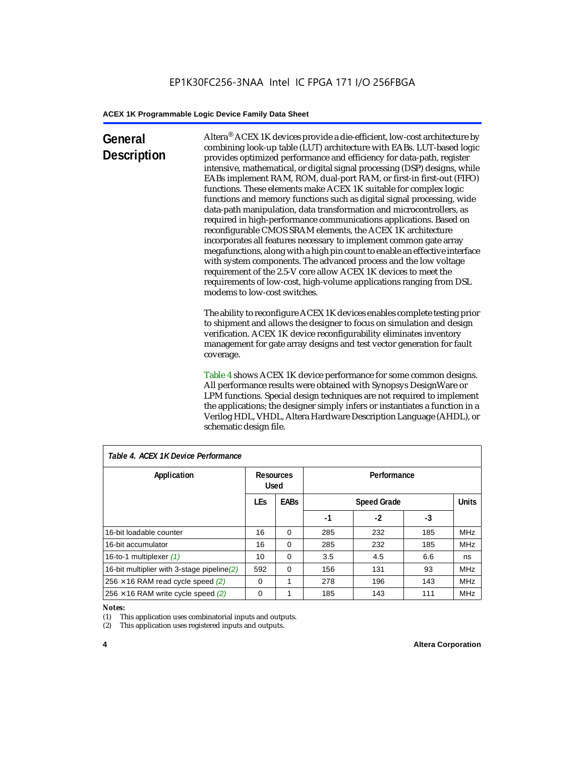## **General Description**

Altera® ACEX 1K devices provide a die-efficient, low-cost architecture by combining look-up table (LUT) architecture with EABs. LUT-based logic provides optimized performance and efficiency for data-path, register intensive, mathematical, or digital signal processing (DSP) designs, while EABs implement RAM, ROM, dual-port RAM, or first-in first-out (FIFO) functions. These elements make ACEX 1K suitable for complex logic functions and memory functions such as digital signal processing, wide data-path manipulation, data transformation and microcontrollers, as required in high-performance communications applications. Based on reconfigurable CMOS SRAM elements, the ACEX 1K architecture incorporates all features necessary to implement common gate array megafunctions, along with a high pin count to enable an effective interface with system components. The advanced process and the low voltage requirement of the 2.5-V core allow ACEX 1K devices to meet the requirements of low-cost, high-volume applications ranging from DSL modems to low-cost switches.

The ability to reconfigure ACEX 1K devices enables complete testing prior to shipment and allows the designer to focus on simulation and design verification. ACEX 1K device reconfigurability eliminates inventory management for gate array designs and test vector generation for fault coverage.

Table 4 shows ACEX 1K device performance for some common designs. All performance results were obtained with Synopsys DesignWare or LPM functions. Special design techniques are not required to implement the applications; the designer simply infers or instantiates a function in a Verilog HDL, VHDL, Altera Hardware Description Language (AHDL), or schematic design file.

| Table 4. ACEX 1K Device Performance        |                          |             |             |                    |     |              |  |
|--------------------------------------------|--------------------------|-------------|-------------|--------------------|-----|--------------|--|
| Application                                | Resources<br><b>Used</b> |             | Performance |                    |     |              |  |
|                                            | <b>LEs</b>               | <b>EABs</b> |             | <b>Speed Grade</b> |     | <b>Units</b> |  |
|                                            |                          |             | -1          | $-2$               | -3  |              |  |
| 16-bit loadable counter                    | 16                       | $\Omega$    | 285         | 232                | 185 | <b>MHz</b>   |  |
| 16-bit accumulator                         | 16                       | $\Omega$    | 285         | 232                | 185 | <b>MHz</b>   |  |
| 16-to-1 multiplexer (1)                    | 10                       | $\Omega$    | 3.5         | 4.5                | 6.6 | ns           |  |
| 16-bit multiplier with 3-stage pipeline(2) | 592                      | $\Omega$    | 156         | 131                | 93  | <b>MHz</b>   |  |
| $256 \times 16$ RAM read cycle speed (2)   | $\Omega$                 | 1           | 278         | 196                | 143 | <b>MHz</b>   |  |
| $256 \times 16$ RAM write cycle speed (2)  | $\Omega$                 |             | 185         | 143                | 111 | <b>MHz</b>   |  |

## *Table 4. ACEX 1K Device Performance*

#### *Notes:*

(1) This application uses combinatorial inputs and outputs.

(2) This application uses registered inputs and outputs.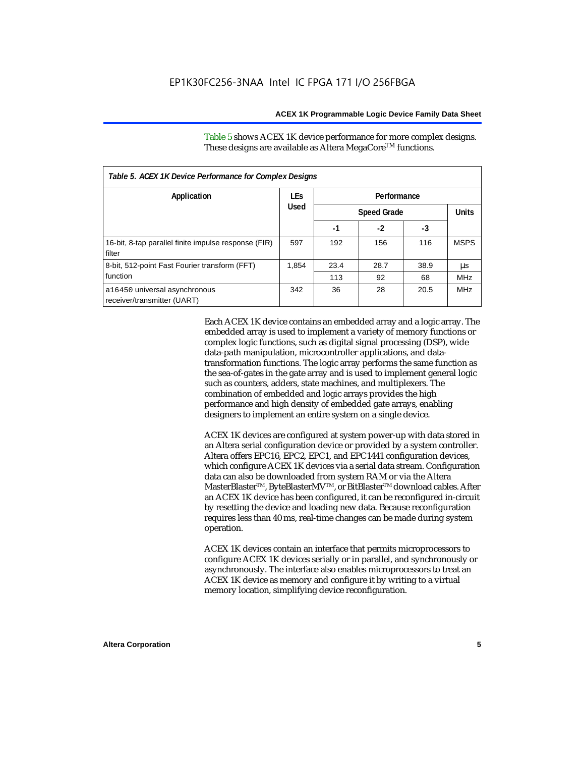Table 5 shows ACEX 1K device performance for more complex designs. These designs are available as Altera MegaCore<sup>TM</sup> functions.

| Table 5. ACEX 1K Device Performance for Complex Designs        |            |                    |      |      |              |  |
|----------------------------------------------------------------|------------|--------------------|------|------|--------------|--|
| Application                                                    | <b>LEs</b> | Performance        |      |      |              |  |
|                                                                | Used       | <b>Speed Grade</b> |      |      | <b>Units</b> |  |
|                                                                |            | -1                 | $-2$ | -3   |              |  |
| 16-bit, 8-tap parallel finite impulse response (FIR)<br>filter | 597        | 192                | 156  | 116  | <b>MSPS</b>  |  |
| 8-bit, 512-point Fast Fourier transform (FFT)                  | 1.854      | 23.4               | 28.7 | 38.9 | μs           |  |
| function                                                       |            | 113                | 92   | 68   | <b>MHz</b>   |  |
| a16450 universal asynchronous<br>receiver/transmitter (UART)   | 342        | 36                 | 28   | 20.5 | <b>MHz</b>   |  |

Each ACEX 1K device contains an embedded array and a logic array. The embedded array is used to implement a variety of memory functions or complex logic functions, such as digital signal processing (DSP), wide data-path manipulation, microcontroller applications, and datatransformation functions. The logic array performs the same function as the sea-of-gates in the gate array and is used to implement general logic such as counters, adders, state machines, and multiplexers. The combination of embedded and logic arrays provides the high performance and high density of embedded gate arrays, enabling designers to implement an entire system on a single device.

ACEX 1K devices are configured at system power-up with data stored in an Altera serial configuration device or provided by a system controller. Altera offers EPC16, EPC2, EPC1, and EPC1441 configuration devices, which configure ACEX 1K devices via a serial data stream. Configuration data can also be downloaded from system RAM or via the Altera MasterBlaster™, ByteBlasterMV™, or BitBlaster™ download cables. After an ACEX 1K device has been configured, it can be reconfigured in-circuit by resetting the device and loading new data. Because reconfiguration requires less than 40 ms, real-time changes can be made during system operation.

ACEX 1K devices contain an interface that permits microprocessors to configure ACEX 1K devices serially or in parallel, and synchronously or asynchronously. The interface also enables microprocessors to treat an ACEX 1K device as memory and configure it by writing to a virtual memory location, simplifying device reconfiguration.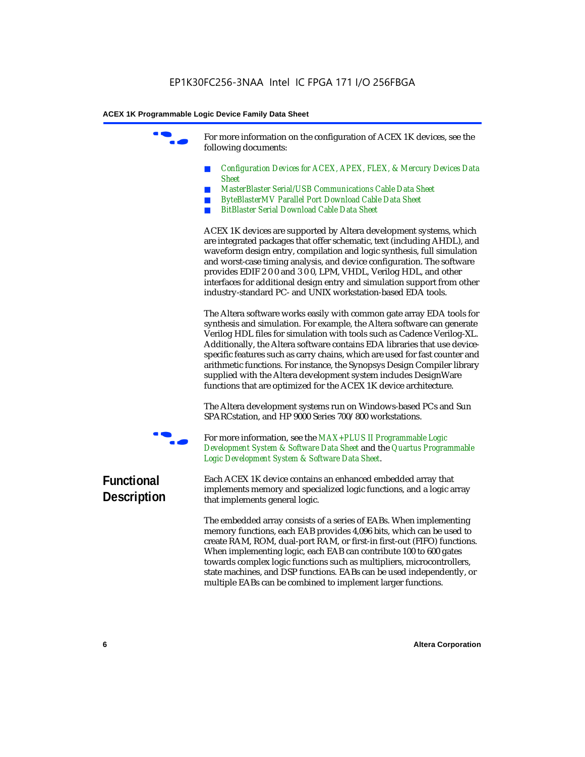For more information on the configuration of ACEX 1K devices, see the following documents:

- *Configuration Devices for ACEX, APEX, FLEX, & Mercury Devices Data Sheet*
- *MasterBlaster Serial/USB Communications Cable Data Sheet*
- *ByteBlasterMV Parallel Port Download Cable Data Sheet*
- *BitBlaster Serial Download Cable Data Sheet*

ACEX 1K devices are supported by Altera development systems, which are integrated packages that offer schematic, text (including AHDL), and waveform design entry, compilation and logic synthesis, full simulation and worst-case timing analysis, and device configuration. The software provides EDIF 2 0 0 and 3 0 0, LPM, VHDL, Verilog HDL, and other interfaces for additional design entry and simulation support from other industry-standard PC- and UNIX workstation-based EDA tools.

The Altera software works easily with common gate array EDA tools for synthesis and simulation. For example, the Altera software can generate Verilog HDL files for simulation with tools such as Cadence Verilog-XL. Additionally, the Altera software contains EDA libraries that use devicespecific features such as carry chains, which are used for fast counter and arithmetic functions. For instance, the Synopsys Design Compiler library supplied with the Altera development system includes DesignWare functions that are optimized for the ACEX 1K device architecture.

The Altera development systems run on Windows-based PCs and Sun SPARCstation, and HP 9000 Series 700/800 workstations.



For more information, see the *MAX+PLUS II Programmable Logic Development System & Software Data Sheet* and the *Quartus Programmable Logic Development System & Software Data Sheet*.

## **Functional Description**

Each ACEX 1K device contains an enhanced embedded array that implements memory and specialized logic functions, and a logic array that implements general logic.

The embedded array consists of a series of EABs. When implementing memory functions, each EAB provides 4,096 bits, which can be used to create RAM, ROM, dual-port RAM, or first-in first-out (FIFO) functions. When implementing logic, each EAB can contribute 100 to 600 gates towards complex logic functions such as multipliers, microcontrollers, state machines, and DSP functions. EABs can be used independently, or multiple EABs can be combined to implement larger functions.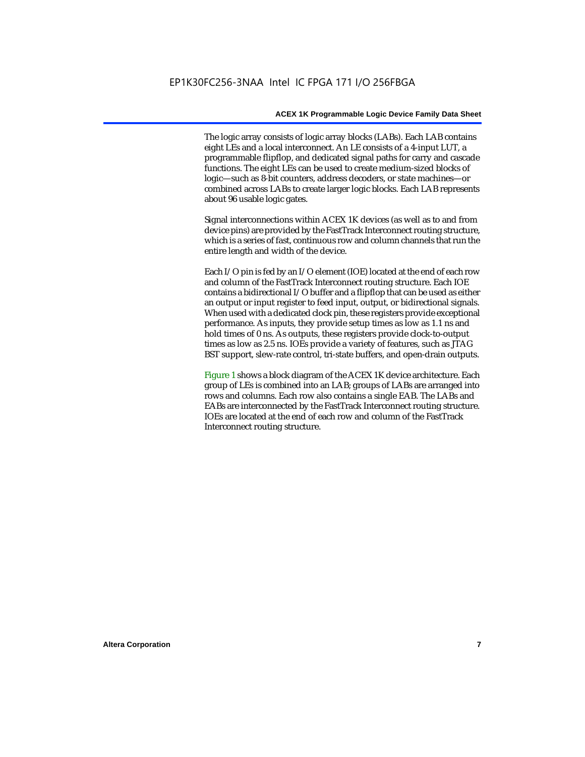The logic array consists of logic array blocks (LABs). Each LAB contains eight LEs and a local interconnect. An LE consists of a 4-input LUT, a programmable flipflop, and dedicated signal paths for carry and cascade functions. The eight LEs can be used to create medium-sized blocks of logic—such as 8-bit counters, address decoders, or state machines—or combined across LABs to create larger logic blocks. Each LAB represents about 96 usable logic gates.

Signal interconnections within ACEX 1K devices (as well as to and from device pins) are provided by the FastTrack Interconnect routing structure, which is a series of fast, continuous row and column channels that run the entire length and width of the device.

Each I/O pin is fed by an I/O element (IOE) located at the end of each row and column of the FastTrack Interconnect routing structure. Each IOE contains a bidirectional I/O buffer and a flipflop that can be used as either an output or input register to feed input, output, or bidirectional signals. When used with a dedicated clock pin, these registers provide exceptional performance. As inputs, they provide setup times as low as 1.1 ns and hold times of 0 ns. As outputs, these registers provide clock-to-output times as low as 2.5 ns. IOEs provide a variety of features, such as JTAG BST support, slew-rate control, tri-state buffers, and open-drain outputs.

Figure 1 shows a block diagram of the ACEX 1K device architecture. Each group of LEs is combined into an LAB; groups of LABs are arranged into rows and columns. Each row also contains a single EAB. The LABs and EABs are interconnected by the FastTrack Interconnect routing structure. IOEs are located at the end of each row and column of the FastTrack Interconnect routing structure.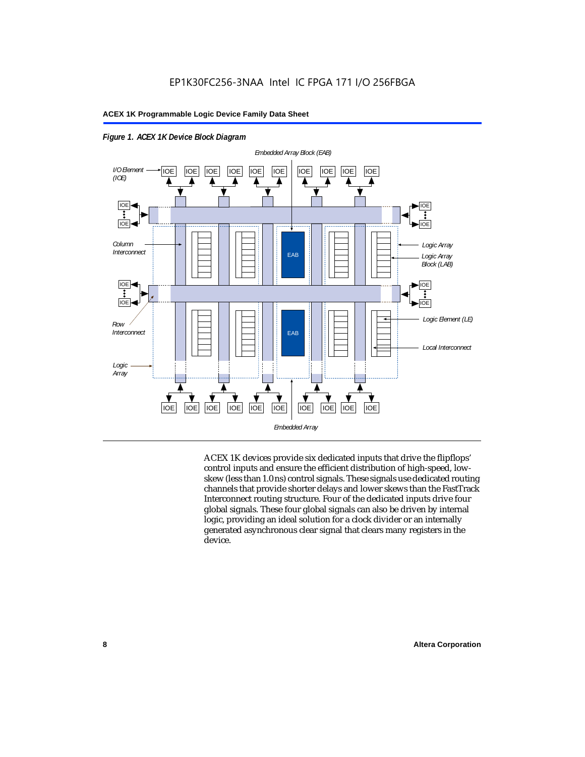

*Figure 1. ACEX 1K Device Block Diagram*

ACEX 1K devices provide six dedicated inputs that drive the flipflops' control inputs and ensure the efficient distribution of high-speed, lowskew (less than 1.0 ns) control signals. These signals use dedicated routing channels that provide shorter delays and lower skews than the FastTrack Interconnect routing structure. Four of the dedicated inputs drive four global signals. These four global signals can also be driven by internal logic, providing an ideal solution for a clock divider or an internally generated asynchronous clear signal that clears many registers in the device.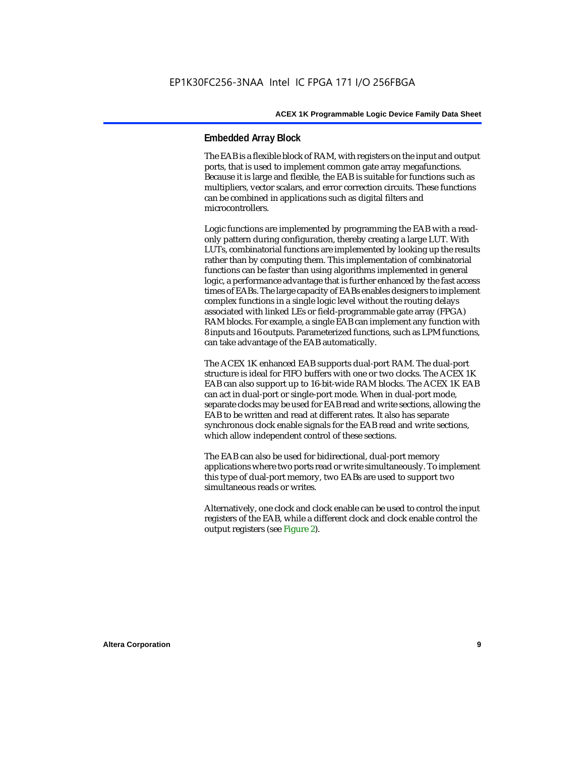## **Embedded Array Block**

The EAB is a flexible block of RAM, with registers on the input and output ports, that is used to implement common gate array megafunctions. Because it is large and flexible, the EAB is suitable for functions such as multipliers, vector scalars, and error correction circuits. These functions can be combined in applications such as digital filters and microcontrollers.

Logic functions are implemented by programming the EAB with a readonly pattern during configuration, thereby creating a large LUT. With LUTs, combinatorial functions are implemented by looking up the results rather than by computing them. This implementation of combinatorial functions can be faster than using algorithms implemented in general logic, a performance advantage that is further enhanced by the fast access times of EABs. The large capacity of EABs enables designers to implement complex functions in a single logic level without the routing delays associated with linked LEs or field-programmable gate array (FPGA) RAM blocks. For example, a single EAB can implement any function with 8 inputs and 16 outputs. Parameterized functions, such as LPM functions, can take advantage of the EAB automatically.

The ACEX 1K enhanced EAB supports dual-port RAM. The dual-port structure is ideal for FIFO buffers with one or two clocks. The ACEX 1K EAB can also support up to 16-bit-wide RAM blocks. The ACEX 1K EAB can act in dual-port or single-port mode. When in dual-port mode, separate clocks may be used for EAB read and write sections, allowing the EAB to be written and read at different rates. It also has separate synchronous clock enable signals for the EAB read and write sections, which allow independent control of these sections.

The EAB can also be used for bidirectional, dual-port memory applications where two ports read or write simultaneously. To implement this type of dual-port memory, two EABs are used to support two simultaneous reads or writes.

Alternatively, one clock and clock enable can be used to control the input registers of the EAB, while a different clock and clock enable control the output registers (see Figure 2).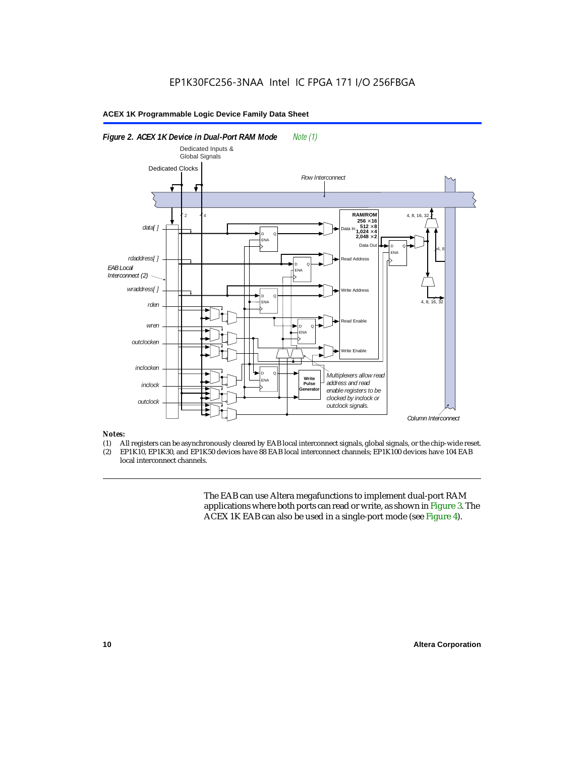

### *Notes:*

- (1) All registers can be asynchronously cleared by EAB local interconnect signals, global signals, or the chip-wide reset.<br>(2) EP1K10. EP1K30. and EP1K50 devices have 88 EAB local interconnect channels: EP1K100 devices hav
- EP1K10, EP1K30, and EP1K50 devices have 88 EAB local interconnect channels; EP1K100 devices have 104 EAB local interconnect channels.

The EAB can use Altera megafunctions to implement dual-port RAM applications where both ports can read or write, as shown in Figure 3. The ACEX 1K EAB can also be used in a single-port mode (see Figure 4).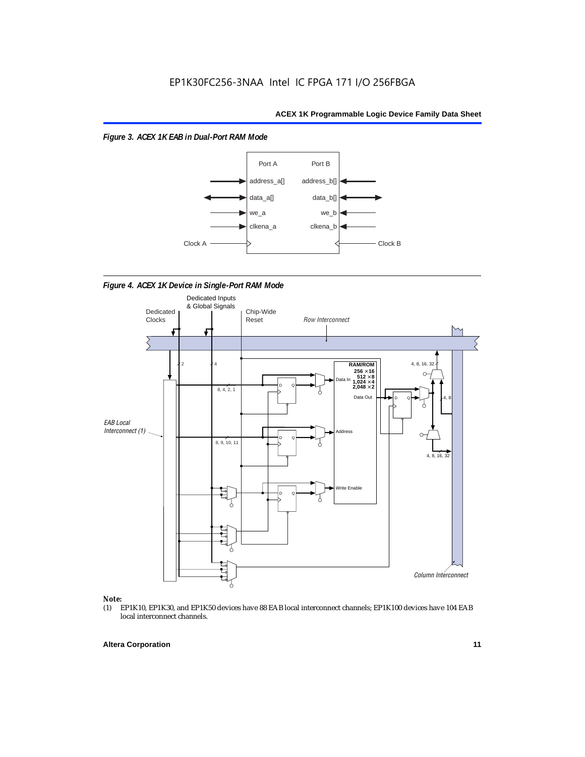*Figure 3. ACEX 1K EAB in Dual-Port RAM Mode*



*Figure 4. ACEX 1K Device in Single-Port RAM Mode* 



## *Note:*<br>(1) **H**

EP1K10, EP1K30, and EP1K50 devices have 88 EAB local interconnect channels; EP1K100 devices have 104 EAB local interconnect channels.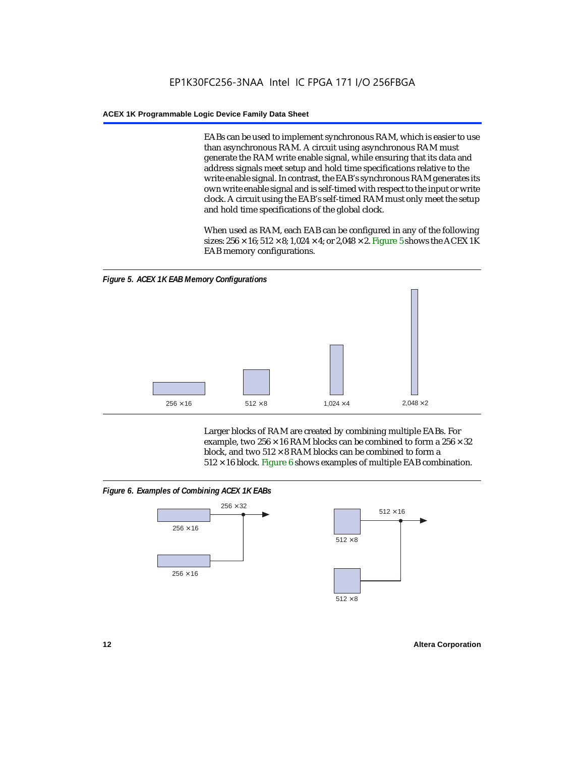EABs can be used to implement synchronous RAM, which is easier to use than asynchronous RAM. A circuit using asynchronous RAM must generate the RAM write enable signal, while ensuring that its data and address signals meet setup and hold time specifications relative to the write enable signal. In contrast, the EAB's synchronous RAM generates its own write enable signal and is self-timed with respect to the input or write clock. A circuit using the EAB's self-timed RAM must only meet the setup and hold time specifications of the global clock.

When used as RAM, each EAB can be configured in any of the following sizes:  $256 \times 16$ ;  $512 \times 8$ ;  $1,024 \times 4$ ; or  $2,048 \times 2$ . Figure 5 shows the ACEX 1K EAB memory configurations.



Larger blocks of RAM are created by combining multiple EABs. For example, two  $256 \times 16$  RAM blocks can be combined to form a  $256 \times 32$ block, and two  $512 \times 8$  RAM blocks can be combined to form a  $512 \times 16$  block. Figure 6 shows examples of multiple EAB combination.

## *Figure 6. Examples of Combining ACEX 1K EABs*



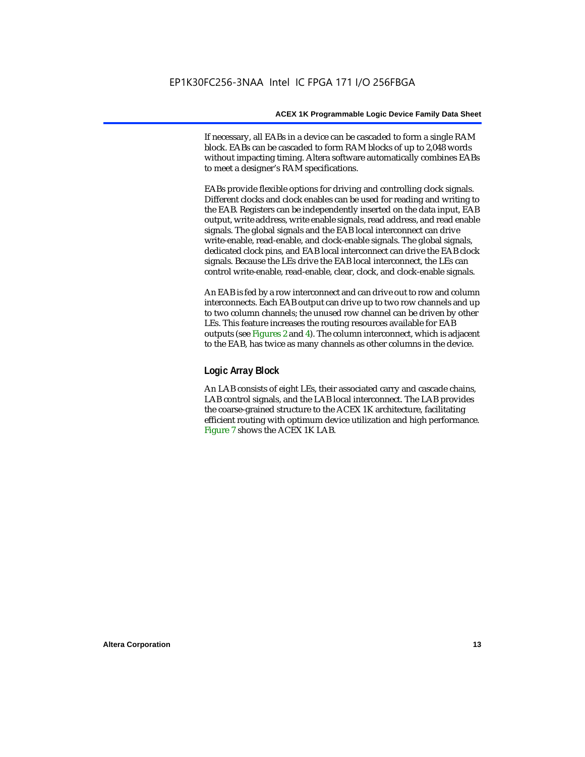If necessary, all EABs in a device can be cascaded to form a single RAM block. EABs can be cascaded to form RAM blocks of up to 2,048 words without impacting timing. Altera software automatically combines EABs to meet a designer's RAM specifications.

EABs provide flexible options for driving and controlling clock signals. Different clocks and clock enables can be used for reading and writing to the EAB. Registers can be independently inserted on the data input, EAB output, write address, write enable signals, read address, and read enable signals. The global signals and the EAB local interconnect can drive write-enable, read-enable, and clock-enable signals. The global signals, dedicated clock pins, and EAB local interconnect can drive the EAB clock signals. Because the LEs drive the EAB local interconnect, the LEs can control write-enable, read-enable, clear, clock, and clock-enable signals.

An EAB is fed by a row interconnect and can drive out to row and column interconnects. Each EAB output can drive up to two row channels and up to two column channels; the unused row channel can be driven by other LEs. This feature increases the routing resources available for EAB outputs (see Figures 2 and 4). The column interconnect, which is adjacent to the EAB, has twice as many channels as other columns in the device.

## **Logic Array Block**

An LAB consists of eight LEs, their associated carry and cascade chains, LAB control signals, and the LAB local interconnect. The LAB provides the coarse-grained structure to the ACEX 1K architecture, facilitating efficient routing with optimum device utilization and high performance. Figure 7 shows the ACEX 1K LAB.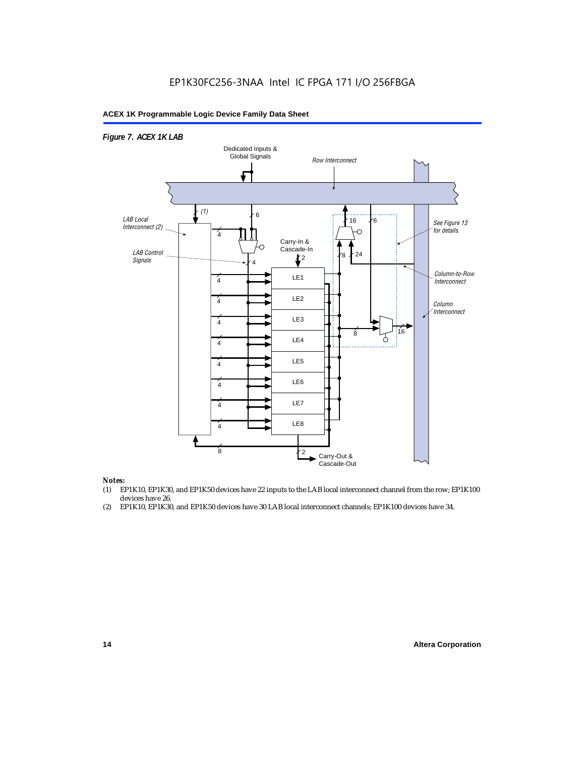## EP1K30FC256-3NAA Intel IC FPGA 171 I/O 256FBGA

## **ACEX 1K Programmable Logic Device Family Data Sheet**



#### *Notes:*

- (1) EP1K10, EP1K30, and EP1K50 devices have 22 inputs to the LAB local interconnect channel from the row; EP1K100 devices have 26.
- (2) EP1K10, EP1K30, and EP1K50 devices have 30 LAB local interconnect channels; EP1K100 devices have 34.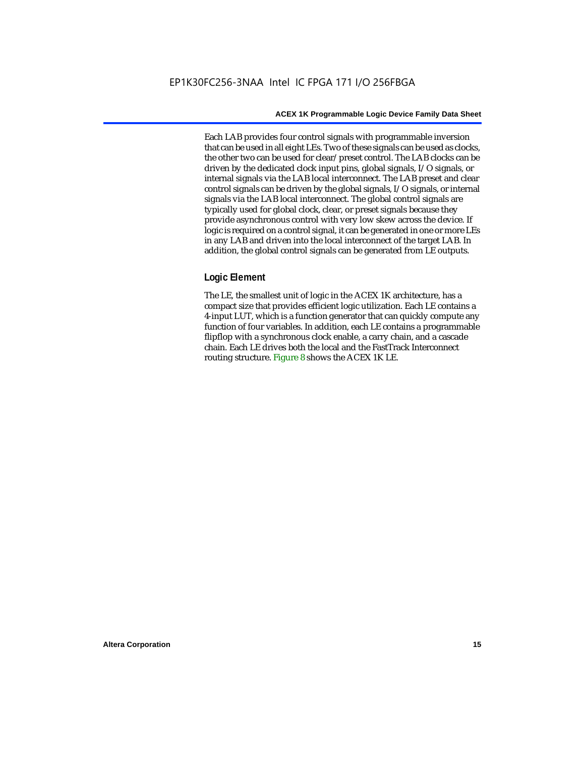Each LAB provides four control signals with programmable inversion that can be used in all eight LEs. Two of these signals can be used as clocks, the other two can be used for clear/preset control. The LAB clocks can be driven by the dedicated clock input pins, global signals, I/O signals, or internal signals via the LAB local interconnect. The LAB preset and clear control signals can be driven by the global signals, I/O signals, or internal signals via the LAB local interconnect. The global control signals are typically used for global clock, clear, or preset signals because they provide asynchronous control with very low skew across the device. If logic is required on a control signal, it can be generated in one or more LEs in any LAB and driven into the local interconnect of the target LAB. In addition, the global control signals can be generated from LE outputs.

## **Logic Element**

The LE, the smallest unit of logic in the ACEX 1K architecture, has a compact size that provides efficient logic utilization. Each LE contains a 4-input LUT, which is a function generator that can quickly compute any function of four variables. In addition, each LE contains a programmable flipflop with a synchronous clock enable, a carry chain, and a cascade chain. Each LE drives both the local and the FastTrack Interconnect routing structure. Figure 8 shows the ACEX 1K LE.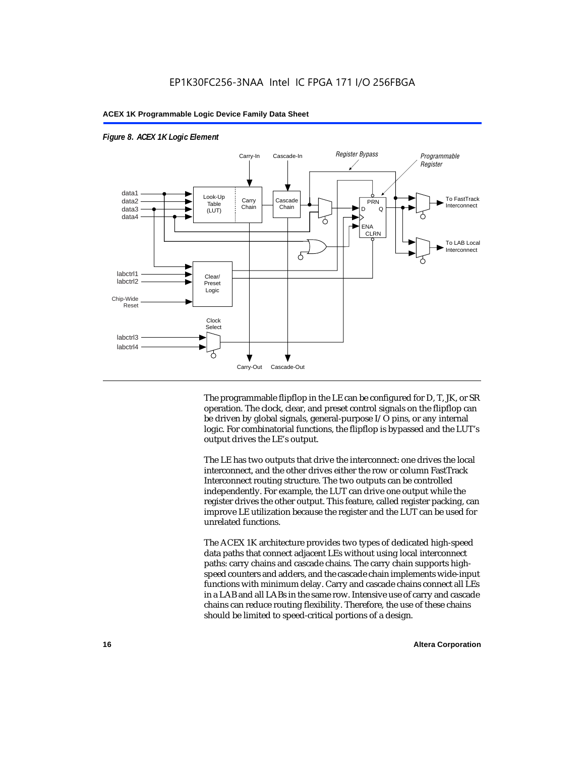

## *Figure 8. ACEX 1K Logic Element*

The programmable flipflop in the LE can be configured for D, T, JK, or SR operation. The clock, clear, and preset control signals on the flipflop can be driven by global signals, general-purpose I/O pins, or any internal logic. For combinatorial functions, the flipflop is bypassed and the LUT's output drives the LE's output.

The LE has two outputs that drive the interconnect: one drives the local interconnect, and the other drives either the row or column FastTrack Interconnect routing structure. The two outputs can be controlled independently. For example, the LUT can drive one output while the register drives the other output. This feature, called register packing, can improve LE utilization because the register and the LUT can be used for unrelated functions.

The ACEX 1K architecture provides two types of dedicated high-speed data paths that connect adjacent LEs without using local interconnect paths: carry chains and cascade chains. The carry chain supports highspeed counters and adders, and the cascade chain implements wide-input functions with minimum delay. Carry and cascade chains connect all LEs in a LAB and all LABs in the same row. Intensive use of carry and cascade chains can reduce routing flexibility. Therefore, the use of these chains should be limited to speed-critical portions of a design.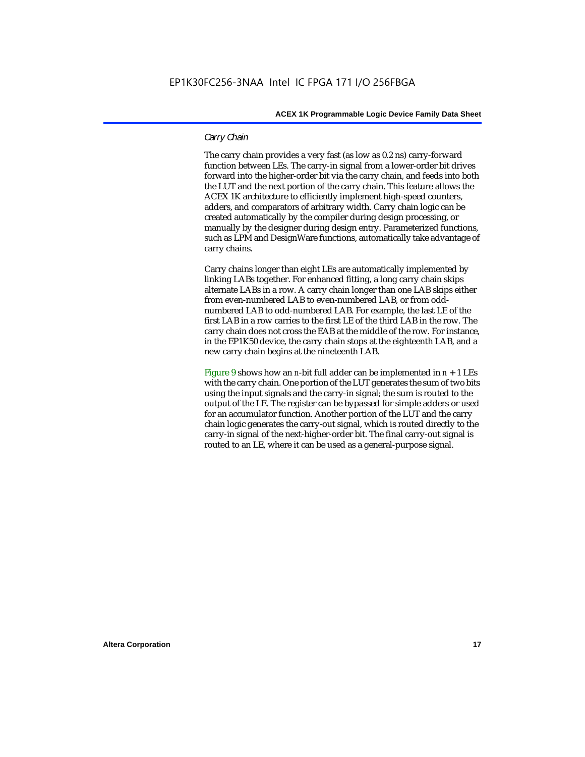## *Carry Chain*

The carry chain provides a very fast (as low as 0.2 ns) carry-forward function between LEs. The carry-in signal from a lower-order bit drives forward into the higher-order bit via the carry chain, and feeds into both the LUT and the next portion of the carry chain. This feature allows the ACEX 1K architecture to efficiently implement high-speed counters, adders, and comparators of arbitrary width. Carry chain logic can be created automatically by the compiler during design processing, or manually by the designer during design entry. Parameterized functions, such as LPM and DesignWare functions, automatically take advantage of carry chains.

Carry chains longer than eight LEs are automatically implemented by linking LABs together. For enhanced fitting, a long carry chain skips alternate LABs in a row. A carry chain longer than one LAB skips either from even-numbered LAB to even-numbered LAB, or from oddnumbered LAB to odd-numbered LAB. For example, the last LE of the first LAB in a row carries to the first LE of the third LAB in the row. The carry chain does not cross the EAB at the middle of the row. For instance, in the EP1K50 device, the carry chain stops at the eighteenth LAB, and a new carry chain begins at the nineteenth LAB.

Figure 9 shows how an *n*-bit full adder can be implemented in  $n + 1$  LEs with the carry chain. One portion of the LUT generates the sum of two bits using the input signals and the carry-in signal; the sum is routed to the output of the LE. The register can be bypassed for simple adders or used for an accumulator function. Another portion of the LUT and the carry chain logic generates the carry-out signal, which is routed directly to the carry-in signal of the next-higher-order bit. The final carry-out signal is routed to an LE, where it can be used as a general-purpose signal.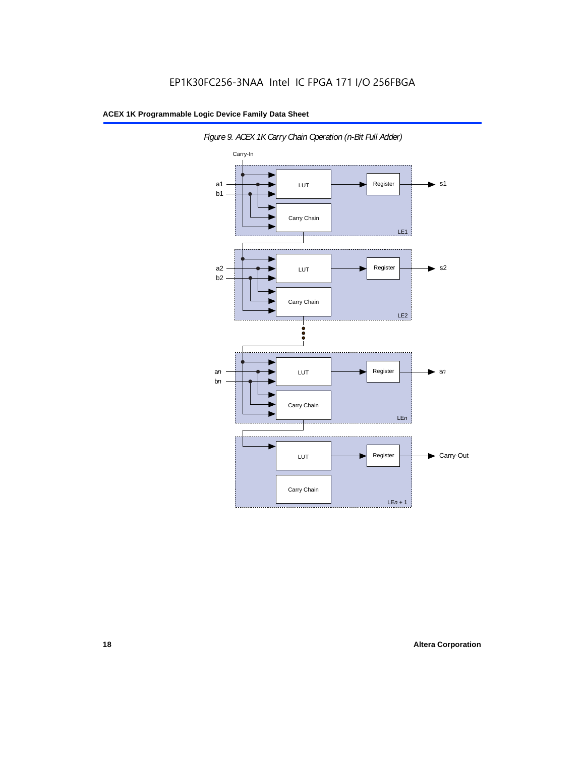

*Figure 9. ACEX 1K Carry Chain Operation (n-Bit Full Adder)*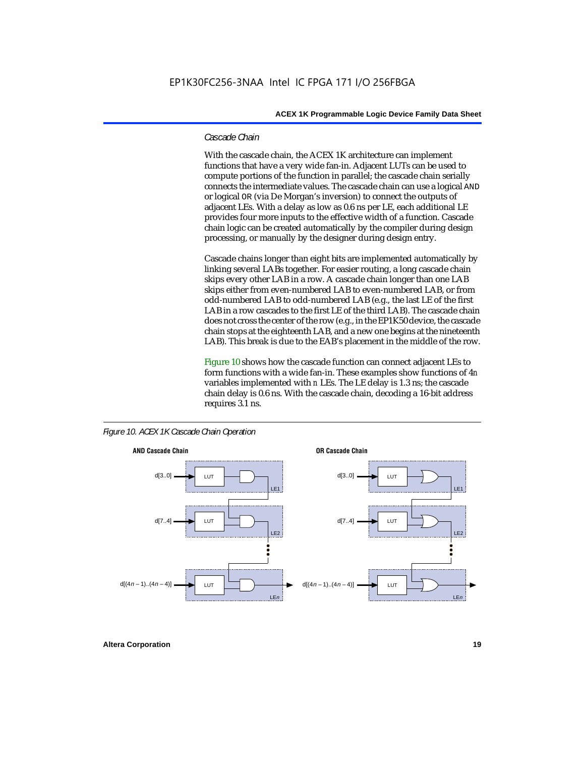## *Cascade Chain*

With the cascade chain, the ACEX 1K architecture can implement functions that have a very wide fan-in. Adjacent LUTs can be used to compute portions of the function in parallel; the cascade chain serially connects the intermediate values. The cascade chain can use a logical AND or logical OR (via De Morgan's inversion) to connect the outputs of adjacent LEs. With a delay as low as 0.6 ns per LE, each additional LE provides four more inputs to the effective width of a function. Cascade chain logic can be created automatically by the compiler during design processing, or manually by the designer during design entry.

Cascade chains longer than eight bits are implemented automatically by linking several LABs together. For easier routing, a long cascade chain skips every other LAB in a row. A cascade chain longer than one LAB skips either from even-numbered LAB to even-numbered LAB, or from odd-numbered LAB to odd-numbered LAB (e.g., the last LE of the first LAB in a row cascades to the first LE of the third LAB). The cascade chain does not cross the center of the row (e.g., in the EP1K50 device, the cascade chain stops at the eighteenth LAB, and a new one begins at the nineteenth LAB). This break is due to the EAB's placement in the middle of the row.

Figure 10 shows how the cascade function can connect adjacent LEs to form functions with a wide fan-in. These examples show functions of 4*n* variables implemented with *n* LEs. The LE delay is 1.3 ns; the cascade chain delay is 0.6 ns. With the cascade chain, decoding a 16-bit address requires 3.1 ns.





**Altera Corporation 19**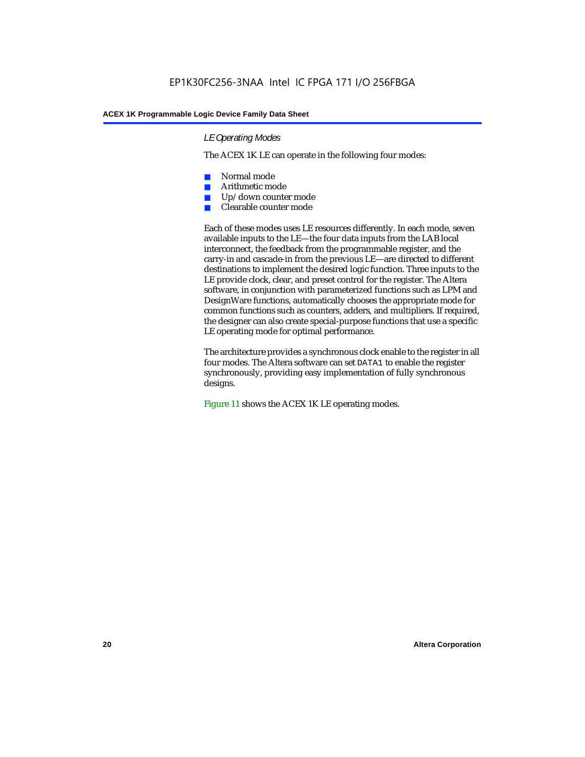## *LE Operating Modes*

The ACEX 1K LE can operate in the following four modes:

- Normal mode
- Arithmetic mode
- Up/down counter mode
- Clearable counter mode

Each of these modes uses LE resources differently. In each mode, seven available inputs to the LE—the four data inputs from the LAB local interconnect, the feedback from the programmable register, and the carry-in and cascade-in from the previous LE—are directed to different destinations to implement the desired logic function. Three inputs to the LE provide clock, clear, and preset control for the register. The Altera software, in conjunction with parameterized functions such as LPM and DesignWare functions, automatically chooses the appropriate mode for common functions such as counters, adders, and multipliers. If required, the designer can also create special-purpose functions that use a specific LE operating mode for optimal performance.

The architecture provides a synchronous clock enable to the register in all four modes. The Altera software can set DATA1 to enable the register synchronously, providing easy implementation of fully synchronous designs.

Figure 11 shows the ACEX 1K LE operating modes.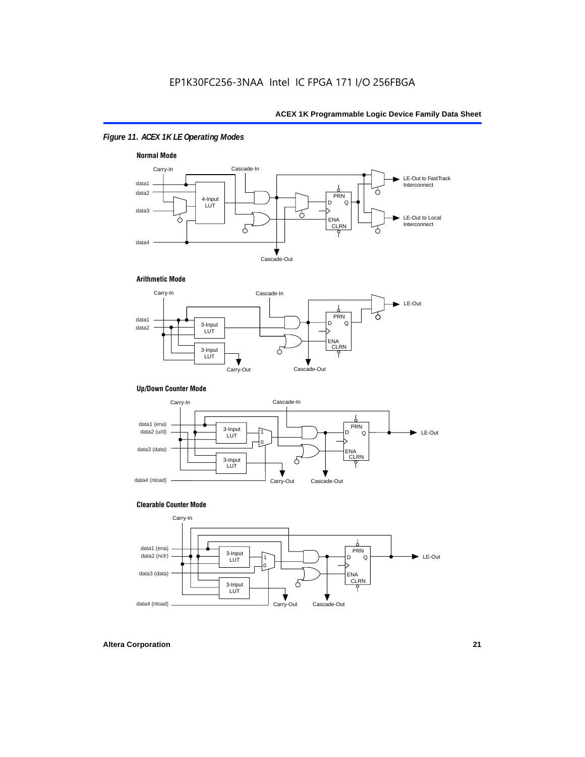## *Figure 11. ACEX 1K LE Operating Modes*



## **Arithmetic Mode**



## **Up/Down Counter Mode**



## **Clearable Counter Mode**

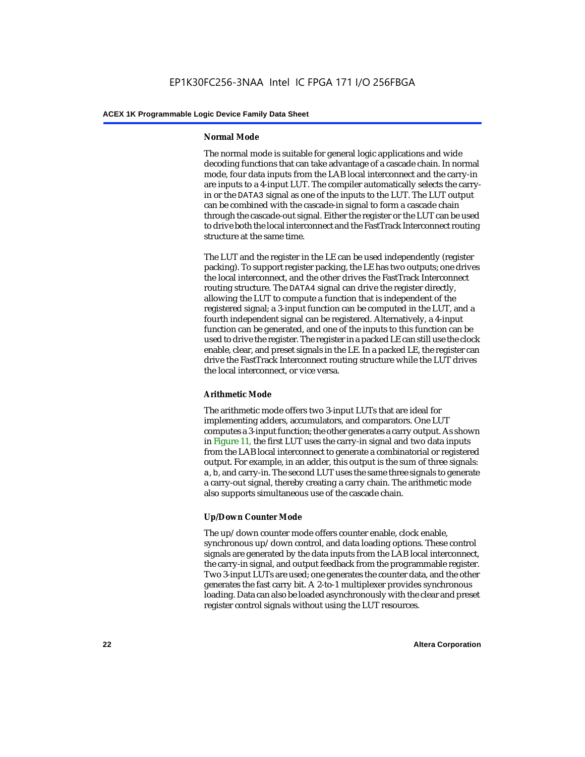## **Normal Mode**

The normal mode is suitable for general logic applications and wide decoding functions that can take advantage of a cascade chain. In normal mode, four data inputs from the LAB local interconnect and the carry-in are inputs to a 4-input LUT. The compiler automatically selects the carryin or the DATA3 signal as one of the inputs to the LUT. The LUT output can be combined with the cascade-in signal to form a cascade chain through the cascade-out signal. Either the register or the LUT can be used to drive both the local interconnect and the FastTrack Interconnect routing structure at the same time.

The LUT and the register in the LE can be used independently (register packing). To support register packing, the LE has two outputs; one drives the local interconnect, and the other drives the FastTrack Interconnect routing structure. The DATA4 signal can drive the register directly, allowing the LUT to compute a function that is independent of the registered signal; a 3-input function can be computed in the LUT, and a fourth independent signal can be registered. Alternatively, a 4-input function can be generated, and one of the inputs to this function can be used to drive the register. The register in a packed LE can still use the clock enable, clear, and preset signals in the LE. In a packed LE, the register can drive the FastTrack Interconnect routing structure while the LUT drives the local interconnect, or vice versa.

## **Arithmetic Mode**

The arithmetic mode offers two 3-input LUTs that are ideal for implementing adders, accumulators, and comparators. One LUT computes a 3-input function; the other generates a carry output. As shown in Figure 11, the first LUT uses the carry-in signal and two data inputs from the LAB local interconnect to generate a combinatorial or registered output. For example, in an adder, this output is the sum of three signals: a, b, and carry-in. The second LUT uses the same three signals to generate a carry-out signal, thereby creating a carry chain. The arithmetic mode also supports simultaneous use of the cascade chain.

## **Up/Down Counter Mode**

The up/down counter mode offers counter enable, clock enable, synchronous up/down control, and data loading options. These control signals are generated by the data inputs from the LAB local interconnect, the carry-in signal, and output feedback from the programmable register. Two 3-input LUTs are used; one generates the counter data, and the other generates the fast carry bit. A 2-to-1 multiplexer provides synchronous loading. Data can also be loaded asynchronously with the clear and preset register control signals without using the LUT resources.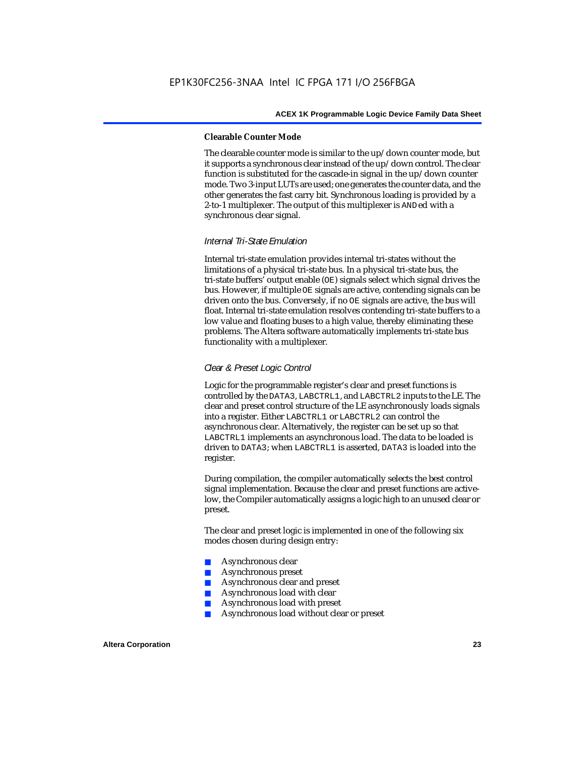### **Clearable Counter Mode**

The clearable counter mode is similar to the up/down counter mode, but it supports a synchronous clear instead of the up/down control. The clear function is substituted for the cascade-in signal in the up/down counter mode. Two 3-input LUTs are used; one generates the counter data, and the other generates the fast carry bit. Synchronous loading is provided by a 2-to-1 multiplexer. The output of this multiplexer is ANDed with a synchronous clear signal.

## *Internal Tri-State Emulation*

Internal tri-state emulation provides internal tri-states without the limitations of a physical tri-state bus. In a physical tri-state bus, the tri-state buffers' output enable (OE) signals select which signal drives the bus. However, if multiple OE signals are active, contending signals can be driven onto the bus. Conversely, if no OE signals are active, the bus will float. Internal tri-state emulation resolves contending tri-state buffers to a low value and floating buses to a high value, thereby eliminating these problems. The Altera software automatically implements tri-state bus functionality with a multiplexer.

## *Clear & Preset Logic Control*

Logic for the programmable register's clear and preset functions is controlled by the DATA3, LABCTRL1, and LABCTRL2 inputs to the LE. The clear and preset control structure of the LE asynchronously loads signals into a register. Either LABCTRL1 or LABCTRL2 can control the asynchronous clear. Alternatively, the register can be set up so that LABCTRL1 implements an asynchronous load. The data to be loaded is driven to DATA3; when LABCTRL1 is asserted, DATA3 is loaded into the register.

During compilation, the compiler automatically selects the best control signal implementation. Because the clear and preset functions are activelow, the Compiler automatically assigns a logic high to an unused clear or preset.

The clear and preset logic is implemented in one of the following six modes chosen during design entry:

- Asynchronous clear
- Asynchronous preset
- Asynchronous clear and preset
- Asynchronous load with clear
- Asynchronous load with preset
- Asynchronous load without clear or preset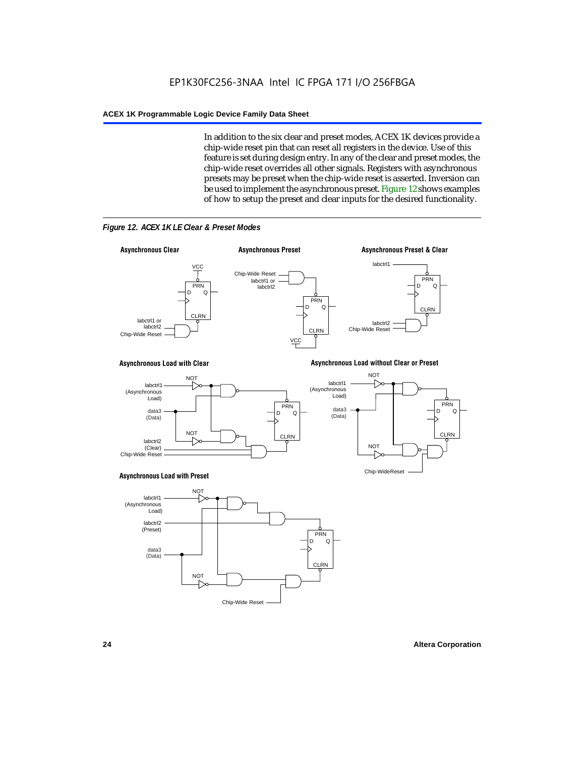In addition to the six clear and preset modes, ACEX 1K devices provide a chip-wide reset pin that can reset all registers in the device. Use of this feature is set during design entry. In any of the clear and preset modes, the chip-wide reset overrides all other signals. Registers with asynchronous presets may be preset when the chip-wide reset is asserted. Inversion can be used to implement the asynchronous preset. Figure 12 shows examples of how to setup the preset and clear inputs for the desired functionality.



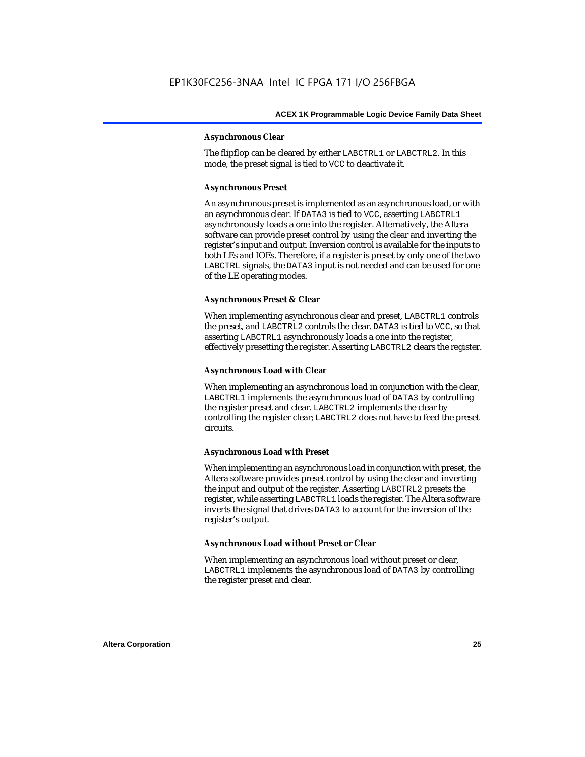## **Asynchronous Clear**

The flipflop can be cleared by either LABCTRL1 or LABCTRL2. In this mode, the preset signal is tied to VCC to deactivate it.

## **Asynchronous Preset**

An asynchronous preset is implemented as an asynchronous load, or with an asynchronous clear. If DATA3 is tied to VCC, asserting LABCTRL1 asynchronously loads a one into the register. Alternatively, the Altera software can provide preset control by using the clear and inverting the register's input and output. Inversion control is available for the inputs to both LEs and IOEs. Therefore, if a register is preset by only one of the two LABCTRL signals, the DATA3 input is not needed and can be used for one of the LE operating modes.

## **Asynchronous Preset & Clear**

When implementing asynchronous clear and preset, LABCTRL1 controls the preset, and LABCTRL2 controls the clear. DATA3 is tied to VCC, so that asserting LABCTRL1 asynchronously loads a one into the register, effectively presetting the register. Asserting LABCTRL2 clears the register.

## **Asynchronous Load with Clear**

When implementing an asynchronous load in conjunction with the clear, LABCTRL1 implements the asynchronous load of DATA3 by controlling the register preset and clear. LABCTRL2 implements the clear by controlling the register clear; LABCTRL2 does not have to feed the preset circuits.

## **Asynchronous Load with Preset**

When implementing an asynchronous load in conjunction with preset, the Altera software provides preset control by using the clear and inverting the input and output of the register. Asserting LABCTRL2 presets the register, while asserting LABCTRL1 loads the register. The Altera software inverts the signal that drives DATA3 to account for the inversion of the register's output.

## **Asynchronous Load without Preset or Clear**

When implementing an asynchronous load without preset or clear, LABCTRL1 implements the asynchronous load of DATA3 by controlling the register preset and clear.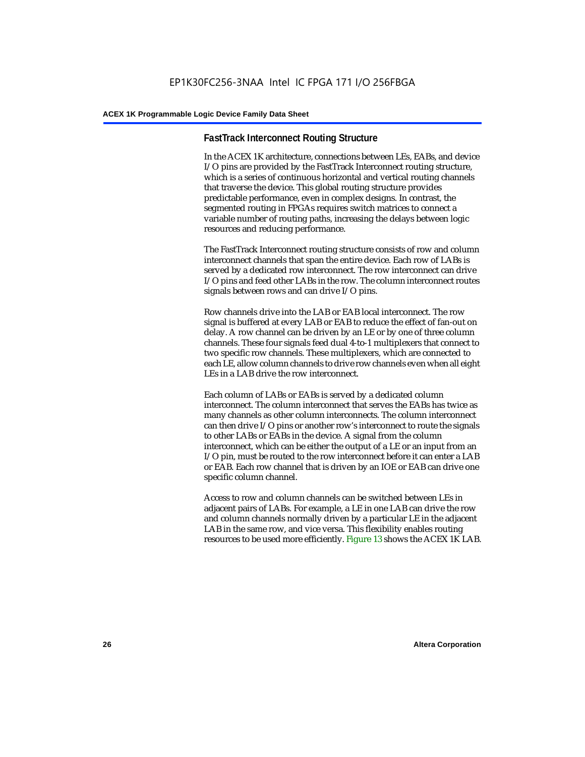## **FastTrack Interconnect Routing Structure**

In the ACEX 1K architecture, connections between LEs, EABs, and device I/O pins are provided by the FastTrack Interconnect routing structure, which is a series of continuous horizontal and vertical routing channels that traverse the device. This global routing structure provides predictable performance, even in complex designs. In contrast, the segmented routing in FPGAs requires switch matrices to connect a variable number of routing paths, increasing the delays between logic resources and reducing performance.

The FastTrack Interconnect routing structure consists of row and column interconnect channels that span the entire device. Each row of LABs is served by a dedicated row interconnect. The row interconnect can drive I/O pins and feed other LABs in the row. The column interconnect routes signals between rows and can drive I/O pins.

Row channels drive into the LAB or EAB local interconnect. The row signal is buffered at every LAB or EAB to reduce the effect of fan-out on delay. A row channel can be driven by an LE or by one of three column channels. These four signals feed dual 4-to-1 multiplexers that connect to two specific row channels. These multiplexers, which are connected to each LE, allow column channels to drive row channels even when all eight LEs in a LAB drive the row interconnect.

Each column of LABs or EABs is served by a dedicated column interconnect. The column interconnect that serves the EABs has twice as many channels as other column interconnects. The column interconnect can then drive I/O pins or another row's interconnect to route the signals to other LABs or EABs in the device. A signal from the column interconnect, which can be either the output of a LE or an input from an I/O pin, must be routed to the row interconnect before it can enter a LAB or EAB. Each row channel that is driven by an IOE or EAB can drive one specific column channel.

Access to row and column channels can be switched between LEs in adjacent pairs of LABs. For example, a LE in one LAB can drive the row and column channels normally driven by a particular LE in the adjacent LAB in the same row, and vice versa. This flexibility enables routing resources to be used more efficiently. Figure 13 shows the ACEX 1K LAB.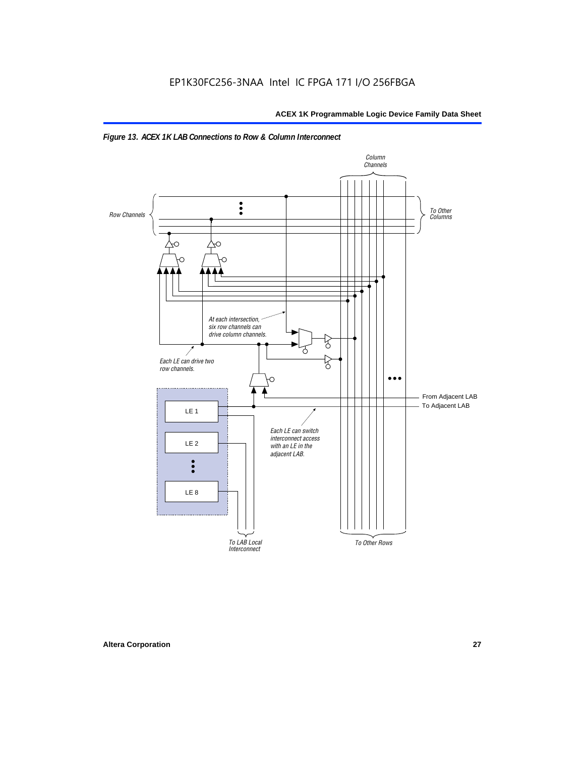

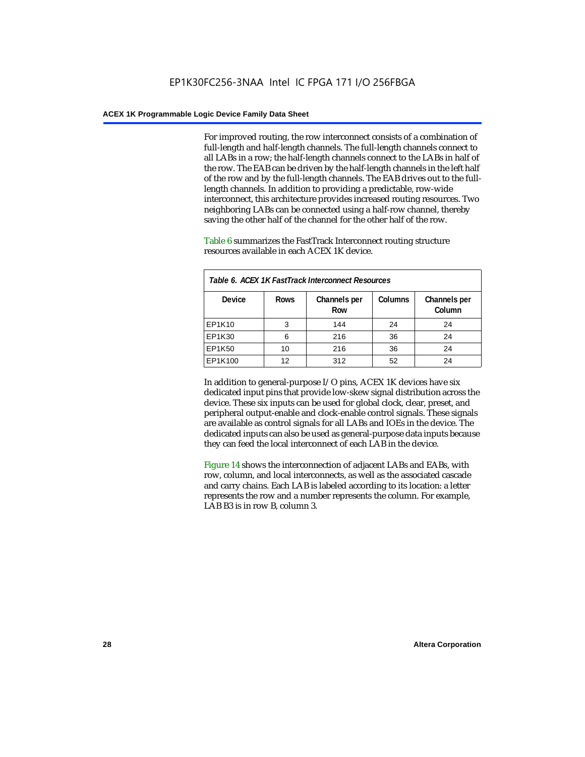For improved routing, the row interconnect consists of a combination of full-length and half-length channels. The full-length channels connect to all LABs in a row; the half-length channels connect to the LABs in half of the row. The EAB can be driven by the half-length channels in the left half of the row and by the full-length channels. The EAB drives out to the fulllength channels. In addition to providing a predictable, row-wide interconnect, this architecture provides increased routing resources. Two neighboring LABs can be connected using a half-row channel, thereby saving the other half of the channel for the other half of the row.

Table 6 summarizes the FastTrack Interconnect routing structure resources available in each ACEX 1K device.

| Table 6. ACEX 1K FastTrack Interconnect Resources |             |                     |                |                        |  |  |
|---------------------------------------------------|-------------|---------------------|----------------|------------------------|--|--|
| <b>Device</b>                                     | <b>Rows</b> | Channels per<br>Row | <b>Columns</b> | Channels per<br>Column |  |  |
| EP1K10                                            | 3           | 144                 | 24             | 24                     |  |  |
| EP1K30                                            | 6           | 216                 | 36             | 24                     |  |  |
| EP1K50                                            | 10          | 216                 | 36             | 24                     |  |  |
| EP1K100                                           | 12          | 312                 | 52             | 24                     |  |  |

In addition to general-purpose I/O pins, ACEX 1K devices have six dedicated input pins that provide low-skew signal distribution across the device. These six inputs can be used for global clock, clear, preset, and peripheral output-enable and clock-enable control signals. These signals are available as control signals for all LABs and IOEs in the device. The dedicated inputs can also be used as general-purpose data inputs because they can feed the local interconnect of each LAB in the device.

Figure 14 shows the interconnection of adjacent LABs and EABs, with row, column, and local interconnects, as well as the associated cascade and carry chains. Each LAB is labeled according to its location: a letter represents the row and a number represents the column. For example, LAB B3 is in row B, column 3.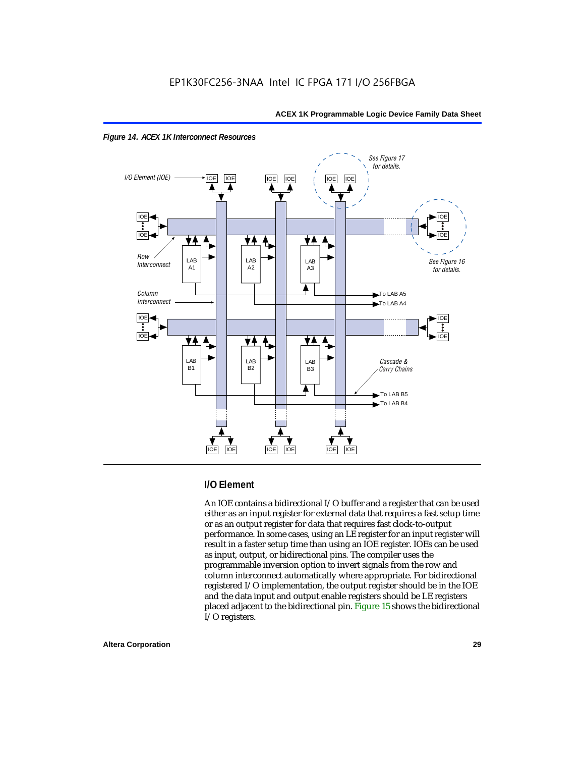



## **I/O Element**

An IOE contains a bidirectional I/O buffer and a register that can be used either as an input register for external data that requires a fast setup time or as an output register for data that requires fast clock-to-output performance. In some cases, using an LE register for an input register will result in a faster setup time than using an IOE register. IOEs can be used as input, output, or bidirectional pins. The compiler uses the programmable inversion option to invert signals from the row and column interconnect automatically where appropriate. For bidirectional registered I/O implementation, the output register should be in the IOE and the data input and output enable registers should be LE registers placed adjacent to the bidirectional pin. Figure 15 shows the bidirectional I/O registers.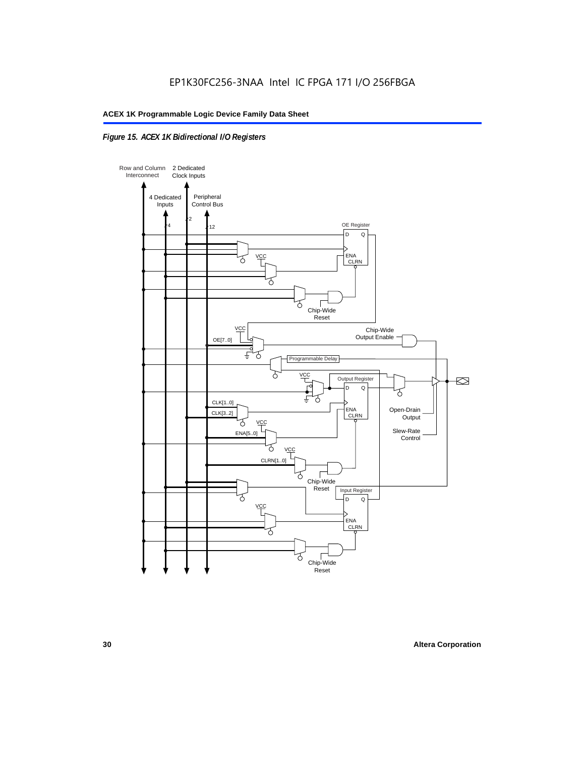## *Figure 15. ACEX 1K Bidirectional I/O Registers*

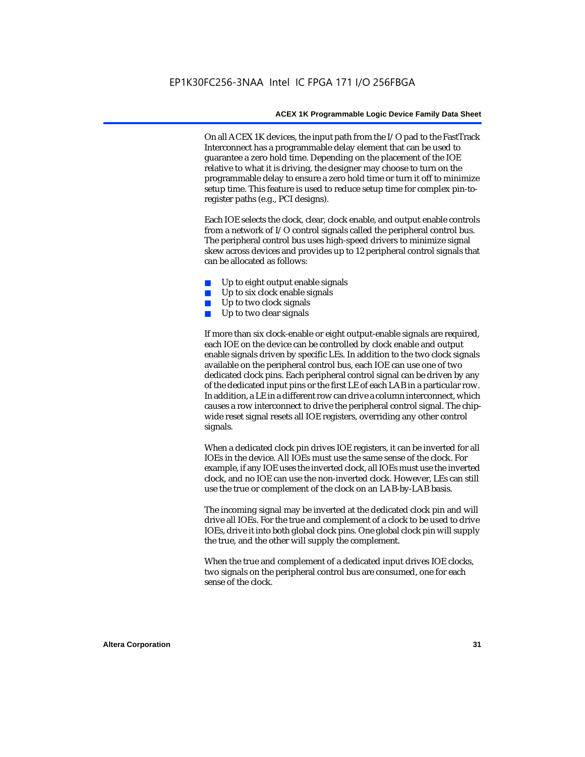On all ACEX 1K devices, the input path from the I/O pad to the FastTrack Interconnect has a programmable delay element that can be used to guarantee a zero hold time. Depending on the placement of the IOE relative to what it is driving, the designer may choose to turn on the programmable delay to ensure a zero hold time or turn it off to minimize setup time. This feature is used to reduce setup time for complex pin-toregister paths (e.g., PCI designs).

Each IOE selects the clock, clear, clock enable, and output enable controls from a network of I/O control signals called the peripheral control bus. The peripheral control bus uses high-speed drivers to minimize signal skew across devices and provides up to 12 peripheral control signals that can be allocated as follows:

- Up to eight output enable signals
- Up to six clock enable signals
- Up to two clock signals
- Up to two clear signals

If more than six clock-enable or eight output-enable signals are required, each IOE on the device can be controlled by clock enable and output enable signals driven by specific LEs. In addition to the two clock signals available on the peripheral control bus, each IOE can use one of two dedicated clock pins. Each peripheral control signal can be driven by any of the dedicated input pins or the first LE of each LAB in a particular row. In addition, a LE in a different row can drive a column interconnect, which causes a row interconnect to drive the peripheral control signal. The chipwide reset signal resets all IOE registers, overriding any other control signals.

When a dedicated clock pin drives IOE registers, it can be inverted for all IOEs in the device. All IOEs must use the same sense of the clock. For example, if any IOE uses the inverted clock, all IOEs must use the inverted clock, and no IOE can use the non-inverted clock. However, LEs can still use the true or complement of the clock on an LAB-by-LAB basis.

The incoming signal may be inverted at the dedicated clock pin and will drive all IOEs. For the true and complement of a clock to be used to drive IOEs, drive it into both global clock pins. One global clock pin will supply the true, and the other will supply the complement.

When the true and complement of a dedicated input drives IOE clocks, two signals on the peripheral control bus are consumed, one for each sense of the clock.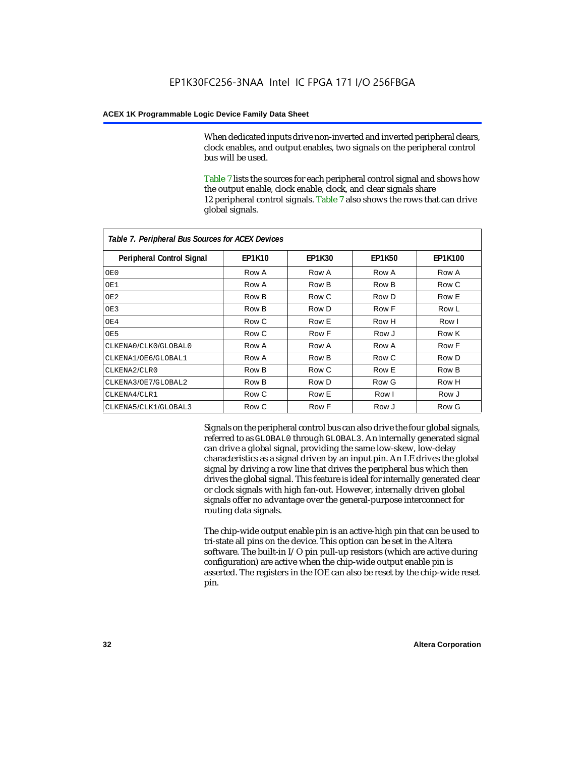When dedicated inputs drive non-inverted and inverted peripheral clears, clock enables, and output enables, two signals on the peripheral control bus will be used.

Table 7 lists the sources for each peripheral control signal and shows how the output enable, clock enable, clock, and clear signals share 12 peripheral control signals. Table 7 also shows the rows that can drive global signals.

| Table 7. Peripheral Bus Sources for ACEX Devices |               |               |               |                |  |  |  |
|--------------------------------------------------|---------------|---------------|---------------|----------------|--|--|--|
| <b>Peripheral Control Signal</b>                 | <b>EP1K10</b> | <b>EP1K30</b> | <b>EP1K50</b> | <b>EP1K100</b> |  |  |  |
| OE0                                              | Row A         | Row A         | Row A         | Row A          |  |  |  |
| OE1                                              | Row A         | Row B         | Row B         | Row C          |  |  |  |
| OE <sub>2</sub>                                  | Row B         | Row C         | Row D         | Row E          |  |  |  |
| OE3                                              | Row B         | Row D         | Row F         | Row L          |  |  |  |
| OE4                                              | Row C         | Row E         | Row H         | Row I          |  |  |  |
| OE5                                              | Row C         | Row F         | Row J         | Row K          |  |  |  |
| CLKENA0/CLK0/GLOBAL0                             | Row A         | Row A         | Row A         | Row F          |  |  |  |
| CLKENA1/OE6/GLOBAL1                              | Row A         | Row B         | Row C         | Row D          |  |  |  |
| CLKENA2/CLR0                                     | Row B         | Row C         | Row E         | Row B          |  |  |  |
| CLKENA3/OE7/GLOBAL2                              | Row B         | Row D         | Row G         | Row H          |  |  |  |
| CLKENA4/CLR1                                     | Row C         | Row E         | Row I         | Row J          |  |  |  |
| CLKENA5/CLK1/GLOBAL3                             | Row C         | Row F         | Row J         | Row G          |  |  |  |

Signals on the peripheral control bus can also drive the four global signals, referred to as GLOBAL0 through GLOBAL3. An internally generated signal can drive a global signal, providing the same low-skew, low-delay characteristics as a signal driven by an input pin. An LE drives the global signal by driving a row line that drives the peripheral bus which then drives the global signal. This feature is ideal for internally generated clear or clock signals with high fan-out. However, internally driven global signals offer no advantage over the general-purpose interconnect for routing data signals.

The chip-wide output enable pin is an active-high pin that can be used to tri-state all pins on the device. This option can be set in the Altera software. The built-in I/O pin pull-up resistors (which are active during configuration) are active when the chip-wide output enable pin is asserted. The registers in the IOE can also be reset by the chip-wide reset pin.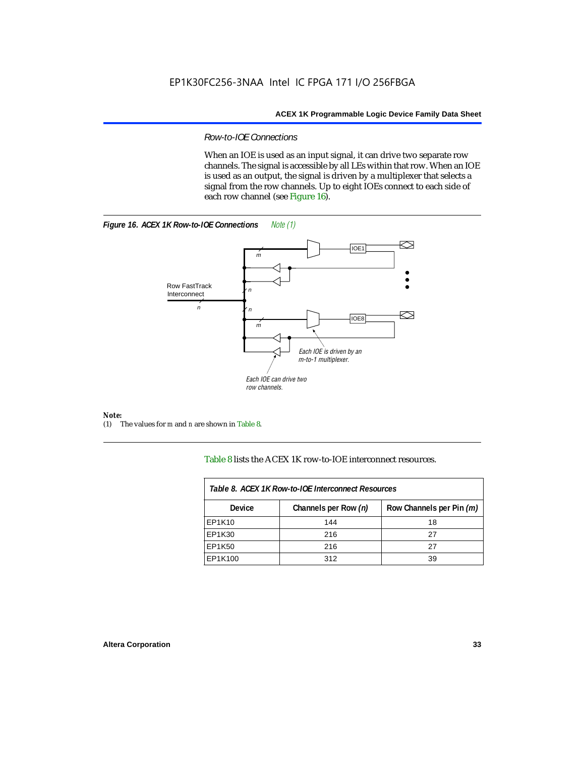## *Row-to-IOE Connections*

When an IOE is used as an input signal, it can drive two separate row channels. The signal is accessible by all LEs within that row. When an IOE is used as an output, the signal is driven by a multiplexer that selects a signal from the row channels. Up to eight IOEs connect to each side of each row channel (see Figure 16).





## *Note:*<br>(1) 1

(1) The values for *m* and *n* are shown in Table 8.

Table 8 lists the ACEX 1K row-to-IOE interconnect resources.

| Table 8. ACEX 1K Row-to-IOE Interconnect Resources |                      |                          |  |  |  |
|----------------------------------------------------|----------------------|--------------------------|--|--|--|
| Device                                             | Channels per Row (n) | Row Channels per Pin (m) |  |  |  |
| EP1K10                                             | 144                  | 18                       |  |  |  |
| EP1K30                                             | 216                  | 27                       |  |  |  |
| EP1K50                                             | 216                  | 27                       |  |  |  |
| EP1K100                                            | 312                  | 39                       |  |  |  |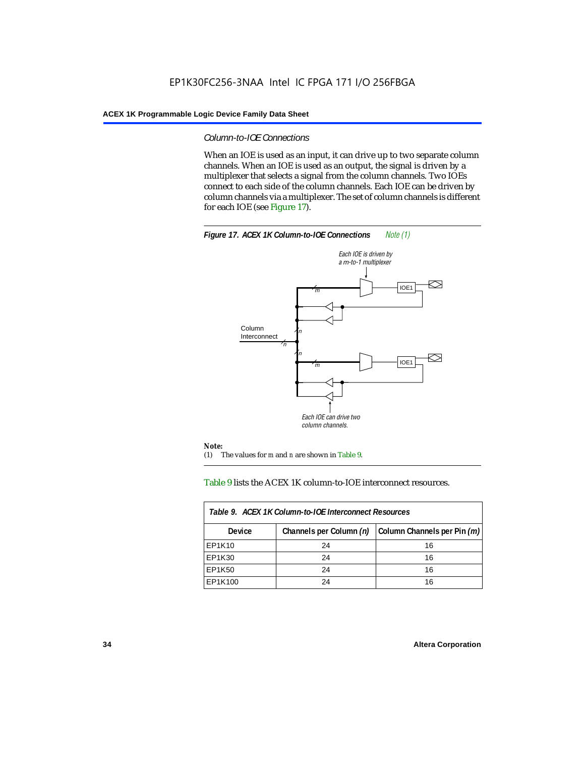## *Column-to-IOE Connections*

When an IOE is used as an input, it can drive up to two separate column channels. When an IOE is used as an output, the signal is driven by a multiplexer that selects a signal from the column channels. Two IOEs connect to each side of the column channels. Each IOE can be driven by column channels via a multiplexer. The set of column channels is different for each IOE (see Figure 17).



## Table 9 lists the ACEX 1K column-to-IOE interconnect resources.

| Table 9. ACEX 1K Column-to-IOE Interconnect Resources |                         |                             |  |  |  |
|-------------------------------------------------------|-------------------------|-----------------------------|--|--|--|
| <b>Device</b>                                         | Channels per Column (n) | Column Channels per Pin (m) |  |  |  |
| EP1K10                                                | 24                      | 16                          |  |  |  |
| EP1K30                                                | 24                      | 16                          |  |  |  |
| EP1K50                                                | 24                      | 16                          |  |  |  |
| EP1K100                                               | 24                      | 16                          |  |  |  |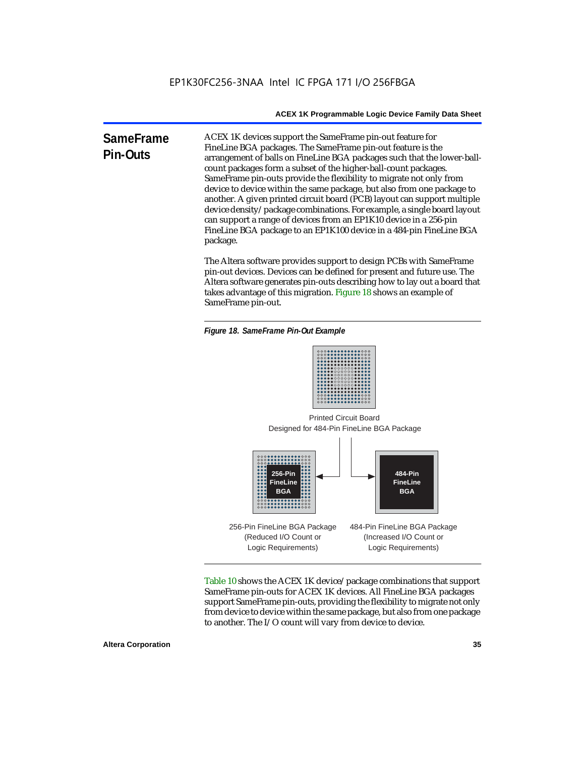**SameFrame Pin-Outs** ACEX 1K devices support the SameFrame pin-out feature for FineLine BGA packages. The SameFrame pin-out feature is the arrangement of balls on FineLine BGA packages such that the lower-ballcount packages form a subset of the higher-ball-count packages. SameFrame pin-outs provide the flexibility to migrate not only from device to device within the same package, but also from one package to another. A given printed circuit board (PCB) layout can support multiple device density/package combinations. For example, a single board layout can support a range of devices from an EP1K10 device in a 256-pin FineLine BGA package to an EP1K100 device in a 484-pin FineLine BGA package.

> The Altera software provides support to design PCBs with SameFrame pin-out devices. Devices can be defined for present and future use. The Altera software generates pin-outs describing how to lay out a board that takes advantage of this migration. Figure 18 shows an example of SameFrame pin-out.

*Figure 18. SameFrame Pin-Out Example*



Designed for 484-Pin FineLine BGA Package Printed Circuit Board



Table 10 shows the ACEX 1K device/package combinations that support SameFrame pin-outs for ACEX 1K devices. All FineLine BGA packages support SameFrame pin-outs, providing the flexibility to migrate not only from device to device within the same package, but also from one package to another. The I/O count will vary from device to device.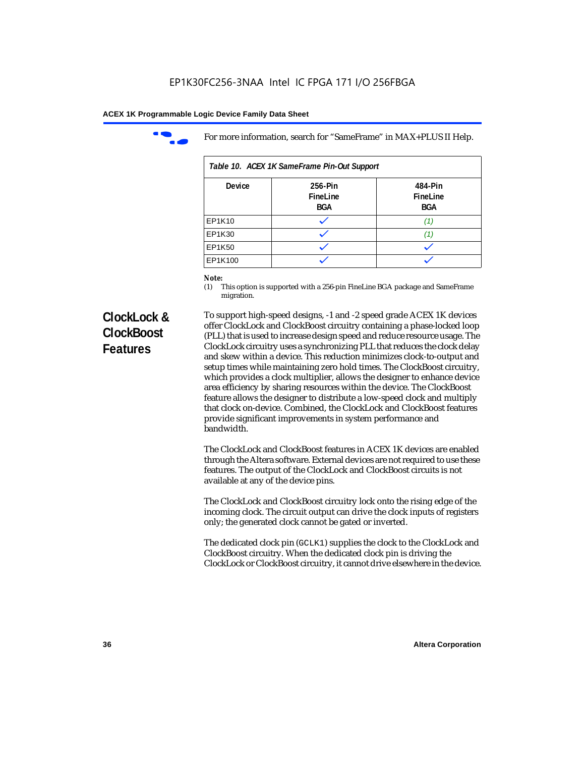

For more information, search for "SameFrame" in MAX+PLUS II Help.

| Table 10. ACEX 1K SameFrame Pin-Out Support |                            |                                   |  |  |  |
|---------------------------------------------|----------------------------|-----------------------------------|--|--|--|
| <b>Device</b>                               | 256-Pin<br>FineLine<br>BGA | 484-Pin<br>FineLine<br><b>BGA</b> |  |  |  |
| EP1K10                                      |                            | (1.                               |  |  |  |
| EP1K30                                      |                            | 11.                               |  |  |  |
| EP1K50                                      |                            |                                   |  |  |  |
| EP1K100                                     |                            |                                   |  |  |  |

# *Note:*<br>(1) **7**

This option is supported with a 256-pin FineLine BGA package and SameFrame migration.

# **ClockLock & ClockBoost Features**

To support high-speed designs, -1 and -2 speed grade ACEX 1K devices offer ClockLock and ClockBoost circuitry containing a phase-locked loop (PLL) that is used to increase design speed and reduce resource usage. The ClockLock circuitry uses a synchronizing PLL that reduces the clock delay and skew within a device. This reduction minimizes clock-to-output and setup times while maintaining zero hold times. The ClockBoost circuitry, which provides a clock multiplier, allows the designer to enhance device area efficiency by sharing resources within the device. The ClockBoost feature allows the designer to distribute a low-speed clock and multiply that clock on-device. Combined, the ClockLock and ClockBoost features provide significant improvements in system performance and bandwidth.

The ClockLock and ClockBoost features in ACEX 1K devices are enabled through the Altera software. External devices are not required to use these features. The output of the ClockLock and ClockBoost circuits is not available at any of the device pins.

The ClockLock and ClockBoost circuitry lock onto the rising edge of the incoming clock. The circuit output can drive the clock inputs of registers only; the generated clock cannot be gated or inverted.

The dedicated clock pin (GCLK1) supplies the clock to the ClockLock and ClockBoost circuitry. When the dedicated clock pin is driving the ClockLock or ClockBoost circuitry, it cannot drive elsewhere in the device.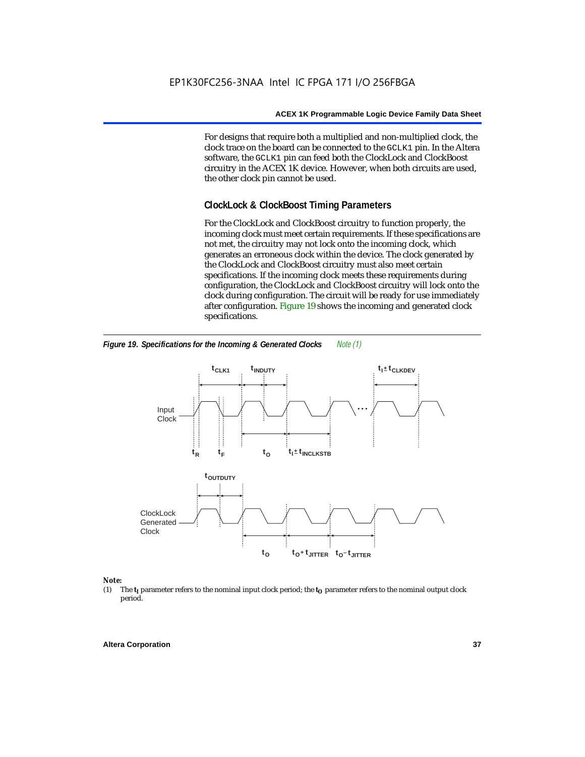For designs that require both a multiplied and non-multiplied clock, the clock trace on the board can be connected to the GCLK1 pin. In the Altera software, the GCLK1 pin can feed both the ClockLock and ClockBoost circuitry in the ACEX 1K device. However, when both circuits are used, the other clock pin cannot be used.

## **ClockLock & ClockBoost Timing Parameters**

For the ClockLock and ClockBoost circuitry to function properly, the incoming clock must meet certain requirements. If these specifications are not met, the circuitry may not lock onto the incoming clock, which generates an erroneous clock within the device. The clock generated by the ClockLock and ClockBoost circuitry must also meet certain specifications. If the incoming clock meets these requirements during configuration, the ClockLock and ClockBoost circuitry will lock onto the clock during configuration. The circuit will be ready for use immediately after configuration. Figure 19 shows the incoming and generated clock specifications.



*Figure 19. Specifications for the Incoming & Generated Clocks Note (1)*

# *Note:*<br>(1) 1

The  $t<sub>I</sub>$  parameter refers to the nominal input clock period; the  $t<sub>O</sub>$  parameter refers to the nominal output clock period.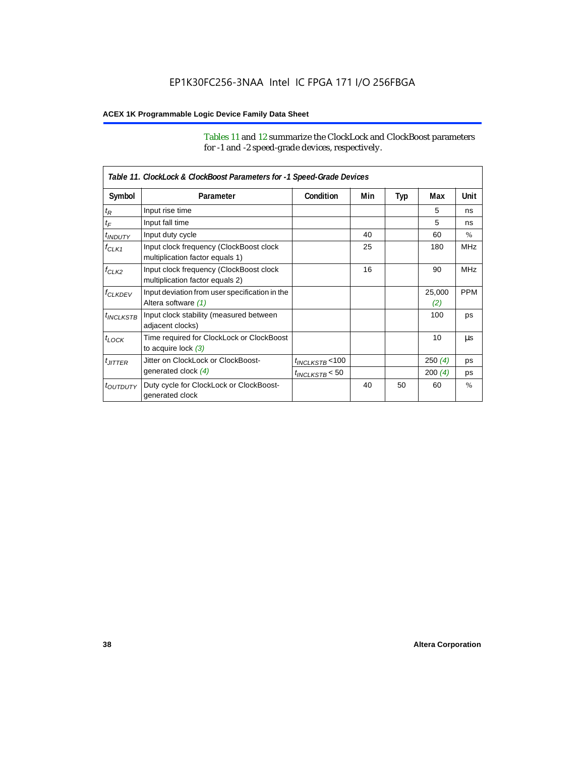Tables 11 and 12 summarize the ClockLock and ClockBoost parameters for -1 and -2 speed-grade devices, respectively.

|                       | Table 11. ClockLock & ClockBoost Parameters for -1 Speed-Grade Devices     |                      |     |     |               |               |
|-----------------------|----------------------------------------------------------------------------|----------------------|-----|-----|---------------|---------------|
| Symbol                | Parameter                                                                  | Condition            | Min | Typ | Max           | Unit          |
| $t_{\mathsf{R}}$      | Input rise time                                                            |                      |     |     | 5             | ns            |
| $t_{\mathsf{F}}$      | Input fall time                                                            |                      |     |     | 5             | ns            |
| $t_{INDUTY}$          | Input duty cycle                                                           |                      | 40  |     | 60            | $\frac{0}{0}$ |
| $f_{CLK1}$            | Input clock frequency (ClockBoost clock<br>multiplication factor equals 1) |                      | 25  |     | 180           | <b>MHz</b>    |
| $f_{CLK2}$            | Input clock frequency (ClockBoost clock<br>multiplication factor equals 2) |                      | 16  |     | 90            | <b>MHz</b>    |
| <sup>f</sup> CLKDEV   | Input deviation from user specification in the<br>Altera software (1)      |                      |     |     | 25,000<br>(2) | <b>PPM</b>    |
| <sup>t</sup> INCLKSTB | Input clock stability (measured between<br>adjacent clocks)                |                      |     |     | 100           | ps            |
| $t_{LOCK}$            | Time required for ClockLock or ClockBoost<br>to acquire lock $(3)$         |                      |     |     | 10            | μs            |
| $t_{JITTER}$          | Jitter on ClockLock or ClockBoost-                                         | $t_{INCLKSTB}$ < 100 |     |     | 250(4)        | ps            |
|                       | generated clock (4)                                                        | $t_{INCLKSTB}$ < 50  |     |     | 200(4)        | ps            |
| <i>toutputy</i>       | Duty cycle for ClockLock or ClockBoost-<br>generated clock                 |                      | 40  | 50  | 60            | $\%$          |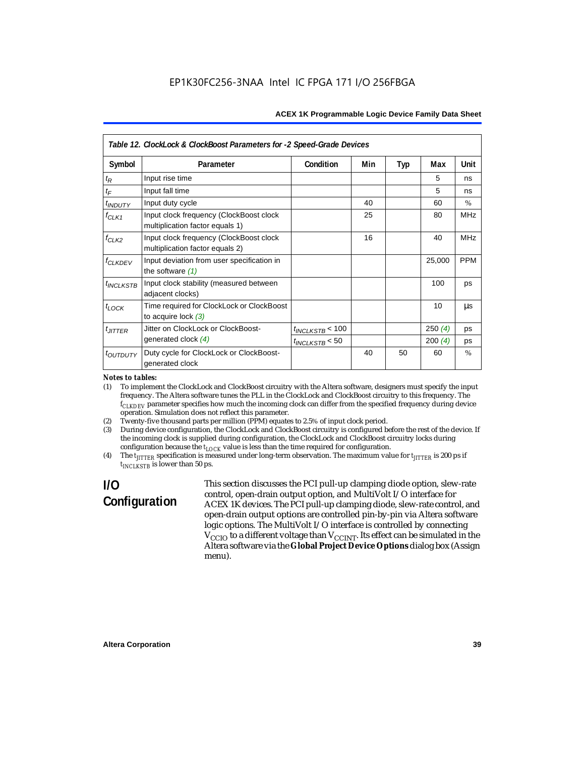| Table 12. ClockLock & ClockBoost Parameters for -2 Speed-Grade Devices |                                                                            |                      |     |     |        |               |
|------------------------------------------------------------------------|----------------------------------------------------------------------------|----------------------|-----|-----|--------|---------------|
| Symbol                                                                 | Parameter                                                                  | Condition            | Min | Typ | Max    | Unit          |
| $t_{\mathsf{R}}$                                                       | Input rise time                                                            |                      |     |     | 5      | ns            |
| $t_F$                                                                  | Input fall time                                                            |                      |     |     | 5      | ns            |
| $t_{INDUTY}$                                                           | Input duty cycle                                                           |                      | 40  |     | 60     | $\%$          |
| $f_{CLK1}$                                                             | Input clock frequency (ClockBoost clock<br>multiplication factor equals 1) |                      | 25  |     | 80     | <b>MHz</b>    |
| $f_{CLK2}$                                                             | Input clock frequency (ClockBoost clock<br>multiplication factor equals 2) |                      | 16  |     | 40     | <b>MHz</b>    |
| <b>f<sub>CLKDEV</sub></b>                                              | Input deviation from user specification in<br>the software $(1)$           |                      |     |     | 25,000 | <b>PPM</b>    |
| <sup>t</sup> INCLKSTB                                                  | Input clock stability (measured between<br>adjacent clocks)                |                      |     |     | 100    | ps            |
| $t_{LOCK}$                                                             | Time required for ClockLock or ClockBoost<br>to acquire lock $(3)$         |                      |     |     | 10     | μs            |
| $t_{JITTER}$                                                           | Jitter on ClockLock or ClockBoost-                                         | $t_{INCLKSTB}$ < 100 |     |     | 250(4) | ps            |
|                                                                        | generated clock (4)                                                        | $t_{INCLKSTB}$ < 50  |     |     | 200(4) | ps            |
| <i>toutbuty</i>                                                        | Duty cycle for ClockLock or ClockBoost-<br>generated clock                 |                      | 40  | 50  | 60     | $\frac{0}{0}$ |

#### *Notes to tables:*

(1) To implement the ClockLock and ClockBoost circuitry with the Altera software, designers must specify the input frequency. The Altera software tunes the PLL in the ClockLock and ClockBoost circuitry to this frequency. The *fCLKDEV* parameter specifies how much the incoming clock can differ from the specified frequency during device operation. Simulation does not reflect this parameter.

- (2) Twenty-five thousand parts per million (PPM) equates to 2.5% of input clock period.
- (3) During device configuration, the ClockLock and ClockBoost circuitry is configured before the rest of the device. If the incoming clock is supplied during configuration, the ClockLock and ClockBoost circuitry locks during configuration because the  $t_{LOCK}$  value is less than the time required for configuration.
- (4) The  $t_{\text{ITTTER}}$  specification is measured under long-term observation. The maximum value for  $t_{\text{ITTTER}}$  is 200 ps if *tINCLKSTB* is lower than 50 ps.

# **I/O Configuration**

This section discusses the PCI pull-up clamping diode option, slew-rate control, open-drain output option, and MultiVolt I/O interface for ACEX 1K devices. The PCI pull-up clamping diode, slew-rate control, and open-drain output options are controlled pin-by-pin via Altera software logic options. The MultiVolt I/O interface is controlled by connecting  $V_{\rm CCD}$  to a different voltage than  $V_{\rm CCINT}$ . Its effect can be simulated in the Altera software via the **Global Project Device Options** dialog box (Assign menu).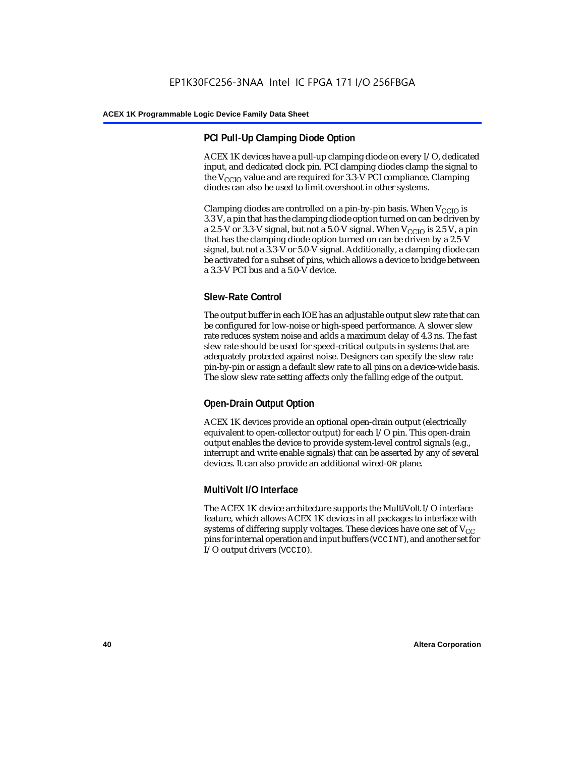## **PCI Pull-Up Clamping Diode Option**

ACEX 1K devices have a pull-up clamping diode on every I/O, dedicated input, and dedicated clock pin. PCI clamping diodes clamp the signal to the  $V_{\text{CCIO}}$  value and are required for 3.3-V PCI compliance. Clamping diodes can also be used to limit overshoot in other systems.

Clamping diodes are controlled on a pin-by-pin basis. When  $V_{CCIO}$  is 3.3 V, a pin that has the clamping diode option turned on can be driven by a 2.5-V or 3.3-V signal, but not a 5.0-V signal. When  $V_{CCIO}$  is 2.5 V, a pin that has the clamping diode option turned on can be driven by a 2.5-V signal, but not a 3.3-V or 5.0-V signal. Additionally, a clamping diode can be activated for a subset of pins, which allows a device to bridge between a 3.3-V PCI bus and a 5.0-V device.

## **Slew-Rate Control**

The output buffer in each IOE has an adjustable output slew rate that can be configured for low-noise or high-speed performance. A slower slew rate reduces system noise and adds a maximum delay of 4.3 ns. The fast slew rate should be used for speed-critical outputs in systems that are adequately protected against noise. Designers can specify the slew rate pin-by-pin or assign a default slew rate to all pins on a device-wide basis. The slow slew rate setting affects only the falling edge of the output.

## **Open-Drain Output Option**

ACEX 1K devices provide an optional open-drain output (electrically equivalent to open-collector output) for each I/O pin. This open-drain output enables the device to provide system-level control signals (e.g., interrupt and write enable signals) that can be asserted by any of several devices. It can also provide an additional wired-OR plane.

## **MultiVolt I/O Interface**

The ACEX 1K device architecture supports the MultiVolt I/O interface feature, which allows ACEX 1K devices in all packages to interface with systems of differing supply voltages. These devices have one set of  $V_{CC}$ pins for internal operation and input buffers (VCCINT), and another set for I/O output drivers (VCCIO).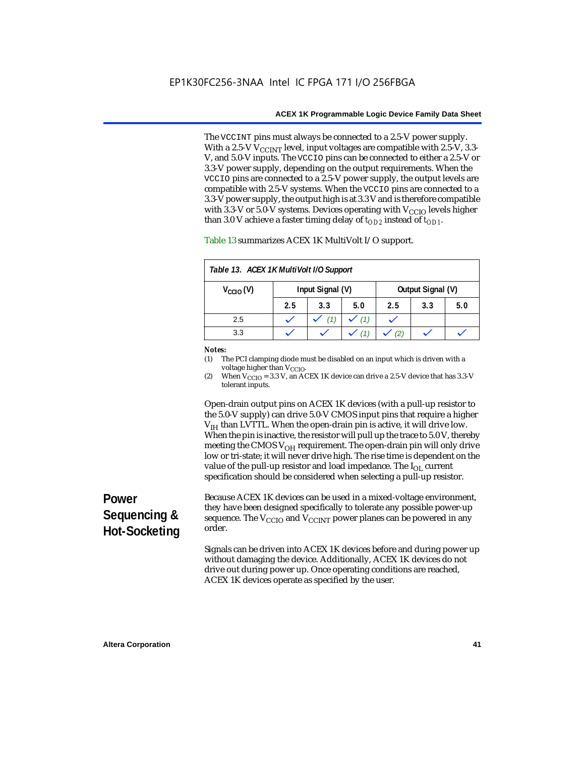The VCCINT pins must always be connected to a 2.5-V power supply. With a 2.5-V  $V_{CCMT}$  level, input voltages are compatible with 2.5-V, 3.3-V, and 5.0-V inputs. The VCCIO pins can be connected to either a 2.5-V or 3.3-V power supply, depending on the output requirements. When the VCCIO pins are connected to a 2.5-V power supply, the output levels are compatible with 2.5-V systems. When the VCCIO pins are connected to a 3.3-V power supply, the output high is at 3.3 V and is therefore compatible with 3.3-V or 5.0-V systems. Devices operating with  $V_{\text{CCIO}}$  levels higher than 3.0 V achieve a faster timing delay of  $t_{OD2}$  instead of  $t_{OD1}$ .

| Table 13. ACEX 1K MultiVolt I/O Support |                  |     |     |                   |     |     |
|-----------------------------------------|------------------|-----|-----|-------------------|-----|-----|
| $V_{\text{CCIO}}(V)$                    | Input Signal (V) |     |     | Output Signal (V) |     |     |
|                                         | 2.5              | 3.3 | 5.0 | 2.5               | 3.3 | 5.0 |
| 2.5                                     |                  |     | (1) |                   |     |     |
| 3.3                                     |                  |     |     |                   |     |     |

Table 13 summarizes ACEX 1K MultiVolt I/O support.

#### *Notes:*

(1) The PCI clamping diode must be disabled on an input which is driven with a voltage higher than V<sub>CCIO</sub>.

(2) When  $V_{\text{CCIO}} = 3.3$  V, an ACEX 1K device can drive a 2.5-V device that has 3.3-V tolerant inputs.

Open-drain output pins on ACEX 1K devices (with a pull-up resistor to the 5.0-V supply) can drive 5.0-V CMOS input pins that require a higher  $V<sub>IH</sub>$  than LVTTL. When the open-drain pin is active, it will drive low. When the pin is inactive, the resistor will pull up the trace to 5.0 V, thereby meeting the CMOS  $V_{OH}$  requirement. The open-drain pin will only drive low or tri-state; it will never drive high. The rise time is dependent on the value of the pull-up resistor and load impedance. The  $I_{OL}$  current specification should be considered when selecting a pull-up resistor.

# **Power Sequencing & Hot-Socketing**

Because ACEX 1K devices can be used in a mixed-voltage environment, they have been designed specifically to tolerate any possible power-up sequence. The  $V_{\text{CCIO}}$  and  $V_{\text{CCINT}}$  power planes can be powered in any order.

Signals can be driven into ACEX 1K devices before and during power up without damaging the device. Additionally, ACEX 1K devices do not drive out during power up. Once operating conditions are reached, ACEX 1K devices operate as specified by the user.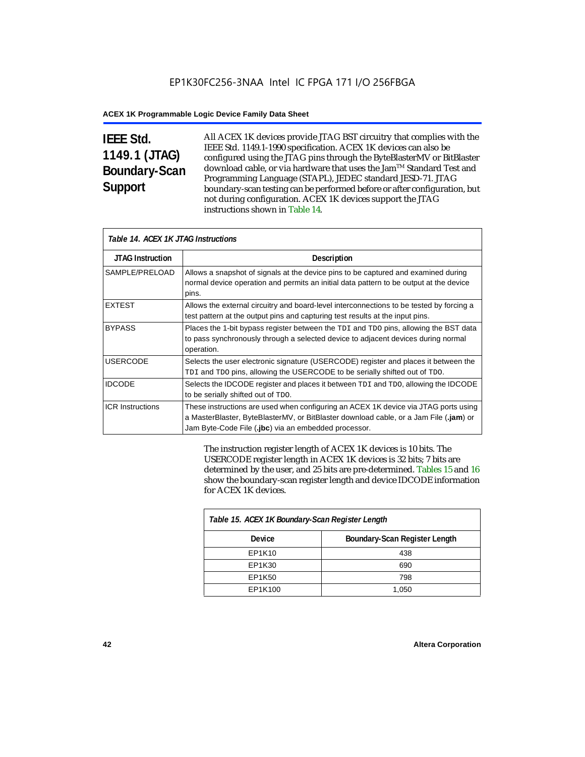# **IEEE Std. 1149.1 (JTAG) Boundary-Scan Support**

All ACEX 1K devices provide JTAG BST circuitry that complies with the IEEE Std. 1149.1-1990 specification. ACEX 1K devices can also be configured using the JTAG pins through the ByteBlasterMV or BitBlaster download cable, or via hardware that uses the Jam™ Standard Test and Programming Language (STAPL), JEDEC standard JESD-71. JTAG boundary-scan testing can be performed before or after configuration, but not during configuration. ACEX 1K devices support the JTAG instructions shown in Table 14.

| Table 14. ACEX 1K JTAG Instructions |                                                                                                                                                                                                                                      |  |  |  |
|-------------------------------------|--------------------------------------------------------------------------------------------------------------------------------------------------------------------------------------------------------------------------------------|--|--|--|
| <b>JTAG Instruction</b>             | Description                                                                                                                                                                                                                          |  |  |  |
| SAMPLE/PRELOAD                      | Allows a snapshot of signals at the device pins to be captured and examined during<br>normal device operation and permits an initial data pattern to be output at the device<br>pins.                                                |  |  |  |
| <b>EXTEST</b>                       | Allows the external circuitry and board-level interconnections to be tested by forcing a<br>test pattern at the output pins and capturing test results at the input pins.                                                            |  |  |  |
| <b>BYPASS</b>                       | Places the 1-bit bypass register between the TDI and TDO pins, allowing the BST data<br>to pass synchronously through a selected device to adjacent devices during normal<br>operation.                                              |  |  |  |
| <b>USERCODE</b>                     | Selects the user electronic signature (USERCODE) register and places it between the<br>TDI and TDO pins, allowing the USERCODE to be serially shifted out of TDO.                                                                    |  |  |  |
| <b>IDCODE</b>                       | Selects the IDCODE register and places it between TDI and TDO, allowing the IDCODE<br>to be serially shifted out of TDO.                                                                                                             |  |  |  |
| <b>ICR Instructions</b>             | These instructions are used when configuring an ACEX 1K device via JTAG ports using<br>a MasterBlaster, ByteBlasterMV, or BitBlaster download cable, or a Jam File (.jam) or<br>Jam Byte-Code File (.jbc) via an embedded processor. |  |  |  |

The instruction register length of ACEX 1K devices is 10 bits. The USERCODE register length in ACEX 1K devices is 32 bits; 7 bits are determined by the user, and 25 bits are pre-determined. Tables 15 and 16 show the boundary-scan register length and device IDCODE information for ACEX 1K devices.

| Table 15. ACEX 1K Boundary-Scan Register Length |                               |  |  |  |
|-------------------------------------------------|-------------------------------|--|--|--|
| Device                                          | Boundary-Scan Register Length |  |  |  |
| EP1K10                                          | 438                           |  |  |  |
| EP1K30                                          | 690                           |  |  |  |
| EP1K50                                          | 798                           |  |  |  |
| EP1K100                                         | 1,050                         |  |  |  |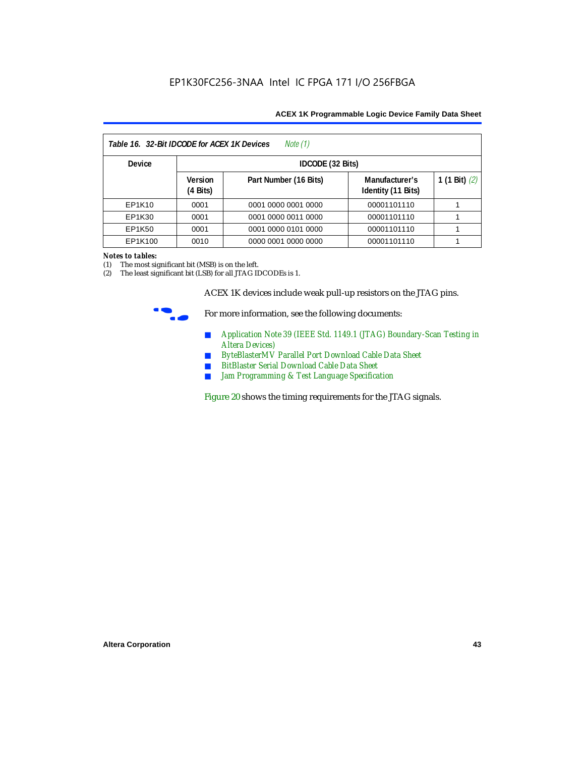| Note (1)<br>Table 16. 32-Bit IDCODE for ACEX 1K Devices |                                      |                       |                                      |                 |  |  |
|---------------------------------------------------------|--------------------------------------|-----------------------|--------------------------------------|-----------------|--|--|
| <b>Device</b>                                           |                                      | IDCODE (32 Bits)      |                                      |                 |  |  |
|                                                         | <b>Version</b><br>$(4 \text{ Bits})$ | Part Number (16 Bits) | Manufacturer's<br>Identity (11 Bits) | 1 (1 Bit) $(2)$ |  |  |
| EP1K10                                                  | 0001                                 | 0001 0000 0001 0000   | 00001101110                          |                 |  |  |
| EP1K30                                                  | 0001                                 | 0001 0000 0011 0000   | 00001101110                          |                 |  |  |
| EP1K50                                                  | 0001                                 | 0001 0000 0101 0000   | 00001101110                          |                 |  |  |
| EP1K100                                                 | 0010                                 | 0000 0001 0000 0000   | 00001101110                          |                 |  |  |

#### *Notes to tables:*

(1) The most significant bit (MSB) is on the left.

(2) The least significant bit (LSB) for all JTAG IDCODEs is 1.

ACEX 1K devices include weak pull-up resistors on the JTAG pins.



For more information, see the following documents:

- *Application Note 39 (IEEE Std. 1149.1 (JTAG) Boundary-Scan Testing in Altera Devices)*
- *ByteBlasterMV Parallel Port Download Cable Data Sheet*
- *BitBlaster Serial Download Cable Data Sheet*
- *Jam Programming & Test Language Specification*

Figure 20 shows the timing requirements for the JTAG signals.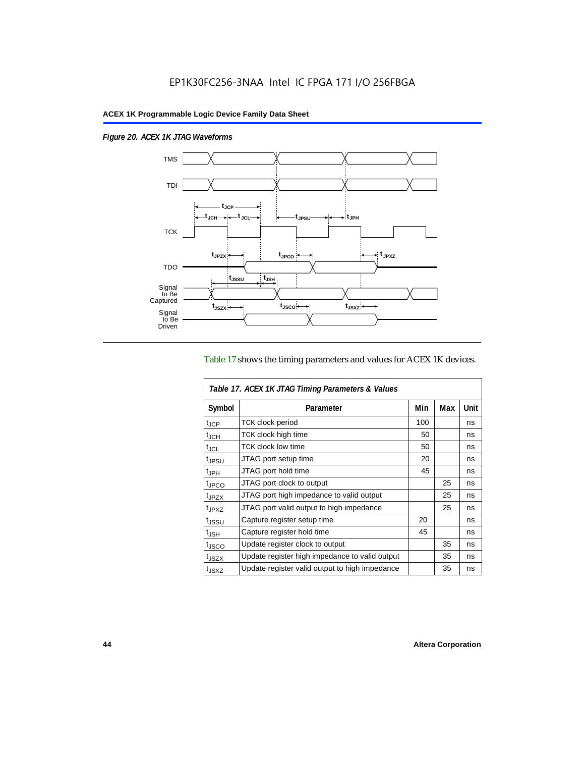$\overline{1}$ 

*Figure 20. ACEX 1K JTAG Waveforms*



## Table 17 shows the timing parameters and values for ACEX 1K devices.

| Table 17. ACEX 1K JTAG Timing Parameters & Values |                                                |     |     |      |  |  |
|---------------------------------------------------|------------------------------------------------|-----|-----|------|--|--|
| Symbol                                            | Parameter                                      | Min | Max | Unit |  |  |
| t <sub>JCP</sub>                                  | <b>TCK clock period</b>                        | 100 |     | ns   |  |  |
| $t_{JCH}$                                         | TCK clock high time                            | 50  |     | ns   |  |  |
| t <sub>JCL</sub>                                  | <b>TCK clock low time</b>                      | 50  |     | ns   |  |  |
| <sup>t</sup> JPSU                                 | JTAG port setup time                           | 20  |     | ns   |  |  |
| $t_{\rm JPH}$                                     | JTAG port hold time                            | 45  |     | ns   |  |  |
| <sup>t</sup> JPCO                                 | JTAG port clock to output                      |     | 25  | ns   |  |  |
| t <sub>JPZX</sub>                                 | JTAG port high impedance to valid output       |     | 25  | ns   |  |  |
| t <sub>JPXZ</sub>                                 | JTAG port valid output to high impedance       |     | 25  | ns   |  |  |
| tjssu                                             | Capture register setup time                    | 20  |     | ns   |  |  |
| $t_{\mathsf{JSH}}$                                | Capture register hold time                     | 45  |     | ns   |  |  |
| t <sub>JSCO</sub>                                 | Update register clock to output                |     | 35  | ns   |  |  |
| t <sub>JSZX</sub>                                 | Update register high impedance to valid output |     | 35  | ns   |  |  |
| t <sub>JSXZ</sub>                                 | Update register valid output to high impedance |     | 35  | ns   |  |  |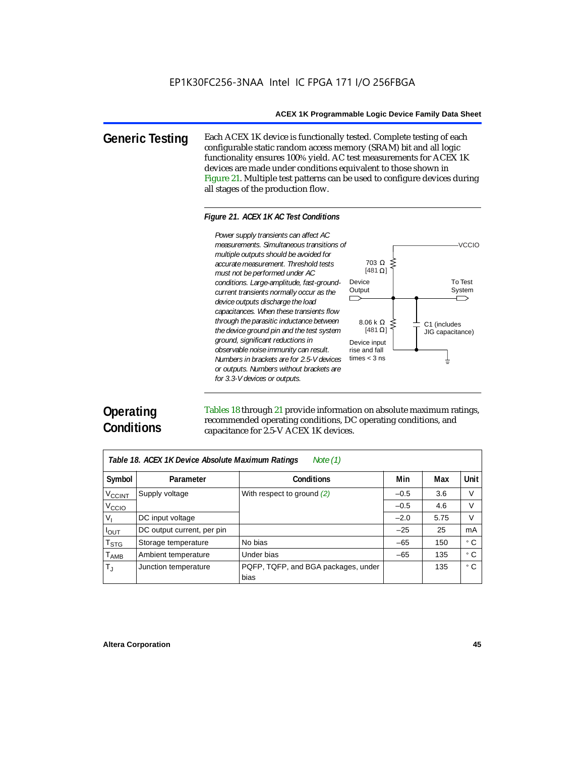**Generic Testing** Each ACEX 1K device is functionally tested. Complete testing of each configurable static random access memory (SRAM) bit and all logic functionality ensures 100% yield. AC test measurements for ACEX 1K devices are made under conditions equivalent to those shown in Figure 21. Multiple test patterns can be used to configure devices during all stages of the production flow.

#### *Figure 21. ACEX 1K AC Test Conditions*



# **Operating Conditions**

Tables 18 through 21 provide information on absolute maximum ratings, recommended operating conditions, DC operating conditions, and capacitance for 2.5-V ACEX 1K devices.

| Note $(1)$<br>Table 18. ACEX 1K Device Absolute Maximum Ratings |                            |                                             |        |      |      |  |
|-----------------------------------------------------------------|----------------------------|---------------------------------------------|--------|------|------|--|
| Symbol                                                          | Parameter                  | <b>Conditions</b>                           | Min    | Max  | Unit |  |
| <b>V<sub>CCINT</sub></b>                                        | Supply voltage             | With respect to ground $(2)$                | $-0.5$ | 3.6  | V    |  |
| V <sub>CCIO</sub>                                               |                            |                                             | $-0.5$ | 4.6  | V    |  |
| $V_{1}$                                                         | DC input voltage           |                                             | $-2.0$ | 5.75 | V    |  |
| $I_{OUT}$                                                       | DC output current, per pin |                                             | $-25$  | 25   | mA   |  |
| $\mathsf{T}_{\textsf{STG}}$                                     | Storage temperature        | No bias                                     | $-65$  | 150  | ۰c   |  |
| $T_{\sf AMB}$                                                   | Ambient temperature        | Under bias                                  | $-65$  | 135  | ۰c   |  |
| $\mathsf{T}_\mathrm{J}$                                         | Junction temperature       | PQFP, TQFP, and BGA packages, under<br>bias |        | 135  | ° C  |  |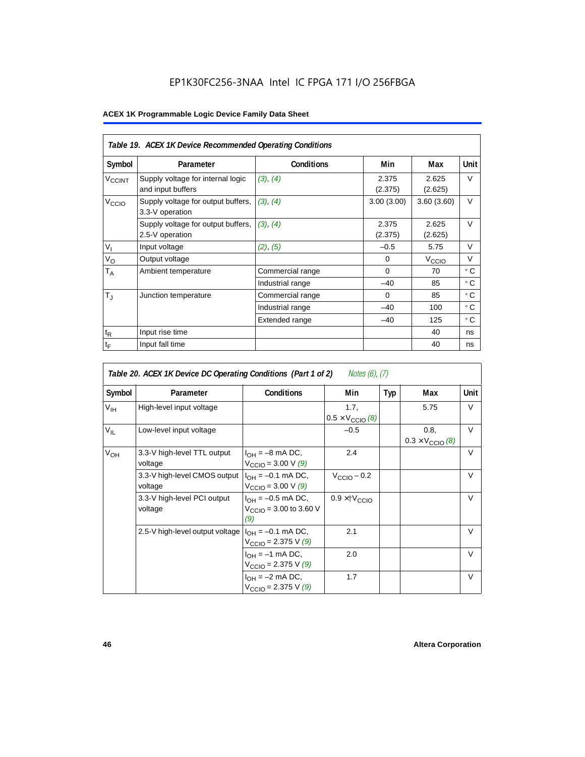## EP1K30FC256-3NAA Intel IC FPGA 171 I/O 256FBGA

|                    | Table 19. ACEX 1K Device Recommended Operating Conditions |                   |                  |                   |             |  |  |  |
|--------------------|-----------------------------------------------------------|-------------------|------------------|-------------------|-------------|--|--|--|
| Symbol             | Parameter                                                 | <b>Conditions</b> | Min              | Max               | <b>Unit</b> |  |  |  |
| V <sub>CCINT</sub> | Supply voltage for internal logic<br>and input buffers    | (3), (4)          | 2.375<br>(2.375) | 2.625<br>(2.625)  | V           |  |  |  |
| V <sub>CCIO</sub>  | Supply voltage for output buffers,<br>3.3-V operation     | (3), (4)          | 3.00(3.00)       | 3.60(3.60)        | $\vee$      |  |  |  |
|                    | Supply voltage for output buffers,<br>2.5-V operation     | (3), (4)          | 2.375<br>(2.375) | 2.625<br>(2.625)  | $\vee$      |  |  |  |
| $V_{I}$            | Input voltage                                             | (2), (5)          | $-0.5$           | 5.75              | $\vee$      |  |  |  |
| $V_{\rm O}$        | Output voltage                                            |                   | $\Omega$         | V <sub>ccio</sub> | V           |  |  |  |
| $T_A$              | Ambient temperature                                       | Commercial range  | $\Omega$         | 70                | ۰c          |  |  |  |
|                    |                                                           | Industrial range  | $-40$            | 85                | ۰c          |  |  |  |
| $T_{\rm J}$        | Junction temperature                                      | Commercial range  | $\Omega$         | 85                | ۰c          |  |  |  |
|                    |                                                           | Industrial range  | $-40$            | 100               | ۰c          |  |  |  |
|                    |                                                           | Extended range    | $-40$            | 125               | ° C         |  |  |  |
| $t_{R}$            | Input rise time                                           |                   |                  | 40                | ns          |  |  |  |
| $t_{\mathsf{F}}$   | Input fall time                                           |                   |                  | 40                | ns          |  |  |  |

| Notes (6), (7)<br>Table 20. ACEX 1K Device DC Operating Conditions (Part 1 of 2) |                                         |                                                                     |                                          |     |                                          |        |  |  |
|----------------------------------------------------------------------------------|-----------------------------------------|---------------------------------------------------------------------|------------------------------------------|-----|------------------------------------------|--------|--|--|
| Symbol                                                                           | Parameter                               | <b>Conditions</b>                                                   | Min                                      | Typ | Max                                      | Unit   |  |  |
| $V_{\text{IH}}$                                                                  | High-level input voltage                |                                                                     | 1.7,<br>$0.5 \times V_{\text{CCIO}}$ (8) |     | 5.75                                     | V      |  |  |
| $V_{IL}$                                                                         | Low-level input voltage                 |                                                                     | $-0.5$                                   |     | 0.8.<br>$0.3 \times V_{\text{CCIO}}$ (8) | $\vee$ |  |  |
| $V_{OH}$                                                                         | 3.3-V high-level TTL output<br>voltage  | $I_{OH} = -8$ mA DC,<br>$V_{\text{CCIO}} = 3.00 \text{ V } (9)$     | 2.4                                      |     |                                          | V      |  |  |
|                                                                                  | 3.3-V high-level CMOS output<br>voltage | $I_{OH} = -0.1$ mA DC,<br>$V_{\text{CCIO}} = 3.00 \text{ V } (9)$   | $V_{\text{CCIO}} - 0.2$                  |     |                                          | $\vee$ |  |  |
|                                                                                  | 3.3-V high-level PCI output<br>voltage  | $I_{OH} = -0.5$ mA DC,<br>$V_{\text{CCIO}} = 3.00$ to 3.60 V<br>(9) | $0.9 \times$ † $V_{\text{CCIO}}$         |     |                                          | $\vee$ |  |  |
|                                                                                  | 2.5-V high-level output voltage         | $I_{OH} = -0.1$ mA DC,<br>$V_{\text{CCIO}} = 2.375 \text{ V } (9)$  | 2.1                                      |     |                                          | $\vee$ |  |  |
|                                                                                  |                                         | $I_{OH} = -1$ mA DC,<br>$V_{\text{CCIO}} = 2.375 \text{ V} (9)$     | 2.0                                      |     |                                          | $\vee$ |  |  |
|                                                                                  |                                         | $I_{OH} = -2$ mA DC,<br>$V_{\text{CCIO}} = 2.375 \text{ V} (9)$     | 1.7                                      |     |                                          | $\vee$ |  |  |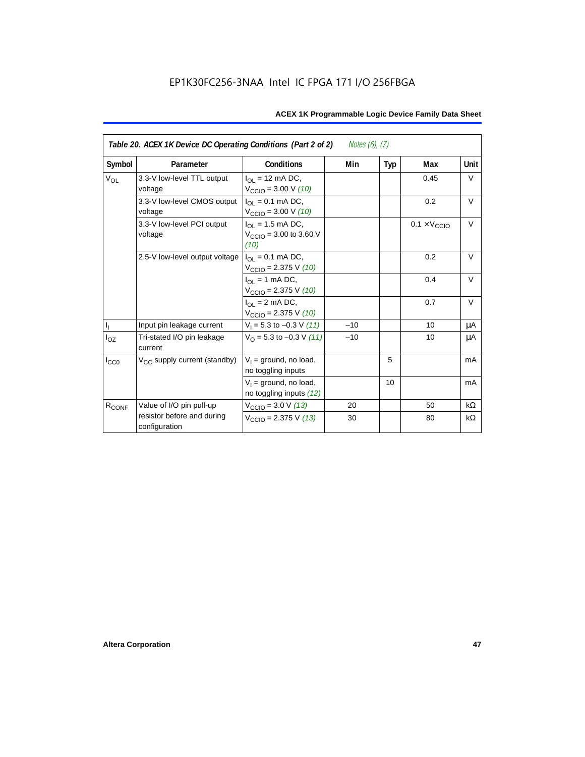| Table 20. ACEX 1K Device DC Operating Conditions (Part 2 of 2)<br><i>Notes (6), (7)</i> |                                             |                                                                         |       |     |                              |           |  |
|-----------------------------------------------------------------------------------------|---------------------------------------------|-------------------------------------------------------------------------|-------|-----|------------------------------|-----------|--|
| Symbol                                                                                  | Parameter                                   | <b>Conditions</b>                                                       | Min   | Typ | Max                          | Unit      |  |
| <b>V<sub>OL</sub></b>                                                                   | 3.3-V low-level TTL output<br>voltage       | $I_{\Omega}$ = 12 mA DC,<br>$V_{\text{CCIO}} = 3.00 \text{ V} (10)$     |       |     | 0.45                         | V         |  |
|                                                                                         | 3.3-V low-level CMOS output<br>voltage      | $I_{\Omega I} = 0.1$ mA DC,<br>$V_{\text{CCIO}} = 3.00 \text{ V} (10)$  |       |     | 0.2                          | $\vee$    |  |
|                                                                                         | 3.3-V low-level PCI output<br>voltage       | $I_{OL}$ = 1.5 mA DC,<br>$V_{\text{CCIO}} = 3.00$ to 3.60 V<br>(10)     |       |     | $0.1 \times V_{\text{CCIO}}$ | $\vee$    |  |
|                                                                                         | 2.5-V low-level output voltage              | $I_{\Omega I} = 0.1$ mA DC,<br>$V_{\text{CCIO}} = 2.375 \text{ V} (10)$ |       |     | 0.2                          | $\vee$    |  |
|                                                                                         |                                             | $I_{OL}$ = 1 mA DC,<br>$V_{\text{CCIO}} = 2.375 \text{ V} (10)$         |       |     | 0.4                          | $\vee$    |  |
|                                                                                         |                                             | $I_{\Omega}$ = 2 mA DC,<br>$V_{\text{CCIO}} = 2.375 \text{ V} (10)$     |       |     | 0.7                          | $\vee$    |  |
| $\mathsf{I}_\mathrm{I}$                                                                 | Input pin leakage current                   | $V_1 = 5.3$ to $-0.3$ V (11)                                            | $-10$ |     | 10                           | μA        |  |
| $I_{OZ}$                                                                                | Tri-stated I/O pin leakage<br>current       | $V_{\Omega}$ = 5.3 to -0.3 V (11)                                       | $-10$ |     | 10                           | μA        |  |
| $I_{CC0}$                                                                               | $V_{CC}$ supply current (standby)           | $V_1$ = ground, no load,<br>no toggling inputs                          |       | 5   |                              | mA        |  |
|                                                                                         |                                             | $V_1$ = ground, no load,<br>no toggling inputs (12)                     |       | 10  |                              | mA        |  |
| R <sub>CONF</sub>                                                                       | Value of I/O pin pull-up                    | $V_{\text{CCIO}} = 3.0 \text{ V } (13)$                                 | 20    |     | 50                           | $k\Omega$ |  |
|                                                                                         | resistor before and during<br>configuration | $V_{\text{CCIO}} = 2.375 \text{ V} (13)$                                | 30    |     | 80                           | kΩ        |  |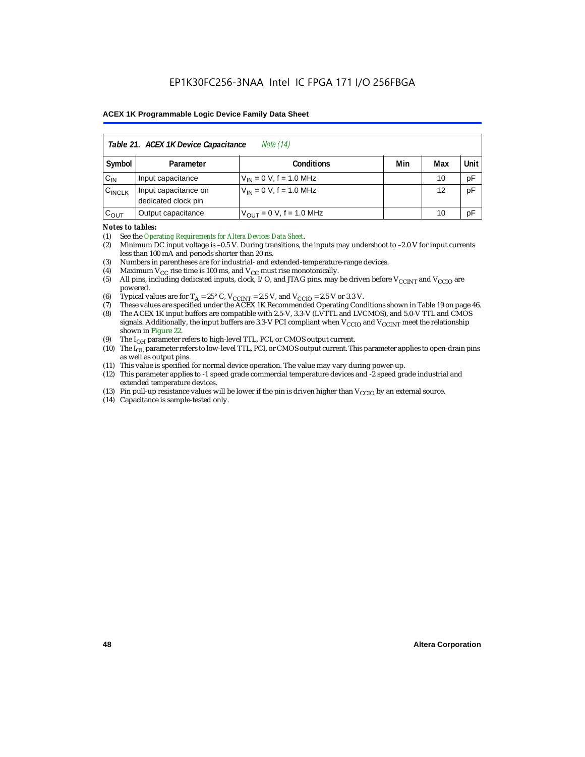| Table 21. ACEX 1K Device Capacitance<br><i>Note</i> (14) |                                                      |                                     |  |    |    |  |  |  |
|----------------------------------------------------------|------------------------------------------------------|-------------------------------------|--|----|----|--|--|--|
| Symbol                                                   | Min<br>Unit<br>Max<br><b>Conditions</b><br>Parameter |                                     |  |    |    |  |  |  |
| $C_{IN}$                                                 | Input capacitance                                    | $V_{IN} = 0 V$ , f = 1.0 MHz        |  | 10 | pF |  |  |  |
| $C_{\text{INCLK}}$                                       | Input capacitance on<br>dedicated clock pin          | $V_{1N} = 0 V$ , f = 1.0 MHz        |  | 12 | pF |  |  |  |
| $C_{OUT}$                                                | Output capacitance                                   | $V_{\text{OUT}} = 0$ V, f = 1.0 MHz |  | 10 | рF |  |  |  |

#### *Notes to tables:*

(1) See the *Operating Requirements for Altera Devices Data Sheet*.

- (2) Minimum DC input voltage is –0.5 V. During transitions, the inputs may undershoot to –2.0 V for input currents less than 100 mA and periods shorter than 20 ns.
- (3) Numbers in parentheses are for industrial- and extended-temperature-range devices.
- (4) Maximum  $V_{CC}$  rise time is 100 ms, and  $V_{CC}$  must rise monotonically.<br>(5) All pins, including dedicated inputs, clock, I/O, and JTAG pins, may
- All pins, including dedicated inputs, clock, I/O, and JTAG pins, may be driven before  $V_{\text{CCINT}}$  and  $V_{\text{CCIO}}$  are powered.
- (6) Typical values are for  $T_A = 25^\circ$  C,  $V_{CClNT} = 2.5$  V, and  $V_{CClO} = 2.5$  V or 3.3 V.<br>(7) These values are specified under the ACEX 1K Recommended Operating Cone
- (7) These values are specified under the ACEX 1K Recommended Operating Conditions shown in Table 19 on page 46.<br>(8) The ACEX 1K input buffers are compatible with 2.5-V. 3.3-V (LVTTL and LVCMOS), and 5.0-V TTL and CMOS
- The ACEX 1K input buffers are compatible with 2.5-V, 3.3-V (LVTTL and LVCMOS), and 5.0-V TTL and CMOS signals. Additionally, the input buffers are 3.3-V PCI compliant when  $V_{CCIO}$  and  $V_{CCINT}$  meet the relationship shown in Figure 22.
- (9) The  $I_{OH}$  parameter refers to high-level TTL, PCI, or CMOS output current.
- (10) The I<sub>OL</sub> parameter refers to low-level TTL, PCI, or CMOS output current. This parameter applies to open-drain pins as well as output pins.
- (11) This value is specified for normal device operation. The value may vary during power-up.
- (12) This parameter applies to -1 speed grade commercial temperature devices and -2 speed grade industrial and extended temperature devices.
- (13) Pin pull-up resistance values will be lower if the pin is driven higher than  $V_{\text{CCIO}}$  by an external source.
- (14) Capacitance is sample-tested only.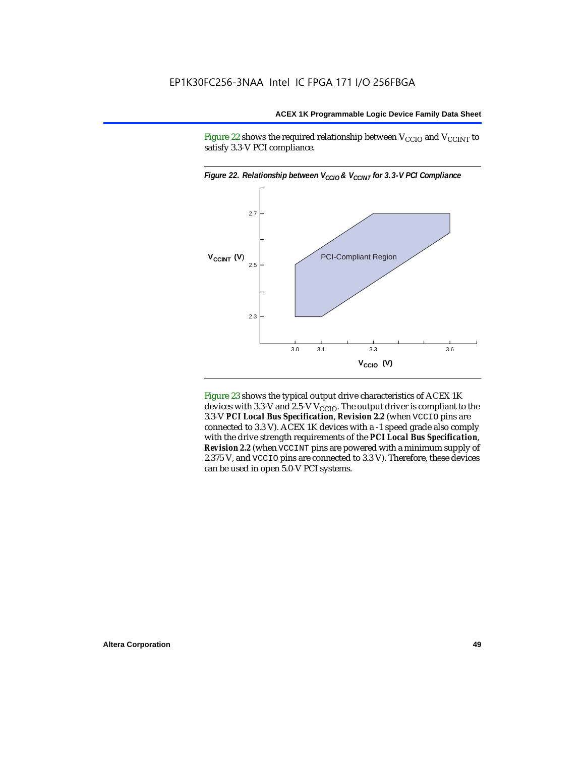Figure 22 shows the required relationship between  $V_{\text{CCIO}}$  and  $V_{\text{CCINT}}$  to satisfy 3.3-V PCI compliance.



Figure 23 shows the typical output drive characteristics of ACEX 1K devices with 3.3-V and 2.5-V  $V_{\text{CCIO}}$ . The output driver is compliant to the 3.3-V *PCI Local Bus Specification*, *Revision 2.2* (when VCCIO pins are connected to 3.3 V). ACEX 1K devices with a -1 speed grade also comply with the drive strength requirements of the *PCI Local Bus Specification*, *Revision 2.2* (when VCCINT pins are powered with a minimum supply of 2.375 V, and VCCIO pins are connected to 3.3 V). Therefore, these devices can be used in open 5.0-V PCI systems.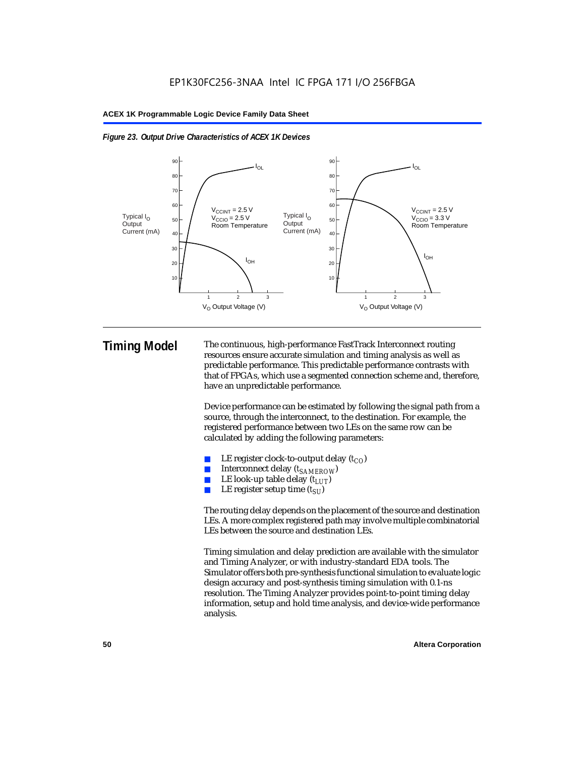



**Timing Model** The continuous, high-performance FastTrack Interconnect routing resources ensure accurate simulation and timing analysis as well as predictable performance. This predictable performance contrasts with that of FPGAs, which use a segmented connection scheme and, therefore, have an unpredictable performance.

> Device performance can be estimated by following the signal path from a source, through the interconnect, to the destination. For example, the registered performance between two LEs on the same row can be calculated by adding the following parameters:

- LE register clock-to-output delay  $(t_{CO})$
- Interconnect delay ( $t_{SAMFROW}$ )
- **■** LE look-up table delay  $(t_{LUT})$ <br>
 LE register setup time  $(t_{ST})$
- LE register setup time  $(t_{SI})$

The routing delay depends on the placement of the source and destination LEs. A more complex registered path may involve multiple combinatorial LEs between the source and destination LEs.

Timing simulation and delay prediction are available with the simulator and Timing Analyzer, or with industry-standard EDA tools. The Simulator offers both pre-synthesis functional simulation to evaluate logic design accuracy and post-synthesis timing simulation with 0.1-ns resolution. The Timing Analyzer provides point-to-point timing delay information, setup and hold time analysis, and device-wide performance analysis.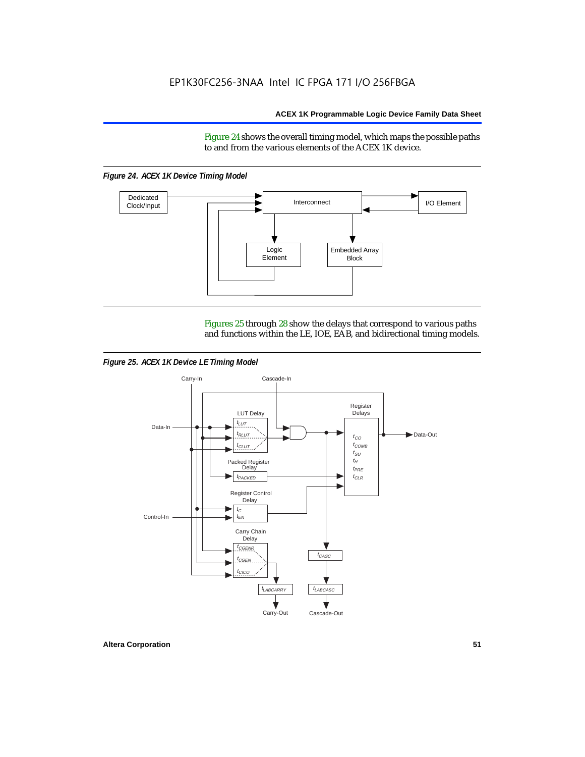Figure 24 shows the overall timing model, which maps the possible paths to and from the various elements of the ACEX 1K device.

*Figure 24. ACEX 1K Device Timing Model*



Figures 25 through 28 show the delays that correspond to various paths and functions within the LE, IOE, EAB, and bidirectional timing models.

*Figure 25. ACEX 1K Device LE Timing Model*

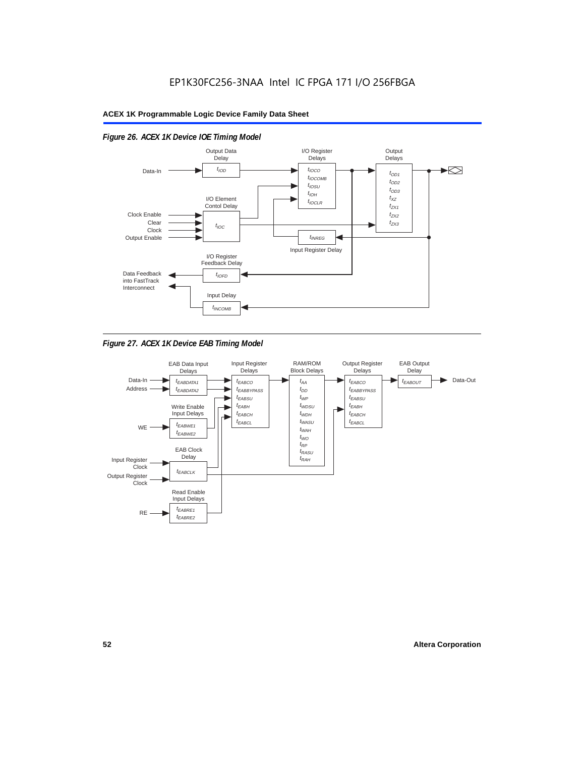

## *Figure 26. ACEX 1K Device IOE Timing Model*

*Figure 27. ACEX 1K Device EAB Timing Model*

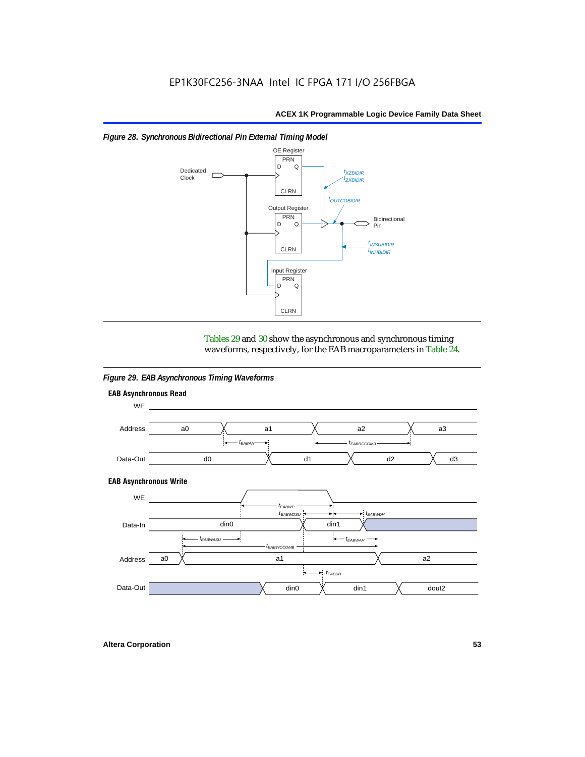



Tables 29 and 30 show the asynchronous and synchronous timing waveforms, respectively, for the EAB macroparameters in Table 24.

*Figure 29. EAB Asynchronous Timing Waveforms*

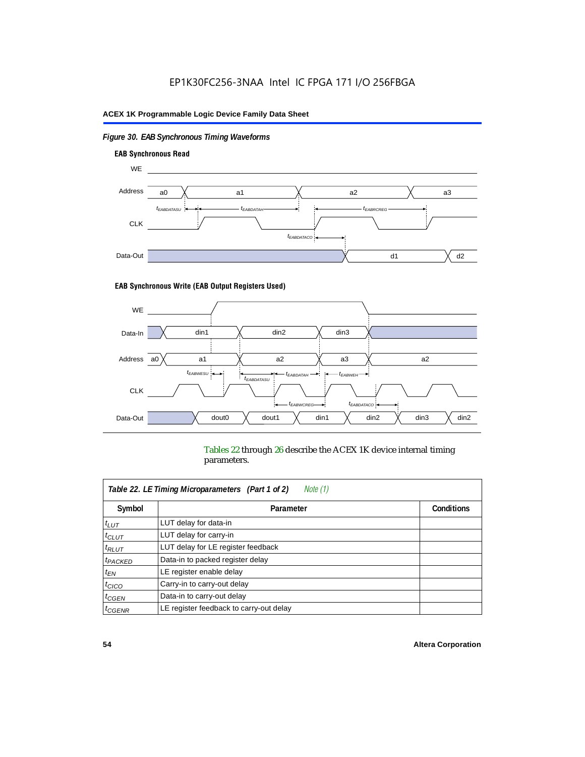## *Figure 30. EAB Synchronous Timing Waveforms*



#### **EAB Synchronous Write (EAB Output Registers Used)**



Tables 22 through 26 describe the ACEX 1K device internal timing parameters.

| Note (1)<br>Table 22. LE Timing Microparameters (Part 1 of 2) |                                         |                   |  |  |  |  |
|---------------------------------------------------------------|-----------------------------------------|-------------------|--|--|--|--|
| Symbol                                                        | Parameter                               | <b>Conditions</b> |  |  |  |  |
| $t_{LUT}$                                                     | LUT delay for data-in                   |                   |  |  |  |  |
| $t_{CLUT}$                                                    | LUT delay for carry-in                  |                   |  |  |  |  |
| $t_{RLUT}$                                                    | LUT delay for LE register feedback      |                   |  |  |  |  |
| <sup>t</sup> PACKED                                           | Data-in to packed register delay        |                   |  |  |  |  |
| $t_{EN}$                                                      | LE register enable delay                |                   |  |  |  |  |
| $t_{CICO}$                                                    | Carry-in to carry-out delay             |                   |  |  |  |  |
| $t_{G\text{E}\text{N}}$                                       | Data-in to carry-out delay              |                   |  |  |  |  |
| ${}^t$ CGENR                                                  | LE register feedback to carry-out delay |                   |  |  |  |  |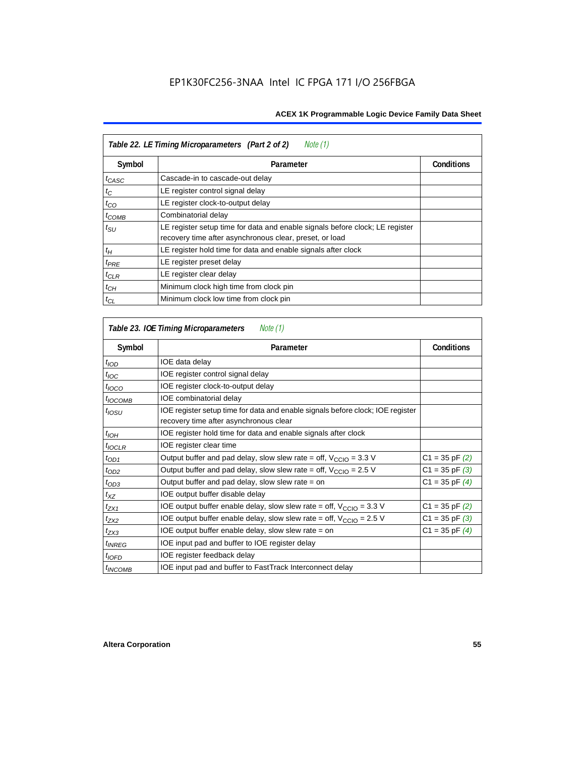| Table 22. LE Timing Microparameters (Part 2 of 2)<br>Note (1) |                                                                                                                                         |                   |  |  |  |  |
|---------------------------------------------------------------|-----------------------------------------------------------------------------------------------------------------------------------------|-------------------|--|--|--|--|
| Symbol                                                        | Parameter                                                                                                                               | <b>Conditions</b> |  |  |  |  |
| t <sub>CASC</sub>                                             | Cascade-in to cascade-out delay                                                                                                         |                   |  |  |  |  |
| $t_C$                                                         | LE register control signal delay                                                                                                        |                   |  |  |  |  |
| $t_{CO}$                                                      | LE register clock-to-output delay                                                                                                       |                   |  |  |  |  |
| $t_{COMB}$                                                    | Combinatorial delay                                                                                                                     |                   |  |  |  |  |
| $t_{\rm SU}$                                                  | LE register setup time for data and enable signals before clock; LE register<br>recovery time after asynchronous clear, preset, or load |                   |  |  |  |  |
| $t_H$                                                         | LE register hold time for data and enable signals after clock                                                                           |                   |  |  |  |  |
| $t_{PRE}$                                                     | LE register preset delay                                                                                                                |                   |  |  |  |  |
| $t_{CLR}$                                                     | LE register clear delay                                                                                                                 |                   |  |  |  |  |
| $t_{CH}$                                                      | Minimum clock high time from clock pin                                                                                                  |                   |  |  |  |  |
| $t_{CL}$                                                      | Minimum clock low time from clock pin                                                                                                   |                   |  |  |  |  |

| Table 23. IOE Timing Microparameters<br>Note (1) |                                                                                                                          |                    |  |  |  |  |
|--------------------------------------------------|--------------------------------------------------------------------------------------------------------------------------|--------------------|--|--|--|--|
| Symbol                                           | Parameter                                                                                                                | <b>Conditions</b>  |  |  |  |  |
| $t$ <sub>IOD</sub>                               | IOE data delay                                                                                                           |                    |  |  |  |  |
| $t_{\text{IOC}}$                                 | IOE register control signal delay                                                                                        |                    |  |  |  |  |
| $t_{\text{IOCO}}$                                | IOE register clock-to-output delay                                                                                       |                    |  |  |  |  |
| $t_{IOCOMB}$                                     | IOE combinatorial delay                                                                                                  |                    |  |  |  |  |
| $t_{IOSU}$                                       | IOE register setup time for data and enable signals before clock; IOE register<br>recovery time after asynchronous clear |                    |  |  |  |  |
| $t_{IOH}$                                        | IOE register hold time for data and enable signals after clock                                                           |                    |  |  |  |  |
| $t_{IOCLR}$                                      | IOE register clear time                                                                                                  |                    |  |  |  |  |
| $t_{OD1}$                                        | Output buffer and pad delay, slow slew rate = off, $V_{\text{CCIO}} = 3.3$ V                                             | $C1 = 35$ pF $(2)$ |  |  |  |  |
| $t_{OD2}$                                        | Output buffer and pad delay, slow slew rate = off, $V_{\text{CCIO}} = 2.5 V$                                             | $C1 = 35$ pF $(3)$ |  |  |  |  |
| $t_{OD3}$                                        | Output buffer and pad delay, slow slew rate $=$ on                                                                       | $C1 = 35$ pF $(4)$ |  |  |  |  |
| $t_{XZ}$                                         | IOE output buffer disable delay                                                                                          |                    |  |  |  |  |
| $t_{ZX1}$                                        | IOE output buffer enable delay, slow slew rate = off, $V_{\text{CCIO}} = 3.3 V$                                          | $C1 = 35$ pF $(2)$ |  |  |  |  |
| t <sub>ZX2</sub>                                 | IOE output buffer enable delay, slow slew rate = off, $V_{\text{CCIO}} = 2.5 V$                                          | $C1 = 35$ pF $(3)$ |  |  |  |  |
| t <sub>ZX3</sub>                                 | IOE output buffer enable delay, slow slew rate $=$ on                                                                    | $C1 = 35$ pF $(4)$ |  |  |  |  |
| <sup>t</sup> INREG                               | IOE input pad and buffer to IOE register delay                                                                           |                    |  |  |  |  |
| $t_{IOFD}$                                       | IOE register feedback delay                                                                                              |                    |  |  |  |  |
| <sup>t</sup> INCOMB                              | IOE input pad and buffer to FastTrack Interconnect delay                                                                 |                    |  |  |  |  |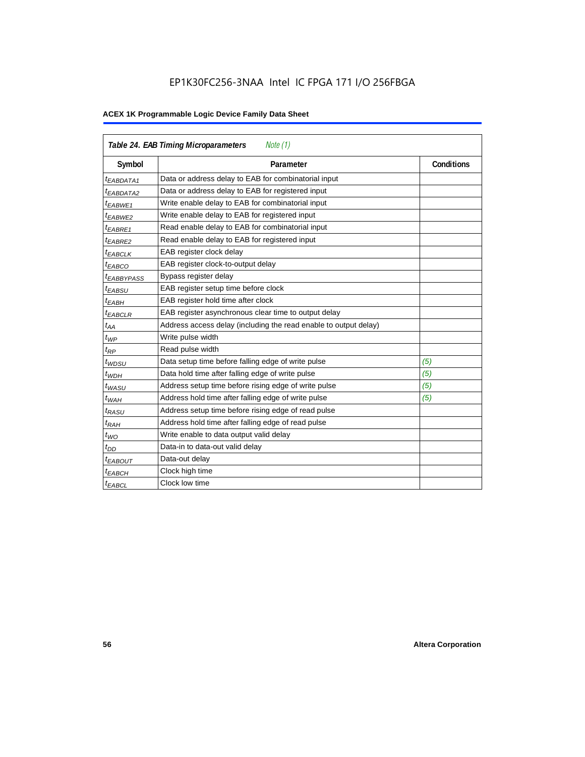## EP1K30FC256-3NAA Intel IC FPGA 171 I/O 256FBGA

| <b>Table 24. EAB Timing Microparameters</b><br>Note (1) |                                                                  |                   |  |  |  |  |
|---------------------------------------------------------|------------------------------------------------------------------|-------------------|--|--|--|--|
| Symbol                                                  | Parameter                                                        | <b>Conditions</b> |  |  |  |  |
| <sup>t</sup> EABDATA1                                   | Data or address delay to EAB for combinatorial input             |                   |  |  |  |  |
| <sup>t</sup> EABDATA2                                   | Data or address delay to EAB for registered input                |                   |  |  |  |  |
| <sup>t</sup> EABWE1                                     | Write enable delay to EAB for combinatorial input                |                   |  |  |  |  |
| t <sub>EABWE2</sub>                                     | Write enable delay to EAB for registered input                   |                   |  |  |  |  |
| $t_{EABRE1}$                                            | Read enable delay to EAB for combinatorial input                 |                   |  |  |  |  |
| $t_{EABRE2}$                                            | Read enable delay to EAB for registered input                    |                   |  |  |  |  |
| $t_{EABCLK}$                                            | EAB register clock delay                                         |                   |  |  |  |  |
| $t_{EABCO}$                                             | EAB register clock-to-output delay                               |                   |  |  |  |  |
| <sup>t</sup> EABBYPASS                                  | Bypass register delay                                            |                   |  |  |  |  |
| t <sub>EABSU</sub>                                      | EAB register setup time before clock                             |                   |  |  |  |  |
| t <sub>EABH</sub>                                       | EAB register hold time after clock                               |                   |  |  |  |  |
| $t_{EABCLR}$                                            | EAB register asynchronous clear time to output delay             |                   |  |  |  |  |
| $t_{AA}$                                                | Address access delay (including the read enable to output delay) |                   |  |  |  |  |
| $t_{WP}$                                                | Write pulse width                                                |                   |  |  |  |  |
| $t_{RP}$                                                | Read pulse width                                                 |                   |  |  |  |  |
| $t_{WDSU}$                                              | Data setup time before falling edge of write pulse               | (5)               |  |  |  |  |
| $t_{WDH}$                                               | Data hold time after falling edge of write pulse                 | (5)               |  |  |  |  |
| $t_{WASU}$                                              | Address setup time before rising edge of write pulse             | (5)               |  |  |  |  |
| $t_{WAH}$                                               | Address hold time after falling edge of write pulse              | (5)               |  |  |  |  |
| t <sub>RASU</sub>                                       | Address setup time before rising edge of read pulse              |                   |  |  |  |  |
| $t_{RAH}$                                               | Address hold time after falling edge of read pulse               |                   |  |  |  |  |
| $t_{WO}$                                                | Write enable to data output valid delay                          |                   |  |  |  |  |
| $t_{DD}$                                                | Data-in to data-out valid delay                                  |                   |  |  |  |  |
| $t_{EABOUT}$                                            | Data-out delay                                                   |                   |  |  |  |  |
| <sup>t</sup> ЕАВСН                                      | Clock high time                                                  |                   |  |  |  |  |
| <sup>t</sup> EABCL                                      | Clock low time                                                   |                   |  |  |  |  |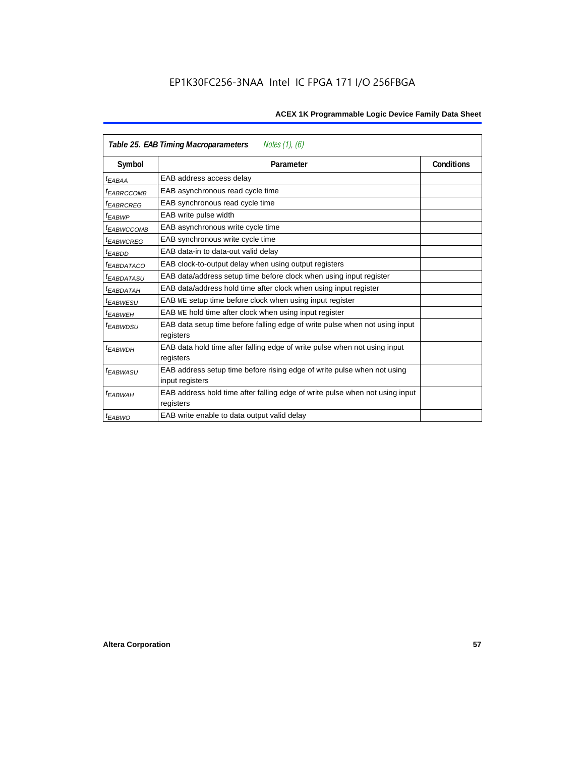| Table 25. EAB Timing Macroparameters<br>Notes (1), (6) |                                                                                          |                   |  |  |  |  |
|--------------------------------------------------------|------------------------------------------------------------------------------------------|-------------------|--|--|--|--|
| Symbol                                                 | Parameter                                                                                | <b>Conditions</b> |  |  |  |  |
| t <sub>EABAA</sub>                                     | EAB address access delay                                                                 |                   |  |  |  |  |
| <sup>t</sup> EABRCCOMB                                 | EAB asynchronous read cycle time                                                         |                   |  |  |  |  |
| <sup>t</sup> EABRCREG                                  | EAB synchronous read cycle time                                                          |                   |  |  |  |  |
| <sup>t</sup> EABWP                                     | EAB write pulse width                                                                    |                   |  |  |  |  |
| <sup>t</sup> ЕАВWССОМВ                                 | EAB asynchronous write cycle time                                                        |                   |  |  |  |  |
| <sup>t</sup> EABWCREG                                  | EAB synchronous write cycle time                                                         |                   |  |  |  |  |
| <sup>t</sup> EABDD                                     | EAB data-in to data-out valid delay                                                      |                   |  |  |  |  |
| <sup>t</sup> EABDATACO                                 | EAB clock-to-output delay when using output registers                                    |                   |  |  |  |  |
| <sup>t</sup> EABDATASU                                 | EAB data/address setup time before clock when using input register                       |                   |  |  |  |  |
| <sup>t</sup> EABDATAH                                  | EAB data/address hold time after clock when using input register                         |                   |  |  |  |  |
| <sup>t</sup> EABWESU                                   | EAB WE setup time before clock when using input register                                 |                   |  |  |  |  |
| <sup>t</sup> EABWEH                                    | EAB WE hold time after clock when using input register                                   |                   |  |  |  |  |
| <sup>t</sup> EABWDSU                                   | EAB data setup time before falling edge of write pulse when not using input<br>registers |                   |  |  |  |  |
| t <sub>EABWDH</sub>                                    | EAB data hold time after falling edge of write pulse when not using input                |                   |  |  |  |  |
|                                                        | registers                                                                                |                   |  |  |  |  |
| t <sub>EABWASU</sub>                                   | EAB address setup time before rising edge of write pulse when not using                  |                   |  |  |  |  |
|                                                        | input registers                                                                          |                   |  |  |  |  |
| <sup>t</sup> EABWAH                                    | EAB address hold time after falling edge of write pulse when not using input             |                   |  |  |  |  |
|                                                        | registers                                                                                |                   |  |  |  |  |
| $t_{EABWO}$                                            | EAB write enable to data output valid delay                                              |                   |  |  |  |  |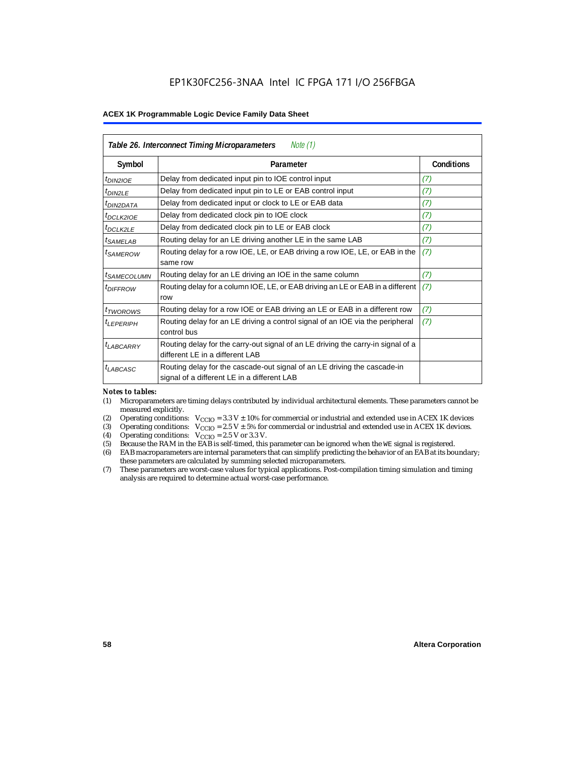| Table 26. Interconnect Timing Microparameters<br>Note $(1)$ |                                                                                                                         |                   |  |  |  |  |
|-------------------------------------------------------------|-------------------------------------------------------------------------------------------------------------------------|-------------------|--|--|--|--|
| Symbol                                                      | Parameter                                                                                                               | <b>Conditions</b> |  |  |  |  |
| $t_{DINZIOE}$                                               | Delay from dedicated input pin to IOE control input                                                                     | (7)               |  |  |  |  |
| $t_{DIN2LE}$                                                | Delay from dedicated input pin to LE or EAB control input                                                               | (7)               |  |  |  |  |
| <sup>t</sup> DIN2DATA                                       | Delay from dedicated input or clock to LE or EAB data                                                                   | (7)               |  |  |  |  |
| $t_{DCLK2IOE}$                                              | Delay from dedicated clock pin to IOE clock                                                                             | (7)               |  |  |  |  |
| t <sub>DCLK2LE</sub>                                        | Delay from dedicated clock pin to LE or EAB clock                                                                       | (7)               |  |  |  |  |
| <sup>t</sup> SAMELAB                                        | Routing delay for an LE driving another LE in the same LAB                                                              | (7)               |  |  |  |  |
| <sup>t</sup> SAMEROW                                        | Routing delay for a row IOE, LE, or EAB driving a row IOE, LE, or EAB in the<br>same row                                | (7)               |  |  |  |  |
| <sup>t</sup> SAMECOLUMN                                     | Routing delay for an LE driving an IOE in the same column                                                               | (7)               |  |  |  |  |
| <i>t<sub>DIFFROW</sub></i>                                  | Routing delay for a column IOE, LE, or EAB driving an LE or EAB in a different<br>row                                   | (7)               |  |  |  |  |
| <i>t</i> <sub>TWOROWS</sub>                                 | Routing delay for a row IOE or EAB driving an LE or EAB in a different row                                              | (7)               |  |  |  |  |
| <sup>t</sup> LEPERIPH                                       | Routing delay for an LE driving a control signal of an IOE via the peripheral<br>control bus                            | (7)               |  |  |  |  |
| $t_{LABCARRY}$                                              | Routing delay for the carry-out signal of an LE driving the carry-in signal of a<br>different LE in a different LAB     |                   |  |  |  |  |
| $t_{LABCASC}$                                               | Routing delay for the cascade-out signal of an LE driving the cascade-in<br>signal of a different LE in a different LAB |                   |  |  |  |  |

#### *Notes to tables:*

- (1) Microparameters are timing delays contributed by individual architectural elements. These parameters cannot be measured explicitly.
- (2) Operating conditions:  $V_{\text{CCIO}} = 3.3 V \pm 10\%$  for commercial or industrial and extended use in ACEX 1K devices (3) Operating conditions:  $V_{\text{CCIO}} = 2.5 V \pm 5\%$  for commercial or industrial and extended use in ACEX 1K
- (3) Operating conditions:  $V_{CCIO} = 2.5 V \pm 5\%$  for commercial or industrial and extended use in ACEX 1K devices.<br>(4) Operating conditions:  $V_{CCIO} = 2.5 V$  or 3.3 V.
- (4) Operating conditions:  $V_{\text{CCIO}} = 2.5 \text{ V or } 3.3 \text{ V.}$ <br>(5) Because the RAM in the EAB is self-timed, this
- Because the RAM in the EAB is self-timed, this parameter can be ignored when the WE signal is registered.
- (6) EAB macroparameters are internal parameters that can simplify predicting the behavior of an EAB at its boundary; these parameters are calculated by summing selected microparameters.
- (7) These parameters are worst-case values for typical applications. Post-compilation timing simulation and timing analysis are required to determine actual worst-case performance.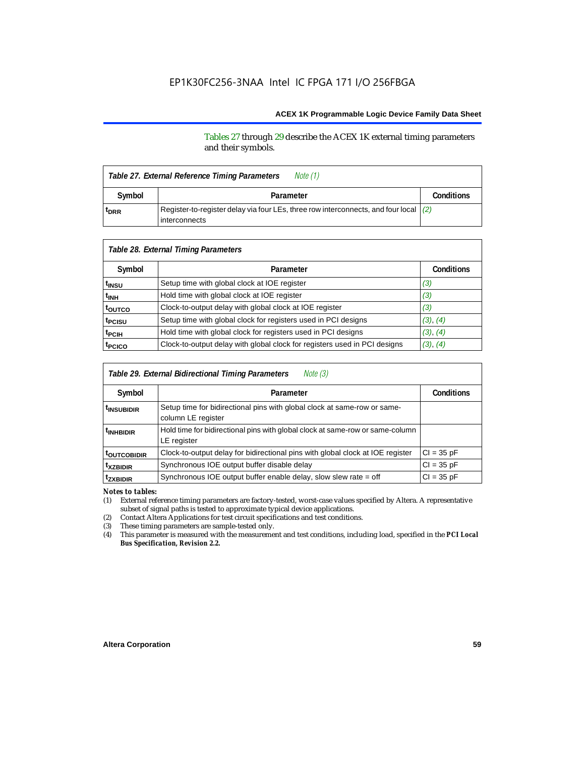#### Tables 27 through 29 describe the ACEX 1K external timing parameters and their symbols.

| Table 27. External Reference Timing Parameters |                                                                                                           |  |  |  |
|------------------------------------------------|-----------------------------------------------------------------------------------------------------------|--|--|--|
| Symbol                                         | Parameter                                                                                                 |  |  |  |
| t <sub>DRR</sub>                               | Register-to-register delay via four LEs, three row interconnects, and four local $(2)$<br>l interconnects |  |  |  |

| Table 28. External Timing Parameters |                                                                           |                   |  |  |  |  |
|--------------------------------------|---------------------------------------------------------------------------|-------------------|--|--|--|--|
| Symbol                               | Parameter                                                                 | <b>Conditions</b> |  |  |  |  |
| t <sub>insu</sub>                    | Setup time with global clock at IOE register                              | (3)               |  |  |  |  |
| t <sub>INH</sub>                     | Hold time with global clock at IOE register                               | (3)               |  |  |  |  |
| toutco                               | Clock-to-output delay with global clock at IOE register                   | (3)               |  |  |  |  |
| t <sub>PCISU</sub>                   | Setup time with global clock for registers used in PCI designs            | (3), (4)          |  |  |  |  |
| <sup>t</sup> PCIH                    | Hold time with global clock for registers used in PCI designs             | (3), (4)          |  |  |  |  |
| t <sub>PCICO</sub>                   | Clock-to-output delay with global clock for registers used in PCI designs | (3), (4)          |  |  |  |  |

| Note $(3)$<br>Table 29. External Bidirectional Timing Parameters |                                                                                                |                   |  |  |  |  |
|------------------------------------------------------------------|------------------------------------------------------------------------------------------------|-------------------|--|--|--|--|
| Symbol                                                           | Parameter                                                                                      | <b>Conditions</b> |  |  |  |  |
| <sup>t</sup> insubidir                                           | Setup time for bidirectional pins with global clock at same-row or same-<br>column LE register |                   |  |  |  |  |
| <sup>t</sup> INHBIDIR                                            | Hold time for bidirectional pins with global clock at same-row or same-column<br>LE register   |                   |  |  |  |  |
| <b>toutcobidir</b>                                               | Clock-to-output delay for bidirectional pins with global clock at IOE register                 | $Cl = 35 pF$      |  |  |  |  |
| <sup>t</sup> xzbidir                                             | Synchronous IOE output buffer disable delay                                                    | $CI = 35 pF$      |  |  |  |  |
| <sup>t</sup> zxbidir                                             | Synchronous IOE output buffer enable delay, slow slew rate = off                               | $CI = 35 pF$      |  |  |  |  |

*Notes to tables:*

(1) External reference timing parameters are factory-tested, worst-case values specified by Altera. A representative subset of signal paths is tested to approximate typical device applications.

(2) Contact Altera Applications for test circuit specifications and test conditions.

(3) These timing parameters are sample-tested only.

(4) This parameter is measured with the measurement and test conditions, including load, specified in the *PCI Local Bus Specification, Revision 2.2.*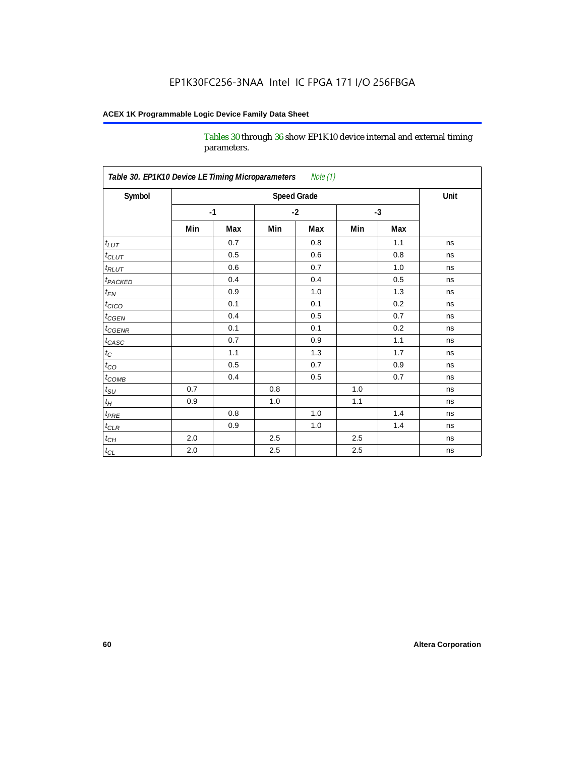Tables 30 through 36 show EP1K10 device internal and external timing parameters.

| Table 30. EP1K10 Device LE Timing Microparameters<br>Note (1) |                    |      |         |     |      |     |      |
|---------------------------------------------------------------|--------------------|------|---------|-----|------|-----|------|
| Symbol                                                        | <b>Speed Grade</b> |      |         |     |      |     | Unit |
|                                                               |                    | $-1$ | $-2$    |     | $-3$ |     |      |
|                                                               | Min                | Max  | Min     | Max | Min  | Max |      |
| $t_{LUT}$                                                     |                    | 0.7  |         | 0.8 |      | 1.1 | ns   |
| $t_{CLUT}$                                                    |                    | 0.5  |         | 0.6 |      | 0.8 | ns   |
| $t_{RLUT}$                                                    |                    | 0.6  |         | 0.7 |      | 1.0 | ns   |
| <b>t</b> <sub>PACKED</sub>                                    |                    | 0.4  |         | 0.4 |      | 0.5 | ns   |
| $t_{EN}$                                                      |                    | 0.9  |         | 1.0 |      | 1.3 | ns   |
| $t_{CICO}$                                                    |                    | 0.1  |         | 0.1 |      | 0.2 | ns   |
| $t_{\text{CGEN}}$                                             |                    | 0.4  |         | 0.5 |      | 0.7 | ns   |
| $t_{GENR}$                                                    |                    | 0.1  |         | 0.1 |      | 0.2 | ns   |
| $t_{CASC}$                                                    |                    | 0.7  |         | 0.9 |      | 1.1 | ns   |
| $t_{\rm C}$                                                   |                    | 1.1  |         | 1.3 |      | 1.7 | ns   |
| $t_{CO}$                                                      |                    | 0.5  |         | 0.7 |      | 0.9 | ns   |
| $t$ <sub>COMB</sub>                                           |                    | 0.4  |         | 0.5 |      | 0.7 | ns   |
| $t_{\rm SU}$                                                  | 0.7                |      | 0.8     |     | 1.0  |     | ns   |
| $t_H\,$                                                       | 0.9                |      | 1.0     |     | 1.1  |     | ns   |
| $t_{PRE}$                                                     |                    | 0.8  |         | 1.0 |      | 1.4 | ns   |
| $t_{CLR}$                                                     |                    | 0.9  |         | 1.0 |      | 1.4 | ns   |
| $t_{\mathit{CH}}$                                             | 2.0                |      | 2.5     |     | 2.5  |     | ns   |
| $t_{CL}$                                                      | 2.0                |      | $2.5\,$ |     | 2.5  |     | ns   |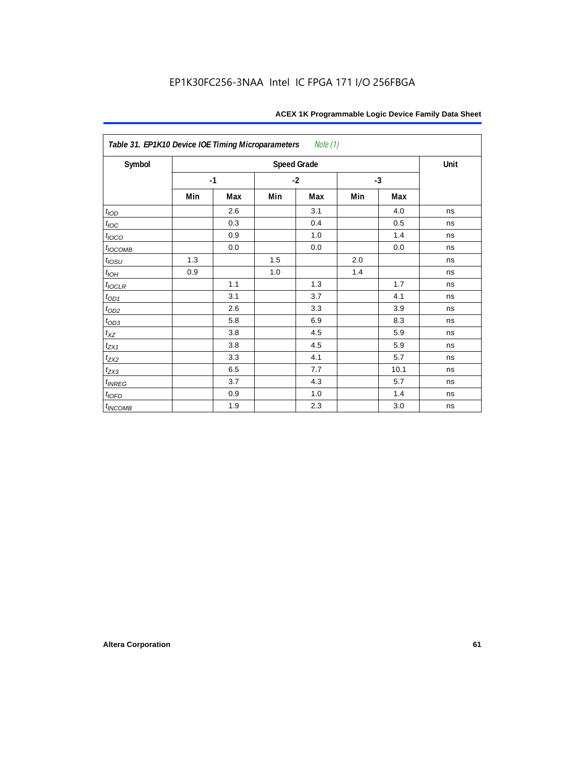| Table 31. EP1K10 Device IOE Timing Microparameters<br>Note (1) |      |     |      |                    |      |      |      |
|----------------------------------------------------------------|------|-----|------|--------------------|------|------|------|
| Symbol                                                         |      |     |      | <b>Speed Grade</b> |      |      | Unit |
|                                                                | $-1$ |     | $-2$ |                    | $-3$ |      |      |
|                                                                | Min  | Max | Min  | Max                | Min  | Max  |      |
| t <sub>IOD</sub>                                               |      | 2.6 |      | 3.1                |      | 4.0  | ns   |
| $t_{\text{IOC}}$                                               |      | 0.3 |      | 0.4                |      | 0.5  | ns   |
| $t_{IOCO}$                                                     |      | 0.9 |      | 1.0                |      | 1.4  | ns   |
| $t_{IOCOMB}$                                                   |      | 0.0 |      | 0.0                |      | 0.0  | ns   |
| $t_{IOSU}$                                                     | 1.3  |     | 1.5  |                    | 2.0  |      | ns   |
| $t_{IOH}$                                                      | 0.9  |     | 1.0  |                    | 1.4  |      | ns   |
| $t_{IOCLR}$                                                    |      | 1.1 |      | 1.3                |      | 1.7  | ns   |
| $t_{OD1}$                                                      |      | 3.1 |      | 3.7                |      | 4.1  | ns   |
| $t_{OD2}$                                                      |      | 2.6 |      | 3.3                |      | 3.9  | ns   |
| $t_{OD3}$                                                      |      | 5.8 |      | 6.9                |      | 8.3  | ns   |
| $t_{\mathsf{XZ}}$                                              |      | 3.8 |      | 4.5                |      | 5.9  | ns   |
| $t_{ZX1}$                                                      |      | 3.8 |      | 4.5                |      | 5.9  | ns   |
| $t_{ZX2}$                                                      |      | 3.3 |      | 4.1                |      | 5.7  | ns   |
| $t_{ZX3}$                                                      |      | 6.5 |      | 7.7                |      | 10.1 | ns   |
| $t_{INREG}$                                                    |      | 3.7 |      | 4.3                |      | 5.7  | ns   |
| $t_{IOFD}$                                                     |      | 0.9 |      | 1.0                |      | 1.4  | ns   |
| $t_{INCOMB}$                                                   |      | 1.9 |      | 2.3                |      | 3.0  | ns   |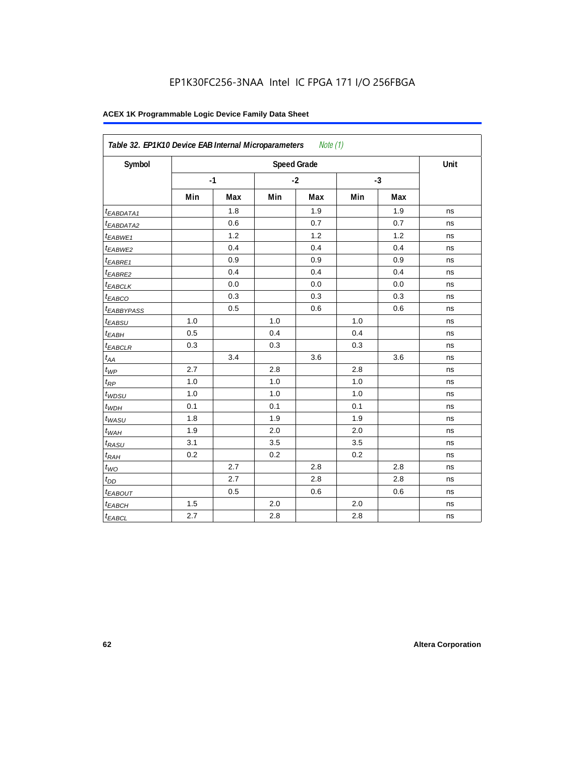| Symbol                 |     |      |     | <b>Speed Grade</b> |     |      | Unit |
|------------------------|-----|------|-----|--------------------|-----|------|------|
|                        |     | $-1$ |     | $-2$               |     | $-3$ |      |
|                        | Min | Max  | Min | Max                | Min | Max  |      |
| t <sub>EABDATA1</sub>  |     | 1.8  |     | 1.9                |     | 1.9  | ns   |
| <sup>t</sup> EABDATA2  |     | 0.6  |     | 0.7                |     | 0.7  | ns   |
| $t_{EABWE1}$           |     | 1.2  |     | 1.2                |     | 1.2  | ns   |
| <sup>t</sup> EABWE2    |     | 0.4  |     | 0.4                |     | 0.4  | ns   |
| <sup>t</sup> EABRE1    |     | 0.9  |     | 0.9                |     | 0.9  | ns   |
| $t_{EABRE2}$           |     | 0.4  |     | 0.4                |     | 0.4  | ns   |
| <sup>t</sup> EABCLK    |     | 0.0  |     | 0.0                |     | 0.0  | ns   |
| t <sub>EABCO</sub>     |     | 0.3  |     | 0.3                |     | 0.3  | ns   |
| <sup>t</sup> EABBYPASS |     | 0.5  |     | 0.6                |     | 0.6  | ns   |
| $t_{EABSU}$            | 1.0 |      | 1.0 |                    | 1.0 |      | ns   |
| t <sub>ЕАВН</sub>      | 0.5 |      | 0.4 |                    | 0.4 |      | ns   |
| <sup>t</sup> EABCLR    | 0.3 |      | 0.3 |                    | 0.3 |      | ns   |
| $t_{AA}$               |     | 3.4  |     | 3.6                |     | 3.6  | ns   |
| $t_{WP}$               | 2.7 |      | 2.8 |                    | 2.8 |      | ns   |
| $t_{RP}$               | 1.0 |      | 1.0 |                    | 1.0 |      | ns   |
| $t_{WDSU}$             | 1.0 |      | 1.0 |                    | 1.0 |      | ns   |
| $t_{WDH}$              | 0.1 |      | 0.1 |                    | 0.1 |      | ns   |
| $t_{WASU}$             | 1.8 |      | 1.9 |                    | 1.9 |      | ns   |
| $t_{WAH}$              | 1.9 |      | 2.0 |                    | 2.0 |      | ns   |
| t <sub>RASU</sub>      | 3.1 |      | 3.5 |                    | 3.5 |      | ns   |
| $t_{RAH}$              | 0.2 |      | 0.2 |                    | 0.2 |      | ns   |
| $t_{WO}$               |     | 2.7  |     | 2.8                |     | 2.8  | ns   |
| $t_{DD}$               |     | 2.7  |     | 2.8                |     | 2.8  | ns   |
| $t_{EABOUT}$           |     | 0.5  |     | 0.6                |     | 0.6  | ns   |
| t <sub>EABCH</sub>     | 1.5 |      | 2.0 |                    | 2.0 |      | ns   |
| $t_{EABCL}$            | 2.7 |      | 2.8 |                    | 2.8 |      | ns   |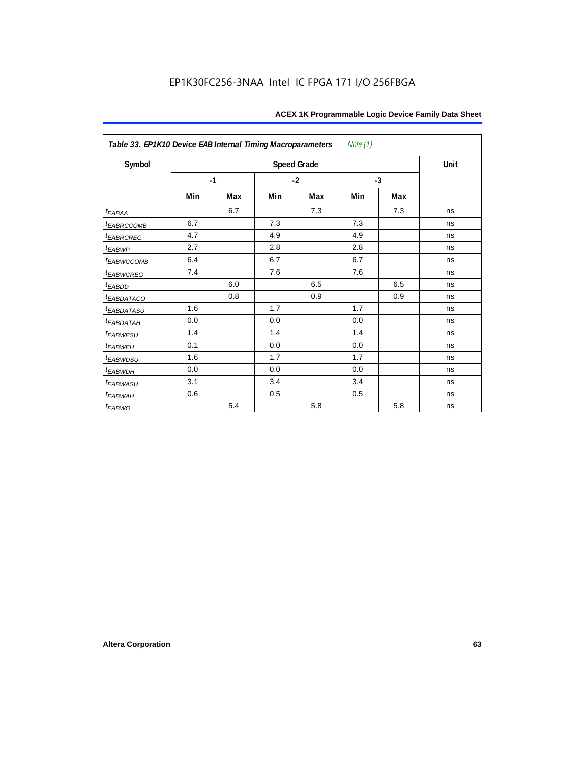| Table 33. EP1K10 Device EAB Internal Timing Macroparameters |     |      |     |                    | Note (1) |      |      |
|-------------------------------------------------------------|-----|------|-----|--------------------|----------|------|------|
| Symbol                                                      |     |      |     | <b>Speed Grade</b> |          |      | Unit |
|                                                             |     | $-1$ |     | $-2$               |          | $-3$ |      |
|                                                             | Min | Max  | Min | Max                | Min      | Max  |      |
| $t_{EABAA}$                                                 |     | 6.7  |     | 7.3                |          | 7.3  | ns   |
| <b><i>EABRCCOMB</i></b>                                     | 6.7 |      | 7.3 |                    | 7.3      |      | ns   |
| <b><i>EABRCREG</i></b>                                      | 4.7 |      | 4.9 |                    | 4.9      |      | ns   |
| $t_{EABWP}$                                                 | 2.7 |      | 2.8 |                    | 2.8      |      | ns   |
| <sup>t</sup> EABWCCOMB                                      | 6.4 |      | 6.7 |                    | 6.7      |      | ns   |
| <i>EABWCREG</i>                                             | 7.4 |      | 7.6 |                    | 7.6      |      | ns   |
| $t_{EABDD}$                                                 |     | 6.0  |     | 6.5                |          | 6.5  | ns   |
| <b><i>EABDATACO</i></b>                                     |     | 0.8  |     | 0.9                |          | 0.9  | ns   |
| <b><i>EABDATASU</i></b>                                     | 1.6 |      | 1.7 |                    | 1.7      |      | ns   |
| <sup>t</sup> EABDATAH                                       | 0.0 |      | 0.0 |                    | 0.0      |      | ns   |
| t <sub>EABWESU</sub>                                        | 1.4 |      | 1.4 |                    | 1.4      |      | ns   |
| <sup>t</sup> EABWEH                                         | 0.1 |      | 0.0 |                    | 0.0      |      | ns   |
| t <sub>EABWDSU</sub>                                        | 1.6 |      | 1.7 |                    | 1.7      |      | ns   |
| t <sub>EABWDH</sub>                                         | 0.0 |      | 0.0 |                    | 0.0      |      | ns   |
| <sup>t</sup> EABWASU                                        | 3.1 |      | 3.4 |                    | 3.4      |      | ns   |
| $t_{EABWAH}$                                                | 0.6 |      | 0.5 |                    | 0.5      |      | ns   |
| t <sub>EABWO</sub>                                          |     | 5.4  |     | 5.8                |          | 5.8  | ns   |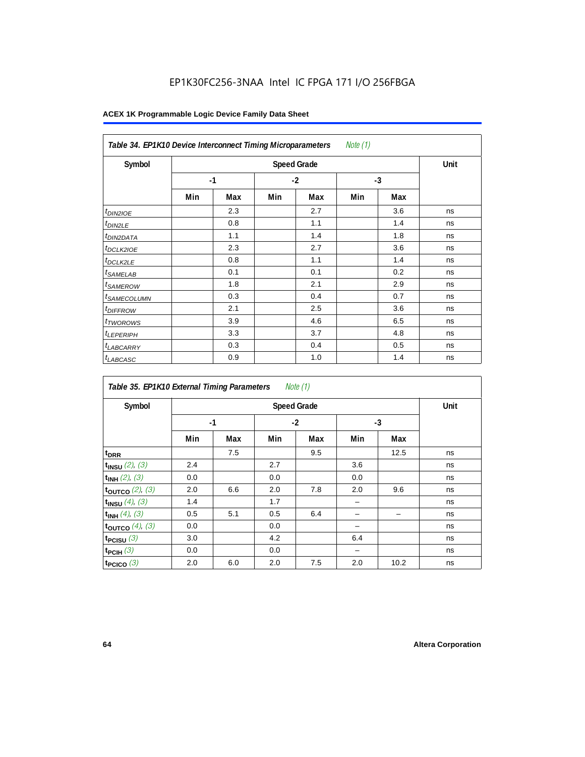## EP1K30FC256-3NAA Intel IC FPGA 171 I/O 256FBGA

| Note (1)<br>Table 34. EP1K10 Device Interconnect Timing Microparameters |     |      |     |      |     |      |    |  |  |  |
|-------------------------------------------------------------------------|-----|------|-----|------|-----|------|----|--|--|--|
| Symbol                                                                  |     | Unit |     |      |     |      |    |  |  |  |
|                                                                         |     | $-1$ |     | $-2$ |     | $-3$ |    |  |  |  |
|                                                                         | Min | Max  | Min | Max  | Min | Max  |    |  |  |  |
| <i>t<sub>DIN2IOE</sub></i>                                              |     | 2.3  |     | 2.7  |     | 3.6  | ns |  |  |  |
| <sup>t</sup> DIN2LE                                                     |     | 0.8  |     | 1.1  |     | 1.4  | ns |  |  |  |
| <sup>t</sup> DIN2DATA                                                   |     | 1.1  |     | 1.4  |     | 1.8  | ns |  |  |  |
| <sup>t</sup> DCLK2IOE                                                   |     | 2.3  |     | 2.7  |     | 3.6  | ns |  |  |  |
| <sup>t</sup> DCLK2LE                                                    |     | 0.8  |     | 1.1  |     | 1.4  | ns |  |  |  |
| <sup>t</sup> SAMELAB                                                    |     | 0.1  |     | 0.1  |     | 0.2  | ns |  |  |  |
| <sup>t</sup> SAMEROW                                                    |     | 1.8  |     | 2.1  |     | 2.9  | ns |  |  |  |
| <sup>t</sup> SAMECOLUMN                                                 |     | 0.3  |     | 0.4  |     | 0.7  | ns |  |  |  |
| <i>t<sub>DIFFROW</sub></i>                                              |     | 2.1  |     | 2.5  |     | 3.6  | ns |  |  |  |
| <sup>t</sup> TWOROWS                                                    |     | 3.9  |     | 4.6  |     | 6.5  | ns |  |  |  |
| <sup>t</sup> LEPERIPH                                                   |     | 3.3  |     | 3.7  |     | 4.8  | ns |  |  |  |
| <sup>t</sup> LABCARRY                                                   |     | 0.3  |     | 0.4  |     | 0.5  | ns |  |  |  |
| <sup>t</sup> LABCASC                                                    |     | 0.9  |     | 1.0  |     | 1.4  | ns |  |  |  |

| Note $(1)$<br>Table 35. EP1K10 External Timing Parameters |      |     |     |                    |     |      |      |  |  |  |  |
|-----------------------------------------------------------|------|-----|-----|--------------------|-----|------|------|--|--|--|--|
| Symbol                                                    |      |     |     | <b>Speed Grade</b> |     |      | Unit |  |  |  |  |
|                                                           | $-1$ |     |     | $-2$               |     | $-3$ |      |  |  |  |  |
|                                                           | Min  | Max | Min | Max                | Min | Max  |      |  |  |  |  |
| t <sub>DRR</sub>                                          |      | 7.5 |     | 9.5                |     | 12.5 | ns   |  |  |  |  |
| $t_{INSU}$ (2), (3)                                       | 2.4  |     | 2.7 |                    | 3.6 |      | ns   |  |  |  |  |
| $t_{INH}$ (2), (3)                                        | 0.0  |     | 0.0 |                    | 0.0 |      | ns   |  |  |  |  |
| toutco $(2)$ , $(3)$                                      | 2.0  | 6.6 | 2.0 | 7.8                | 2.0 | 9.6  | ns   |  |  |  |  |
| $t_{INSU}$ (4), (3)                                       | 1.4  |     | 1.7 |                    |     |      | ns   |  |  |  |  |
| $t_{INH}$ (4), (3)                                        | 0.5  | 5.1 | 0.5 | 6.4                |     |      | ns   |  |  |  |  |
| toutco $(4)$ , $(3)$                                      | 0.0  |     | 0.0 |                    |     |      | ns   |  |  |  |  |
| t <sub>PCISU</sub> $(3)$                                  | 3.0  |     | 4.2 |                    | 6.4 |      | ns   |  |  |  |  |
| $t_{PCH}(3)$                                              | 0.0  |     | 0.0 |                    |     |      | ns   |  |  |  |  |
| t <sub>PCICO</sub> $(3)$                                  | 2.0  | 6.0 | 2.0 | 7.5                | 2.0 | 10.2 | ns   |  |  |  |  |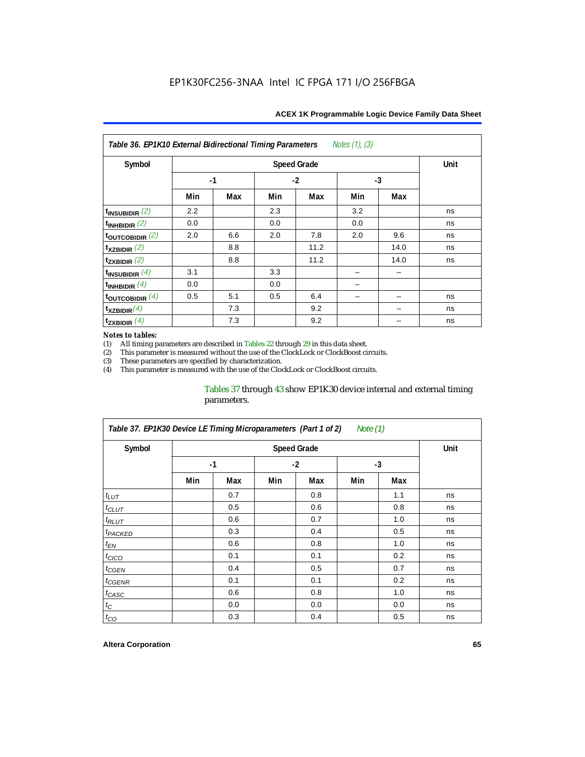| Notes $(1)$ , $(3)$<br>Table 36. EP1K10 External Bidirectional Timing Parameters |     |      |     |                    |     |      |             |  |  |  |
|----------------------------------------------------------------------------------|-----|------|-----|--------------------|-----|------|-------------|--|--|--|
| Symbol                                                                           |     |      |     | <b>Speed Grade</b> |     |      | <b>Unit</b> |  |  |  |
|                                                                                  |     | $-1$ |     | $-2$               |     | $-3$ |             |  |  |  |
|                                                                                  | Min | Max  | Min | Max                | Min | Max  |             |  |  |  |
| $t_{INSUBIDIR}$ (2)                                                              | 2.2 |      | 2.3 |                    | 3.2 |      | ns          |  |  |  |
| $t_{INHBIDIR}$ (2)                                                               | 0.0 |      | 0.0 |                    | 0.0 |      | ns          |  |  |  |
| $t_{\text{OUTC}OBIDIR}$ (2)                                                      | 2.0 | 6.6  | 2.0 | 7.8                | 2.0 | 9.6  | ns          |  |  |  |
| $t_{XZBIDIR}$ (2)                                                                |     | 8.8  |     | 11.2               |     | 14.0 | ns          |  |  |  |
| $t_{ZXBIDIR}$ (2)                                                                |     | 8.8  |     | 11.2               |     | 14.0 | ns          |  |  |  |
| $t_{INSUBIDIR}(4)$                                                               | 3.1 |      | 3.3 |                    |     |      |             |  |  |  |
| $t_{INHBIDIR}(4)$                                                                | 0.0 |      | 0.0 |                    |     |      |             |  |  |  |
| $t_{\text{OUTCOBIDIR}}$ (4)                                                      | 0.5 | 5.1  | 0.5 | 6.4                |     |      | ns          |  |  |  |
| $t_{XZBIDIR}(4)$                                                                 |     | 7.3  |     | 9.2                |     |      | ns          |  |  |  |
| $t_{ZXBIDIR}$ $(4)$                                                              |     | 7.3  |     | 9.2                |     |      | ns          |  |  |  |

#### *Notes to tables:*

(1) All timing parameters are described in Tables  $22$  through  $29$  in this data sheet.<br>(2) This parameter is measured without the use of the ClockLock or ClockBoost cir (2) This parameter is measured without the use of the ClockLock or ClockBoost circuits.

(3) These parameters are specified by characterization. This parameter is measured with the use of the ClockLock or ClockBoost circuits.

#### Tables 37 through 43 show EP1K30 device internal and external timing parameters.

| Table 37. EP1K30 Device LE Timing Microparameters (Part 1 of 2)<br>Note $(1)$ |     |             |     |      |      |     |    |  |  |  |
|-------------------------------------------------------------------------------|-----|-------------|-----|------|------|-----|----|--|--|--|
| Symbol                                                                        |     | <b>Unit</b> |     |      |      |     |    |  |  |  |
|                                                                               |     | $-1$        |     | $-2$ | $-3$ |     |    |  |  |  |
|                                                                               | Min | Max         | Min | Max  | Min  | Max |    |  |  |  |
| $t_{LUT}$                                                                     |     | 0.7         |     | 0.8  |      | 1.1 | ns |  |  |  |
| $t_{CLUT}$                                                                    |     | 0.5         |     | 0.6  |      | 0.8 | ns |  |  |  |
| $t_{RLUT}$                                                                    |     | 0.6         |     | 0.7  |      | 1.0 | ns |  |  |  |
| <sup>t</sup> PACKED                                                           |     | 0.3         |     | 0.4  |      | 0.5 | ns |  |  |  |
| $t_{EN}$                                                                      |     | 0.6         |     | 0.8  |      | 1.0 | ns |  |  |  |
| $t_{CICO}$                                                                    |     | 0.1         |     | 0.1  |      | 0.2 | ns |  |  |  |
| t <sub>CGEN</sub>                                                             |     | 0.4         |     | 0.5  |      | 0.7 | ns |  |  |  |
| t <sub>CGENR</sub>                                                            |     | 0.1         |     | 0.1  |      | 0.2 | ns |  |  |  |
| $t_{CASC}$                                                                    |     | 0.6         |     | 0.8  |      | 1.0 | ns |  |  |  |
| $t_C$                                                                         |     | 0.0         |     | 0.0  |      | 0.0 | ns |  |  |  |
| $t_{CO}$                                                                      |     | 0.3         |     | 0.4  |      | 0.5 | ns |  |  |  |

#### **Altera Corporation 65**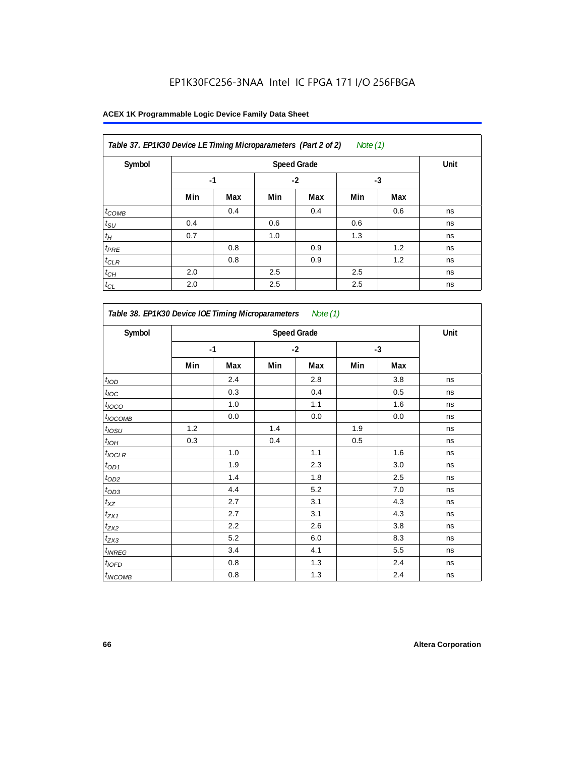| Table 37. EP1K30 Device LE Timing Microparameters (Part 2 of 2)<br>Note $(1)$ |      |      |      |     |      |     |    |  |  |
|-------------------------------------------------------------------------------|------|------|------|-----|------|-----|----|--|--|
| Symbol                                                                        |      | Unit |      |     |      |     |    |  |  |
|                                                                               | $-1$ |      | $-2$ |     | $-3$ |     |    |  |  |
|                                                                               | Min  | Max  | Min  | Max | Min  | Max |    |  |  |
| $t_{COMB}$                                                                    |      | 0.4  |      | 0.4 |      | 0.6 | ns |  |  |
| $t_{\text{SU}}$                                                               | 0.4  |      | 0.6  |     | 0.6  |     | ns |  |  |
| $t_H$                                                                         | 0.7  |      | 1.0  |     | 1.3  |     | ns |  |  |
| $t_{PRE}$                                                                     |      | 0.8  |      | 0.9 |      | 1.2 | ns |  |  |
| $t_{CLR}$                                                                     |      | 0.8  |      | 0.9 |      | 1.2 | ns |  |  |
| $t_{CH}$                                                                      | 2.0  |      | 2.5  |     | 2.5  |     | ns |  |  |
| $t_{CL}$                                                                      | 2.0  |      | 2.5  |     | 2.5  |     | ns |  |  |

| Symbol            |     |      |     | <b>Speed Grade</b> |     |      | Unit |
|-------------------|-----|------|-----|--------------------|-----|------|------|
|                   |     | $-1$ |     | $-2$               |     | $-3$ |      |
|                   | Min | Max  | Min | Max                | Min | Max  |      |
| t <sub>IOD</sub>  |     | 2.4  |     | 2.8                |     | 3.8  | ns   |
| $t_{\text{IOC}}$  |     | 0.3  |     | 0.4                |     | 0.5  | ns   |
| t <sub>IOCO</sub> |     | 1.0  |     | 1.1                |     | 1.6  | ns   |
| $t_{IOCOMB}$      |     | 0.0  |     | $0.0\,$            |     | 0.0  | ns   |
| $t_{IOSU}$        | 1.2 |      | 1.4 |                    | 1.9 |      | ns   |
| $t_{IOM}$         | 0.3 |      | 0.4 |                    | 0.5 |      | ns   |
| $t_{IOCLR}$       |     | 1.0  |     | 1.1                |     | 1.6  | ns   |
| $t_{OD1}$         |     | 1.9  |     | 2.3                |     | 3.0  | ns   |
| $t_{OD2}$         |     | 1.4  |     | 1.8                |     | 2.5  | ns   |
| $t_{OD3}$         |     | 4.4  |     | 5.2                |     | 7.0  | ns   |
| $t_{XZ}$          |     | 2.7  |     | 3.1                |     | 4.3  | ns   |
| $t_{ZX1}$         |     | 2.7  |     | 3.1                |     | 4.3  | ns   |
| $t_{ZX2}$         |     | 2.2  |     | 2.6                |     | 3.8  | ns   |
| $t_{ZX3}$         |     | 5.2  |     | 6.0                |     | 8.3  | ns   |
| $t_{INREG}$       |     | 3.4  |     | 4.1                |     | 5.5  | ns   |
| $t_{IOFD}$        |     | 0.8  |     | 1.3                |     | 2.4  | ns   |
| $t_{INCOMB}$      |     | 0.8  |     | 1.3                |     | 2.4  | ns   |

r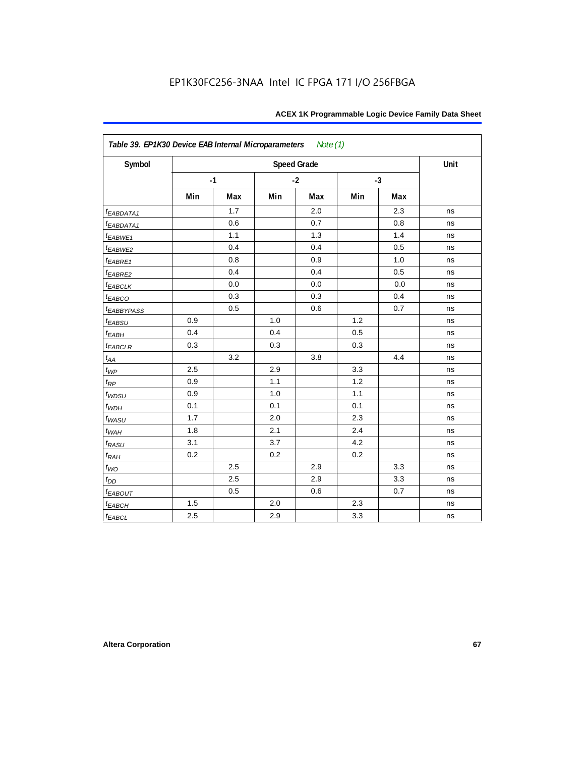| Symbol                 |     |      |     | <b>Speed Grade</b> |     |      | Unit |
|------------------------|-----|------|-----|--------------------|-----|------|------|
|                        |     | $-1$ |     | $-2$               |     | $-3$ |      |
|                        | Min | Max  | Min | Max                | Min | Max  |      |
| t <sub>EABDATA1</sub>  |     | 1.7  |     | 2.0                |     | 2.3  | ns   |
| t <sub>EABDATA1</sub>  |     | 0.6  |     | 0.7                |     | 0.8  | ns   |
| t <sub>EABWE1</sub>    |     | 1.1  |     | 1.3                |     | 1.4  | ns   |
| t <sub>EABWE2</sub>    |     | 0.4  |     | 0.4                |     | 0.5  | ns   |
| t <sub>EABRE1</sub>    |     | 0.8  |     | 0.9                |     | 1.0  | ns   |
| <sup>t</sup> EABRE2    |     | 0.4  |     | 0.4                |     | 0.5  | ns   |
| t <sub>EABCLK</sub>    |     | 0.0  |     | 0.0                |     | 0.0  | ns   |
| t <sub>EABCO</sub>     |     | 0.3  |     | 0.3                |     | 0.4  | ns   |
| t <sub>EABBYPASS</sub> |     | 0.5  |     | 0.6                |     | 0.7  | ns   |
| t <sub>EABSU</sub>     | 0.9 |      | 1.0 |                    | 1.2 |      | ns   |
| t <sub>ЕАВН</sub>      | 0.4 |      | 0.4 |                    | 0.5 |      | ns   |
| t <sub>EABCLR</sub>    | 0.3 |      | 0.3 |                    | 0.3 |      | ns   |
| $t_{AA}$               |     | 3.2  |     | 3.8                |     | 4.4  | ns   |
| $t_{WP}$               | 2.5 |      | 2.9 |                    | 3.3 |      | ns   |
| $t_{RP}$               | 0.9 |      | 1.1 |                    | 1.2 |      | ns   |
| t <sub>WDSU</sub>      | 0.9 |      | 1.0 |                    | 1.1 |      | ns   |
| $t_{WDH}$              | 0.1 |      | 0.1 |                    | 0.1 |      | ns   |
| t <sub>WASU</sub>      | 1.7 |      | 2.0 |                    | 2.3 |      | ns   |
| $t_{WAH}$              | 1.8 |      | 2.1 |                    | 2.4 |      | ns   |
| t <sub>RASU</sub>      | 3.1 |      | 3.7 |                    | 4.2 |      | ns   |
| t <sub>RAH</sub>       | 0.2 |      | 0.2 |                    | 0.2 |      | ns   |
| $t_{WO}$               |     | 2.5  |     | 2.9                |     | 3.3  | ns   |
| $t_{DD}$               |     | 2.5  |     | 2.9                |     | 3.3  | ns   |
| t <sub>EABOUT</sub>    |     | 0.5  |     | 0.6                |     | 0.7  | ns   |
| t <sub>EABCH</sub>     | 1.5 |      | 2.0 |                    | 2.3 |      | ns   |
| <b>t</b> EABCL         | 2.5 |      | 2.9 |                    | 3.3 |      | ns   |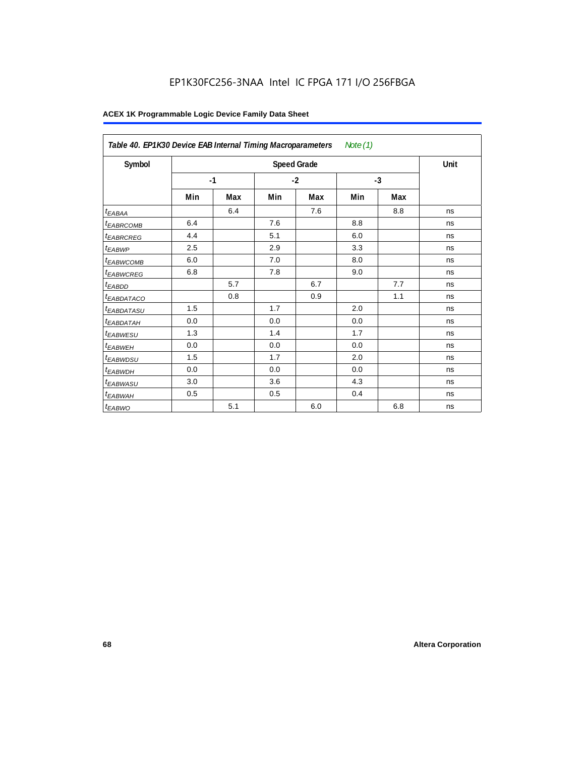## EP1K30FC256-3NAA Intel IC FPGA 171 I/O 256FBGA

| Table 40. EP1K30 Device EAB Internal Timing Macroparameters<br>Note $(1)$ |      |     |      |                    |      |     |      |  |
|---------------------------------------------------------------------------|------|-----|------|--------------------|------|-----|------|--|
| Symbol                                                                    |      |     |      | <b>Speed Grade</b> |      |     | Unit |  |
|                                                                           | $-1$ |     | $-2$ |                    | $-3$ |     |      |  |
|                                                                           | Min  | Max | Min  | Max                | Min  | Max |      |  |
| t <sub>EABAA</sub>                                                        |      | 6.4 |      | 7.6                |      | 8.8 | ns   |  |
| <sup>t</sup> EABRCOMB                                                     | 6.4  |     | 7.6  |                    | 8.8  |     | ns   |  |
| <sup>t</sup> EABRCREG                                                     | 4.4  |     | 5.1  |                    | 6.0  |     | ns   |  |
| <sup>t</sup> EABWP                                                        | 2.5  |     | 2.9  |                    | 3.3  |     | ns   |  |
| <sup>t</sup> EABWCOMB                                                     | 6.0  |     | 7.0  |                    | 8.0  |     | ns   |  |
| <sup>t</sup> EABWCREG                                                     | 6.8  |     | 7.8  |                    | 9.0  |     | ns   |  |
| <sup>t</sup> EABDD                                                        |      | 5.7 |      | 6.7                |      | 7.7 | ns   |  |
| <sup>t</sup> EABDATACO                                                    |      | 0.8 |      | 0.9                |      | 1.1 | ns   |  |
| <sup>t</sup> EABDATASU                                                    | 1.5  |     | 1.7  |                    | 2.0  |     | ns   |  |
| <sup>t</sup> EABDATAH                                                     | 0.0  |     | 0.0  |                    | 0.0  |     | ns   |  |
| <sup>t</sup> EABWESU                                                      | 1.3  |     | 1.4  |                    | 1.7  |     | ns   |  |
| <sup>t</sup> EABWEH                                                       | 0.0  |     | 0.0  |                    | 0.0  |     | ns   |  |
| <sup>t</sup> EABWDSU                                                      | 1.5  |     | 1.7  |                    | 2.0  |     | ns   |  |
| <sup>t</sup> EABWDH                                                       | 0.0  |     | 0.0  |                    | 0.0  |     | ns   |  |
| <sup>t</sup> EABWASU                                                      | 3.0  |     | 3.6  |                    | 4.3  |     | ns   |  |
| t <sub>EABWAH</sub>                                                       | 0.5  |     | 0.5  |                    | 0.4  |     | ns   |  |
| t <sub>EABWO</sub>                                                        |      | 5.1 |      | 6.0                |      | 6.8 | ns   |  |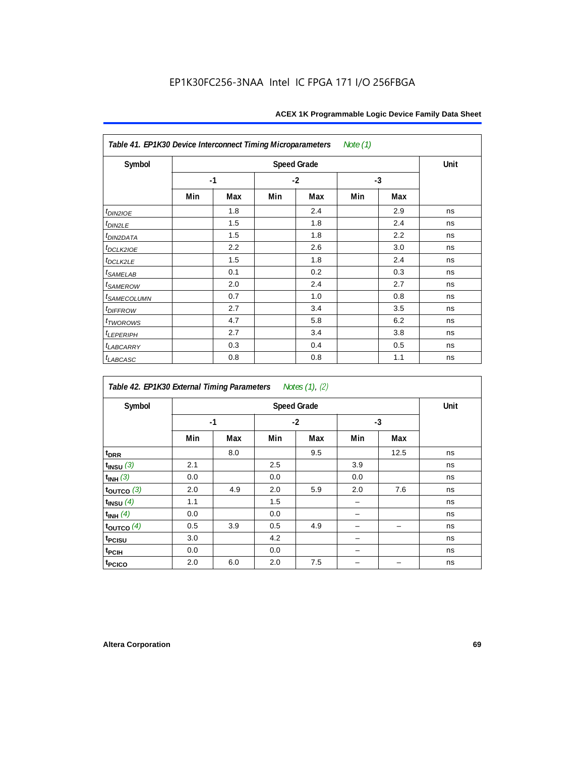| Table 41. EP1K30 Device Interconnect Timing Microparameters<br>Note $(1)$ |      |     |     |                    |     |      |      |  |  |  |
|---------------------------------------------------------------------------|------|-----|-----|--------------------|-----|------|------|--|--|--|
| Symbol                                                                    |      |     |     | <b>Speed Grade</b> |     |      | Unit |  |  |  |
|                                                                           | $-1$ |     |     | $-2$               |     | $-3$ |      |  |  |  |
|                                                                           | Min  | Max | Min | Max                | Min | Max  |      |  |  |  |
| $t_{DINZIOE}$                                                             |      | 1.8 |     | 2.4                |     | 2.9  | ns   |  |  |  |
| $t_{DIN2LE}$                                                              |      | 1.5 |     | 1.8                |     | 2.4  | ns   |  |  |  |
| t <sub>DIN2DATA</sub>                                                     |      | 1.5 |     | 1.8                |     | 2.2  | ns   |  |  |  |
| $t_{DCLK2IOE}$                                                            |      | 2.2 |     | 2.6                |     | 3.0  | ns   |  |  |  |
| t <sub>DCLK2LE</sub>                                                      |      | 1.5 |     | 1.8                |     | 2.4  | ns   |  |  |  |
| t <sub>SAMELAB</sub>                                                      |      | 0.1 |     | 0.2                |     | 0.3  | ns   |  |  |  |
| t <sub>SAMEROW</sub>                                                      |      | 2.0 |     | 2.4                |     | 2.7  | ns   |  |  |  |
| <sup>t</sup> SAMECOLUMN                                                   |      | 0.7 |     | 1.0                |     | 0.8  | ns   |  |  |  |
| t <sub>DIFFROW</sub>                                                      |      | 2.7 |     | 3.4                |     | 3.5  | ns   |  |  |  |
| $t_{TWOROWS}$                                                             |      | 4.7 |     | 5.8                |     | 6.2  | ns   |  |  |  |
| t <sub>LEPERIPH</sub>                                                     |      | 2.7 |     | 3.4                |     | 3.8  | ns   |  |  |  |
| <b><i>LABCARRY</i></b>                                                    |      | 0.3 |     | 0.4                |     | 0.5  | ns   |  |  |  |
| $t_{LABCASC}$                                                             |      | 0.8 |     | 0.8                |     | 1.1  | ns   |  |  |  |

| Table 42. EP1K30 External Timing Parameters<br>Notes (1), (2) |                    |     |      |     |      |      |      |
|---------------------------------------------------------------|--------------------|-----|------|-----|------|------|------|
| Symbol                                                        | <b>Speed Grade</b> |     |      |     |      |      | Unit |
|                                                               | $-1$               |     | $-2$ |     | $-3$ |      |      |
|                                                               | Min                | Max | Min  | Max | Min  | Max  |      |
| t <sub>DRR</sub>                                              |                    | 8.0 |      | 9.5 |      | 12.5 | ns   |
| $t_{INSU}$ (3)                                                | 2.1                |     | 2.5  |     | 3.9  |      | ns   |
| $t_{INH}$ (3)                                                 | 0.0                |     | 0.0  |     | 0.0  |      | ns   |
| $t_{OUTCO}$ (3)                                               | 2.0                | 4.9 | 2.0  | 5.9 | 2.0  | 7.6  | ns   |
| $t$ <sub>INSU</sub> $(4)$                                     | 1.1                |     | 1.5  |     |      |      | ns   |
| $t_{INH}$ (4)                                                 | 0.0                |     | 0.0  |     |      |      | ns   |
| $t_{OUTCO}$ (4)                                               | 0.5                | 3.9 | 0.5  | 4.9 |      |      | ns   |
| t <sub>PCISU</sub>                                            | 3.0                |     | 4.2  |     |      |      | ns   |
| t <sub>PCIH</sub>                                             | 0.0                |     | 0.0  |     |      |      | ns   |
| t <sub>PCICO</sub>                                            | 2.0                | 6.0 | 2.0  | 7.5 |      |      | ns   |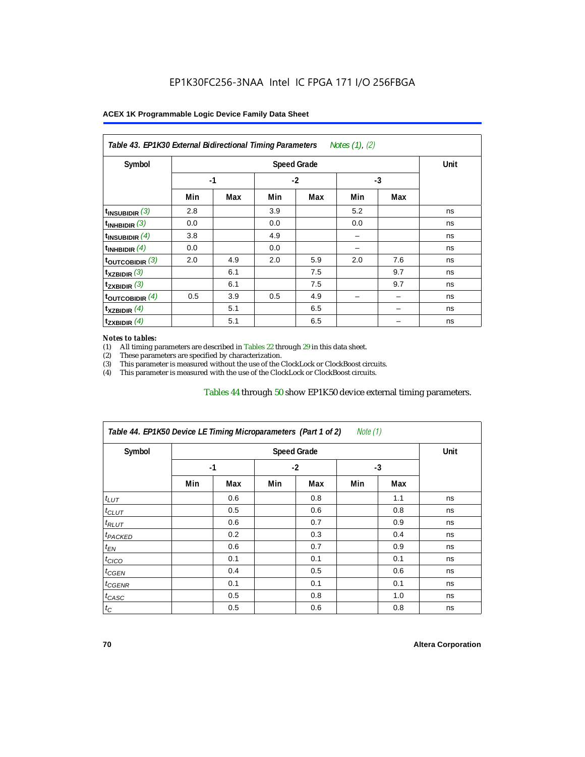| Symbol                      |      | Unit |      |     |      |     |    |
|-----------------------------|------|------|------|-----|------|-----|----|
|                             | $-1$ |      | $-2$ |     | $-3$ |     |    |
|                             | Min  | Max  | Min  | Max | Min  | Max |    |
| $t_{INSUBIDIR}$ (3)         | 2.8  |      | 3.9  |     | 5.2  |     | ns |
| t <sub>INHBIDIR</sub> $(3)$ | 0.0  |      | 0.0  |     | 0.0  |     | ns |
| $t_{INSUBIDIR}(4)$          | 3.8  |      | 4.9  |     |      |     | ns |
| $t_{INHBIDIR}(4)$           | 0.0  |      | 0.0  |     |      |     | ns |
| $t_{\text{OUTCOBIDIR}}$ (3) | 2.0  | 4.9  | 2.0  | 5.9 | 2.0  | 7.6 | ns |
| $t_{XZBIDIR}$ (3)           |      | 6.1  |      | 7.5 |      | 9.7 | ns |
| $t_{ZXBIDIR}$ (3)           |      | 6.1  |      | 7.5 |      | 9.7 | ns |
| toutcobidir $(4)$           | 0.5  | 3.9  | 0.5  | 4.9 |      |     | ns |
| $t_{XZBIDIR}$ (4)           |      | 5.1  |      | 6.5 |      |     | ns |
| $t_{ZXBIDIR}$ (4)           |      | 5.1  |      | 6.5 |      |     | ns |

#### *Notes to tables:*

(1) All timing parameters are described in Tables 22 through 29 in this data sheet.<br>(2) These parameters are specified by characterization.

(2) These parameters are specified by characterization.<br>
(3) This parameter is measured without the use of the C This parameter is measured without the use of the ClockLock or ClockBoost circuits.

(4) This parameter is measured with the use of the ClockLock or ClockBoost circuits.

#### Tables 44 through 50 show EP1K50 device external timing parameters.

| Note $(1)$<br>Table 44. EP1K50 Device LE Timing Microparameters (Part 1 of 2) |                    |     |      |     |      |     |      |  |
|-------------------------------------------------------------------------------|--------------------|-----|------|-----|------|-----|------|--|
| Symbol                                                                        | <b>Speed Grade</b> |     |      |     |      |     | Unit |  |
|                                                                               | $-1$               |     | $-2$ |     | $-3$ |     |      |  |
|                                                                               | Min                | Max | Min  | Max | Min  | Max |      |  |
| $t_{LUT}$                                                                     |                    | 0.6 |      | 0.8 |      | 1.1 | ns   |  |
| $t_{CLUT}$                                                                    |                    | 0.5 |      | 0.6 |      | 0.8 | ns   |  |
| $t_{RLUT}$                                                                    |                    | 0.6 |      | 0.7 |      | 0.9 | ns   |  |
| <sup>t</sup> PACKED                                                           |                    | 0.2 |      | 0.3 |      | 0.4 | ns   |  |
| $t_{EN}$                                                                      |                    | 0.6 |      | 0.7 |      | 0.9 | ns   |  |
| $t_{CICO}$                                                                    |                    | 0.1 |      | 0.1 |      | 0.1 | ns   |  |
| $t_{GEN}$                                                                     |                    | 0.4 |      | 0.5 |      | 0.6 | ns   |  |
| $t_{GENR}$                                                                    |                    | 0.1 |      | 0.1 |      | 0.1 | ns   |  |
| $t_{CASC}$                                                                    |                    | 0.5 |      | 0.8 |      | 1.0 | ns   |  |
| $t_C$                                                                         |                    | 0.5 |      | 0.6 |      | 0.8 | ns   |  |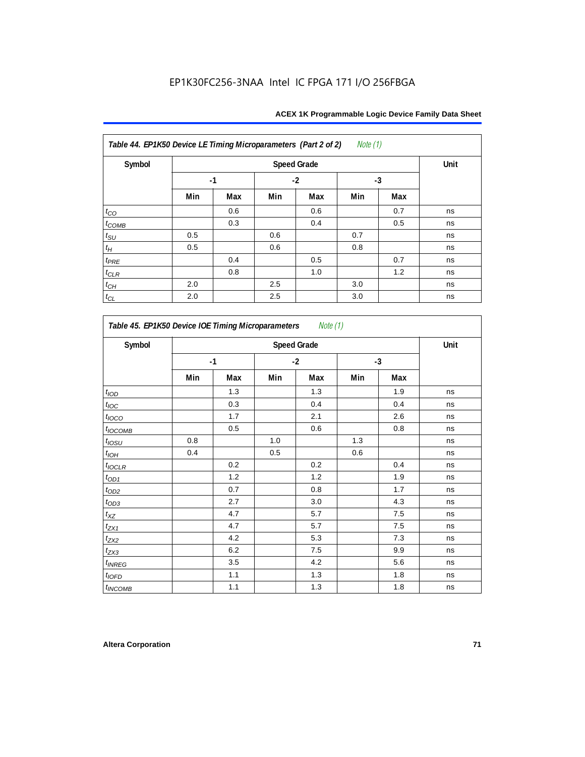| Note $(1)$<br>Table 44. EP1K50 Device LE Timing Microparameters (Part 2 of 2) |     |      |      |     |      |     |    |
|-------------------------------------------------------------------------------|-----|------|------|-----|------|-----|----|
| Symbol                                                                        |     | Unit |      |     |      |     |    |
|                                                                               |     | $-1$ | $-2$ |     | $-3$ |     |    |
|                                                                               | Min | Max  | Min  | Max | Min  | Max |    |
| $t_{\rm CO}$                                                                  |     | 0.6  |      | 0.6 |      | 0.7 | ns |
| $t_{COMB}$                                                                    |     | 0.3  |      | 0.4 |      | 0.5 | ns |
| $t_{\text{SU}}$                                                               | 0.5 |      | 0.6  |     | 0.7  |     | ns |
| $t_H\,$                                                                       | 0.5 |      | 0.6  |     | 0.8  |     | ns |
| $t_{PRE}$                                                                     |     | 0.4  |      | 0.5 |      | 0.7 | ns |
| $t_{CLR}$                                                                     |     | 0.8  |      | 1.0 |      | 1.2 | ns |
| $t_{CH}$                                                                      | 2.0 |      | 2.5  |     | 3.0  |     | ns |
| $t_{CL}$                                                                      | 2.0 |      | 2.5  |     | 3.0  |     | ns |

*Table 45. EP1K50 Device IOE Timing Microparameters Note (1)* **Symbol Speed Grade Unit -1 -2 -3 Min Max Min Max Min Max**  $t_{\mathsf{IOD}}$  | | 1.3 | | 1.3 | | 1.9 | ns  $t_{\mathit{loc}}$  | | 0.3 | | 0.4 | | 0.4 | ns *t<sub>l</sub>oco* | | 1.7 | | 2.1 | | 2.6 | ns  $t_{\textit{OCOMB}}$  | 0.5 | 0.6 | 0.8 | ns  $t_{\mathit{OSU}}$  | 0.8 | | 1.0 | | 1.3 | | | ns tIOH 0.4 0.5 0.6 ns  $t_{\sf{IOCLR}}$  | | 0.2 | | 0.2 | | 0.4 | ns  $t_{OD1}$  | 1.2 | 1.2 | 1.2 | 1.9 | ns tOD2 0.7 0.8 1.7 ns  $t_{OD3}$  | 2.7 | 3.0 | 4.3 | ns  $t_{XZ}$  | 4.7 | 5.7 | 7.5 | ns  $t_{\text{ZX1}}$  | 4.7 | 5.7 | 7.5 | ns  $t_{\rm{ZX2}}$  1 4.2  $\pm$  5.3  $\pm$  7.3  $\pm$  ns  $t_{\rm{ZX3}}$  1  $\pm$  6.2  $\pm$  7.5  $\pm$  9.9 ns  $t_{INREG}$   $\begin{array}{|c|c|c|c|c|c|} \hline \end{array}$   $\begin{array}{|c|c|c|c|c|c|} \hline \end{array}$  4.2 | 5.6 | ns  $t_{\sf 10FD}$  | 1.1 | 1.3 | 1.8 | ns  $t_{INCOMB}$  | 1.1 | 1.3 | 1.8 | ns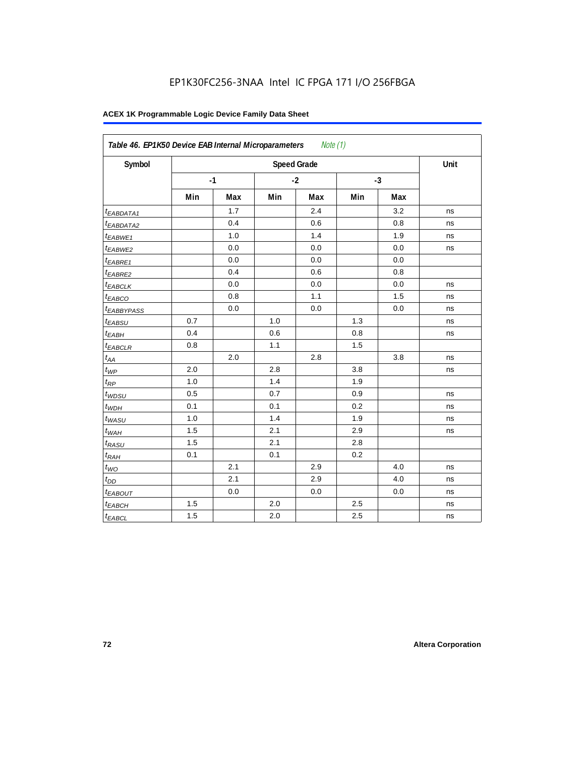| Symbol                  |     |      |      | <b>Speed Grade</b> |      |     | Unit |
|-------------------------|-----|------|------|--------------------|------|-----|------|
|                         |     | $-1$ | $-2$ |                    | $-3$ |     |      |
|                         | Min | Max  | Min  | Max                | Min  | Max |      |
| <sup>t</sup> EABDATA1   |     | 1.7  |      | 2.4                |      | 3.2 | ns   |
| <sup>t</sup> EABDATA2   |     | 0.4  |      | 0.6                |      | 0.8 | ns   |
| t <sub>EABWE1</sub>     |     | 1.0  |      | 1.4                |      | 1.9 | ns   |
| <sup>t</sup> EABWE2     |     | 0.0  |      | 0.0                |      | 0.0 | ns   |
| <sup>t</sup> EABRE1     |     | 0.0  |      | 0.0                |      | 0.0 |      |
| <sup>t</sup> EABRE2     |     | 0.4  |      | 0.6                |      | 0.8 |      |
| <sup>t</sup> EABCLK     |     | 0.0  |      | 0.0                |      | 0.0 | ns   |
| t <sub>EABCO</sub>      |     | 0.8  |      | 1.1                |      | 1.5 | ns   |
| <i><b>EABBYPASS</b></i> |     | 0.0  |      | 0.0                |      | 0.0 | ns   |
| t <sub>EABSU</sub>      | 0.7 |      | 1.0  |                    | 1.3  |     | ns   |
| t <sub>EABH</sub>       | 0.4 |      | 0.6  |                    | 0.8  |     | ns   |
| <sup>t</sup> EABCLR     | 0.8 |      | 1.1  |                    | 1.5  |     |      |
| $t_{AA}$                |     | 2.0  |      | 2.8                |      | 3.8 | ns   |
| $t_{\mathit{WP}}$       | 2.0 |      | 2.8  |                    | 3.8  |     | ns   |
| $t_{RP}$                | 1.0 |      | 1.4  |                    | 1.9  |     |      |
| $t_{WDSU}$              | 0.5 |      | 0.7  |                    | 0.9  |     | ns   |
| $t_{WDH}$               | 0.1 |      | 0.1  |                    | 0.2  |     | ns   |
| $t_{WASU}$              | 1.0 |      | 1.4  |                    | 1.9  |     | ns   |
| $t_{WAH}$               | 1.5 |      | 2.1  |                    | 2.9  |     | ns   |
| t <sub>RASU</sub>       | 1.5 |      | 2.1  |                    | 2.8  |     |      |
| $t_{RAH}$               | 0.1 |      | 0.1  |                    | 0.2  |     |      |
| $t_{WO}$                |     | 2.1  |      | 2.9                |      | 4.0 | ns   |
| $t_{DD}$                |     | 2.1  |      | 2.9                |      | 4.0 | ns   |
| t <sub>EABOUT</sub>     |     | 0.0  |      | 0.0                |      | 0.0 | ns   |
| t <sub>EABCH</sub>      | 1.5 |      | 2.0  |                    | 2.5  |     | ns   |
| $t_{EABCL}$             | 1.5 |      | 2.0  |                    | 2.5  |     | ns   |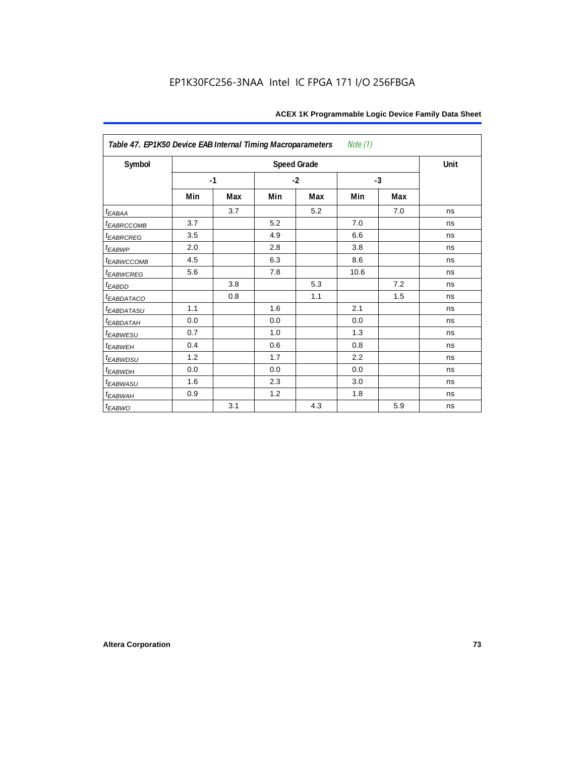| Note $(1)$<br>Table 47. EP1K50 Device EAB Internal Timing Macroparameters |      |     |     |                    |      |      |      |  |  |  |
|---------------------------------------------------------------------------|------|-----|-----|--------------------|------|------|------|--|--|--|
| Symbol                                                                    |      |     |     | <b>Speed Grade</b> |      |      | Unit |  |  |  |
|                                                                           | $-1$ |     |     | $-2$               |      | $-3$ |      |  |  |  |
|                                                                           | Min  | Max | Min | Max                | Min  | Max  |      |  |  |  |
| $t_{EABAA}$                                                               |      | 3.7 |     | 5.2                |      | 7.0  | ns   |  |  |  |
| <b><i>EABRCCOMB</i></b>                                                   | 3.7  |     | 5.2 |                    | 7.0  |      | ns   |  |  |  |
| <b><i>EABRCREG</i></b>                                                    | 3.5  |     | 4.9 |                    | 6.6  |      | ns   |  |  |  |
| $t_{EABWP}$                                                               | 2.0  |     | 2.8 |                    | 3.8  |      | ns   |  |  |  |
| t <sub>EABWCCOMB</sub>                                                    | 4.5  |     | 6.3 |                    | 8.6  |      | ns   |  |  |  |
| <i>EABWCREG</i>                                                           | 5.6  |     | 7.8 |                    | 10.6 |      | ns   |  |  |  |
| $t_{EABDD}$                                                               |      | 3.8 |     | 5.3                |      | 7.2  | ns   |  |  |  |
| <i>EABDATACO</i>                                                          |      | 0.8 |     | 1.1                |      | 1.5  | ns   |  |  |  |
| <i>t<sub>EABDATASU</sub></i>                                              | 1.1  |     | 1.6 |                    | 2.1  |      | ns   |  |  |  |
| <sup>t</sup> EABDATAH                                                     | 0.0  |     | 0.0 |                    | 0.0  |      | ns   |  |  |  |
| t <sub>EABWESU</sub>                                                      | 0.7  |     | 1.0 |                    | 1.3  |      | ns   |  |  |  |
| <sup>t</sup> EABWEH                                                       | 0.4  |     | 0.6 |                    | 0.8  |      | ns   |  |  |  |
| t <sub>EABWDSU</sub>                                                      | 1.2  |     | 1.7 |                    | 2.2  |      | ns   |  |  |  |
| <b><i>EABWDH</i></b>                                                      | 0.0  |     | 0.0 |                    | 0.0  |      | ns   |  |  |  |
| <sup>t</sup> EABWASU                                                      | 1.6  |     | 2.3 |                    | 3.0  |      | ns   |  |  |  |
| t <sub>EABWAH</sub>                                                       | 0.9  |     | 1.2 |                    | 1.8  |      | ns   |  |  |  |
| t <sub>EABWO</sub>                                                        |      | 3.1 |     | 4.3                |      | 5.9  | ns   |  |  |  |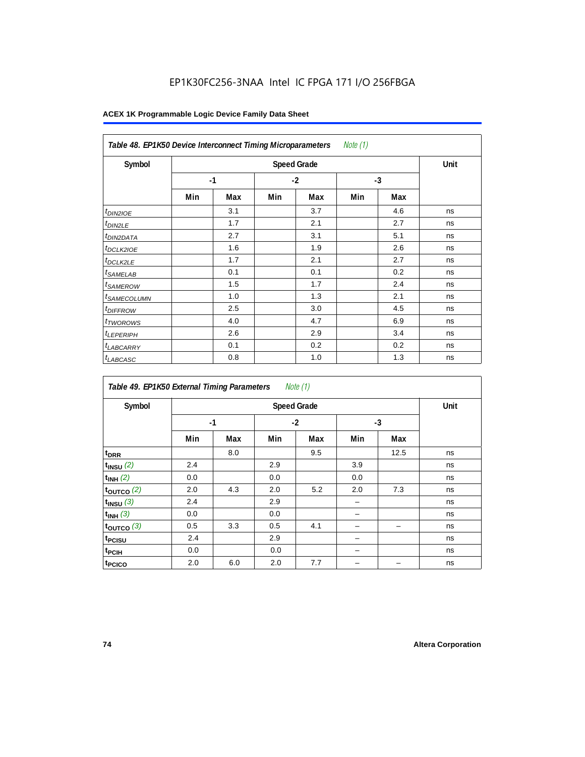### EP1K30FC256-3NAA Intel IC FPGA 171 I/O 256FBGA

| Note $(1)$<br>Table 48. EP1K50 Device Interconnect Timing Microparameters |     |      |      |     |      |     |    |  |  |
|---------------------------------------------------------------------------|-----|------|------|-----|------|-----|----|--|--|
| Symbol                                                                    |     | Unit |      |     |      |     |    |  |  |
|                                                                           |     | $-1$ | $-2$ |     | $-3$ |     |    |  |  |
|                                                                           | Min | Max  | Min  | Max | Min  | Max |    |  |  |
| <i>t<sub>DIN2IOE</sub></i>                                                |     | 3.1  |      | 3.7 |      | 4.6 | ns |  |  |
| <sup>t</sup> DIN2LE                                                       |     | 1.7  |      | 2.1 |      | 2.7 | ns |  |  |
| <sup>t</sup> DIN2DATA                                                     |     | 2.7  |      | 3.1 |      | 5.1 | ns |  |  |
| <sup>t</sup> DCLK2IOE                                                     |     | 1.6  |      | 1.9 |      | 2.6 | ns |  |  |
| <sup>t</sup> DCLK2LE                                                      |     | 1.7  |      | 2.1 |      | 2.7 | ns |  |  |
| <sup>t</sup> SAMELAB                                                      |     | 0.1  |      | 0.1 |      | 0.2 | ns |  |  |
| <sup>t</sup> SAMEROW                                                      |     | 1.5  |      | 1.7 |      | 2.4 | ns |  |  |
| <sup>t</sup> SAMECOLUMN                                                   |     | 1.0  |      | 1.3 |      | 2.1 | ns |  |  |
| <i>t<sub>DIFFROW</sub></i>                                                |     | 2.5  |      | 3.0 |      | 4.5 | ns |  |  |
| <sup>t</sup> TWOROWS                                                      |     | 4.0  |      | 4.7 |      | 6.9 | ns |  |  |
| <sup>t</sup> LEPERIPH                                                     |     | 2.6  |      | 2.9 |      | 3.4 | ns |  |  |
| <sup>t</sup> LABCARRY                                                     |     | 0.1  |      | 0.2 |      | 0.2 | ns |  |  |
| <sup>t</sup> LABCASC                                                      |     | 0.8  |      | 1.0 |      | 1.3 | ns |  |  |

| Note $(1)$<br>Table 49. EP1K50 External Timing Parameters |      |      |     |      |      |      |    |  |  |  |
|-----------------------------------------------------------|------|------|-----|------|------|------|----|--|--|--|
| Symbol                                                    |      | Unit |     |      |      |      |    |  |  |  |
|                                                           | $-1$ |      |     | $-2$ | $-3$ |      |    |  |  |  |
|                                                           | Min  | Max  | Min | Max  | Min  | Max  |    |  |  |  |
| t <sub>DRR</sub>                                          |      | 8.0  |     | 9.5  |      | 12.5 | ns |  |  |  |
| $t_{INSU}$ (2)                                            | 2.4  |      | 2.9 |      | 3.9  |      | ns |  |  |  |
| $t_{INH}$ (2)                                             | 0.0  |      | 0.0 |      | 0.0  |      | ns |  |  |  |
| $t_{OUTCO}$ (2)                                           | 2.0  | 4.3  | 2.0 | 5.2  | 2.0  | 7.3  | ns |  |  |  |
| $t_{INSU}$ (3)                                            | 2.4  |      | 2.9 |      |      |      | ns |  |  |  |
| $t_{INH}$ (3)                                             | 0.0  |      | 0.0 |      |      |      | ns |  |  |  |
| $t_{OUTCO}$ (3)                                           | 0.5  | 3.3  | 0.5 | 4.1  |      |      | ns |  |  |  |
| t <sub>PCISU</sub>                                        | 2.4  |      | 2.9 |      |      |      | ns |  |  |  |
| t <sub>PCIH</sub>                                         | 0.0  |      | 0.0 |      |      |      | ns |  |  |  |
| t <sub>PCICO</sub>                                        | 2.0  | 6.0  | 2.0 | 7.7  |      |      | ns |  |  |  |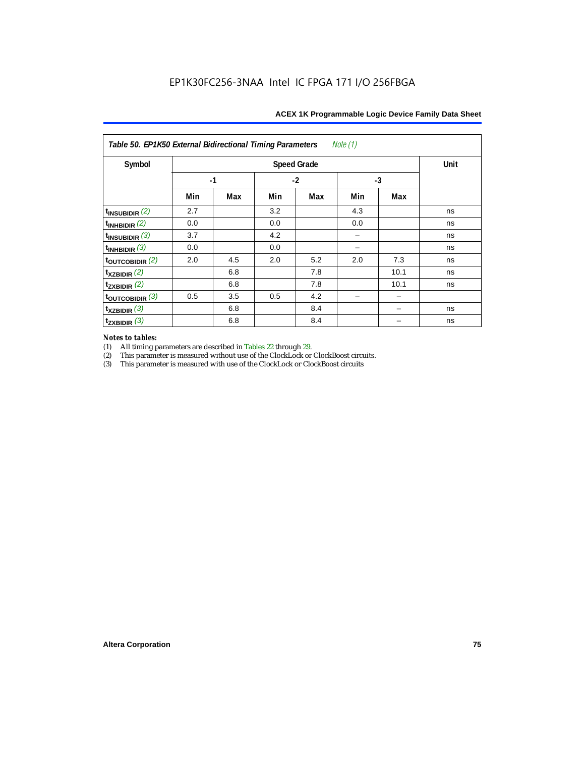| Note (1)<br>Table 50. EP1K50 External Bidirectional Timing Parameters |      |      |     |      |      |      |    |  |  |  |
|-----------------------------------------------------------------------|------|------|-----|------|------|------|----|--|--|--|
| Symbol                                                                |      | Unit |     |      |      |      |    |  |  |  |
|                                                                       | $-1$ |      |     | $-2$ | $-3$ |      |    |  |  |  |
|                                                                       | Min  | Max  | Min | Max  | Min  | Max  |    |  |  |  |
| $t_{INSUBIDIR}$ (2)                                                   | 2.7  |      | 3.2 |      | 4.3  |      | ns |  |  |  |
| $t_{INHBIDIR}$ (2)                                                    | 0.0  |      | 0.0 |      | 0.0  |      | ns |  |  |  |
| $t_{INSUBIDIR}$ (3)                                                   | 3.7  |      | 4.2 |      |      |      | ns |  |  |  |
| $t_{INHBIDIR}$ (3)                                                    | 0.0  |      | 0.0 |      |      |      | ns |  |  |  |
| toutcobidir $(2)$                                                     | 2.0  | 4.5  | 2.0 | 5.2  | 2.0  | 7.3  | ns |  |  |  |
| $t_{XZBIDIR}$ (2)                                                     |      | 6.8  |     | 7.8  |      | 10.1 | ns |  |  |  |
| $t_{ZXBIDIR}$ (2)                                                     |      | 6.8  |     | 7.8  |      | 10.1 | ns |  |  |  |
| $t_{\text{OUTCOBIDIR}}$ (3)                                           | 0.5  | 3.5  | 0.5 | 4.2  |      |      |    |  |  |  |
| $t_{XZBIDIR}$ (3)                                                     |      | 6.8  |     | 8.4  |      |      | ns |  |  |  |
| $t_{ZXBIDIR}$ (3)                                                     |      | 6.8  |     | 8.4  |      |      | ns |  |  |  |

# *Notes to tables:*

(1) All timing parameters are described in Tables 22 through 29.<br>
(2) This parameter is measured without use of the ClockLock or

(2) This parameter is measured without use of the ClockLock or ClockBoost circuits.<br>
(3) This parameter is measured with use of the ClockLock or ClockBoost circuits

 $\!$  This parameter is measured with use of the ClockLock or ClockBoost circuits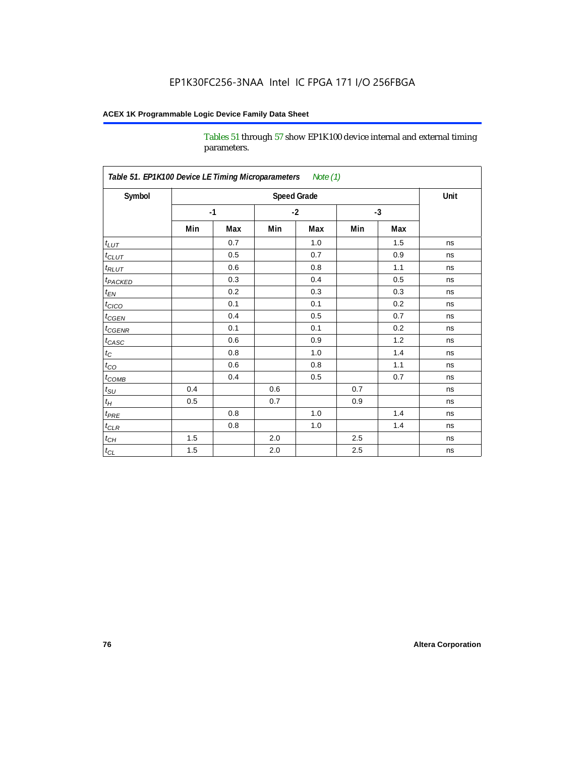Tables 51 through 57 show EP1K100 device internal and external timing parameters.

| Symbol                     |     |      | <b>Speed Grade</b> |      |     |      | Unit |
|----------------------------|-----|------|--------------------|------|-----|------|------|
|                            |     | $-1$ |                    | $-2$ |     | $-3$ |      |
|                            | Min | Max  | Min                | Max  | Min | Max  |      |
| $t_{LUT}$                  |     | 0.7  |                    | 1.0  |     | 1.5  | ns   |
| $t_{CLUT}$                 |     | 0.5  |                    | 0.7  |     | 0.9  | ns   |
| $t_{RLUT}$                 |     | 0.6  |                    | 0.8  |     | 1.1  | ns   |
| <b>t</b> <sub>PACKED</sub> |     | 0.3  |                    | 0.4  |     | 0.5  | ns   |
| $t_{EN}$                   |     | 0.2  |                    | 0.3  |     | 0.3  | ns   |
| $t_{CICO}$                 |     | 0.1  |                    | 0.1  |     | 0.2  | ns   |
| $t_{\text{CGEN}}$          |     | 0.4  |                    | 0.5  |     | 0.7  | ns   |
| $t_{GENR}$                 |     | 0.1  |                    | 0.1  |     | 0.2  | ns   |
| $t_{CASC}$                 |     | 0.6  |                    | 0.9  |     | 1.2  | ns   |
| $t_C$                      |     | 0.8  |                    | 1.0  |     | 1.4  | ns   |
| $t_{\rm CO}$               |     | 0.6  |                    | 0.8  |     | 1.1  | ns   |
| $t$ <sub>COMB</sub>        |     | 0.4  |                    | 0.5  |     | 0.7  | ns   |
| $t_{\rm SU}$               | 0.4 |      | 0.6                |      | 0.7 |      | ns   |
| $t_H\,$                    | 0.5 |      | 0.7                |      | 0.9 |      | ns   |
| $t_{PRE}$                  |     | 0.8  |                    | 1.0  |     | 1.4  | ns   |
| $t_{CLR}$                  |     | 0.8  |                    | 1.0  |     | 1.4  | ns   |
| $t_{CH}$                   | 1.5 |      | 2.0                |      | 2.5 |      | ns   |
| $t_{CL}$                   | 1.5 |      | $2.0\,$            |      | 2.5 |      | ns   |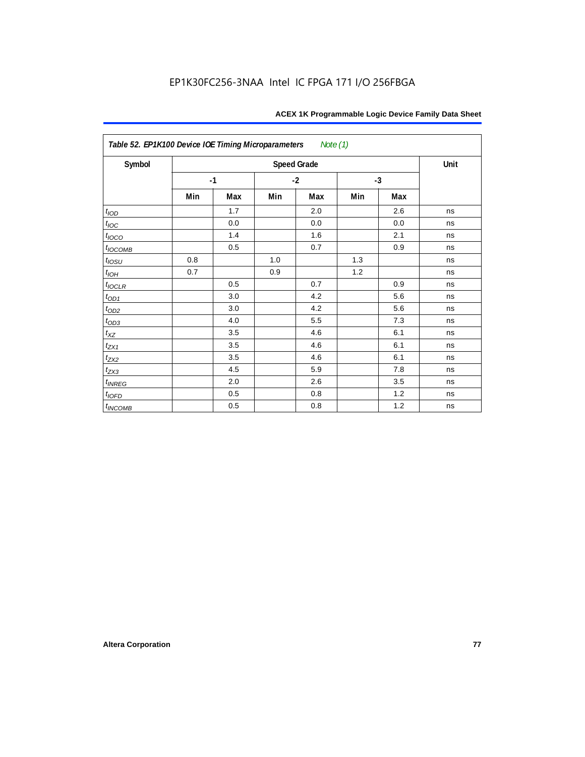| Table 52. EP1K100 Device IOE Timing Microparameters<br>Note (1) |      |     |      |                    |      |     |      |  |  |  |
|-----------------------------------------------------------------|------|-----|------|--------------------|------|-----|------|--|--|--|
| Symbol                                                          |      |     |      | <b>Speed Grade</b> |      |     | Unit |  |  |  |
|                                                                 | $-1$ |     | $-2$ |                    | $-3$ |     |      |  |  |  |
|                                                                 | Min  | Max | Min  | Max                | Min  | Max |      |  |  |  |
| t <sub>IOD</sub>                                                |      | 1.7 |      | 2.0                |      | 2.6 | ns   |  |  |  |
| $t_{\text{IOC}}$                                                |      | 0.0 |      | 0.0                |      | 0.0 | ns   |  |  |  |
| $t_{IOCO}$                                                      |      | 1.4 |      | 1.6                |      | 2.1 | ns   |  |  |  |
| $t_{IOCOMB}$                                                    |      | 0.5 |      | 0.7                |      | 0.9 | ns   |  |  |  |
| $t_{IOSU}$                                                      | 0.8  |     | 1.0  |                    | 1.3  |     | ns   |  |  |  |
| $t_{IOH}$                                                       | 0.7  |     | 0.9  |                    | 1.2  |     | ns   |  |  |  |
| $t_{IOCLR}$                                                     |      | 0.5 |      | 0.7                |      | 0.9 | ns   |  |  |  |
| $t_{OD1}$                                                       |      | 3.0 |      | 4.2                |      | 5.6 | ns   |  |  |  |
| $t_{OD2}$                                                       |      | 3.0 |      | 4.2                |      | 5.6 | ns   |  |  |  |
| $t_{OD3}$                                                       |      | 4.0 |      | 5.5                |      | 7.3 | ns   |  |  |  |
| $t_{XZ}$                                                        |      | 3.5 |      | 4.6                |      | 6.1 | ns   |  |  |  |
| $t_{ZX1}$                                                       |      | 3.5 |      | 4.6                |      | 6.1 | ns   |  |  |  |
| $t_{ZX2}$                                                       |      | 3.5 |      | 4.6                |      | 6.1 | ns   |  |  |  |
| $t_{ZX3}$                                                       |      | 4.5 |      | 5.9                |      | 7.8 | ns   |  |  |  |
| $t_{INREG}$                                                     |      | 2.0 |      | 2.6                |      | 3.5 | ns   |  |  |  |
| $t_{IOFD}$                                                      |      | 0.5 |      | 0.8                |      | 1.2 | ns   |  |  |  |
| $t_{INCOMB}$                                                    |      | 0.5 |      | 0.8                |      | 1.2 | ns   |  |  |  |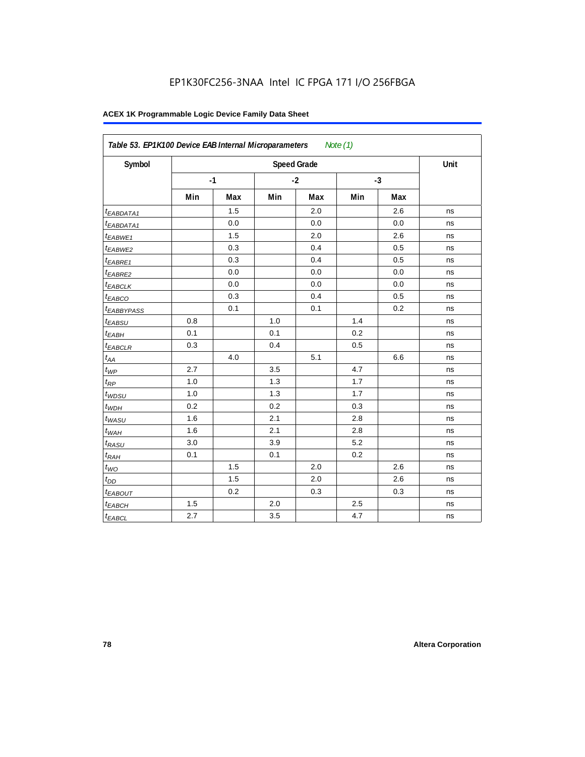| Symbol                  |     |      |     | <b>Speed Grade</b> |     |      | Unit |
|-------------------------|-----|------|-----|--------------------|-----|------|------|
|                         |     | $-1$ |     | $-2$               |     | $-3$ |      |
|                         | Min | Max  | Min | Max                | Min | Max  |      |
| <sup>t</sup> EABDATA1   |     | 1.5  |     | 2.0                |     | 2.6  | ns   |
| <sup>t</sup> EABDATA1   |     | 0.0  |     | 0.0                |     | 0.0  | ns   |
| t <sub>EABWE1</sub>     |     | 1.5  |     | 2.0                |     | 2.6  | ns   |
| <sup>t</sup> EABWE2     |     | 0.3  |     | 0.4                |     | 0.5  | ns   |
| <sup>t</sup> EABRE1     |     | 0.3  |     | 0.4                |     | 0.5  | ns   |
| <sup>t</sup> EABRE2     |     | 0.0  |     | 0.0                |     | 0.0  | ns   |
| <sup>t</sup> EABCLK     |     | 0.0  |     | 0.0                |     | 0.0  | ns   |
| t <sub>EABCO</sub>      |     | 0.3  |     | 0.4                |     | 0.5  | ns   |
| <i><b>EABBYPASS</b></i> |     | 0.1  |     | 0.1                |     | 0.2  | ns   |
| t <sub>EABSU</sub>      | 0.8 |      | 1.0 |                    | 1.4 |      | ns   |
| t <sub>EABH</sub>       | 0.1 |      | 0.1 |                    | 0.2 |      | ns   |
| <sup>t</sup> EABCLR     | 0.3 |      | 0.4 |                    | 0.5 |      | ns   |
| $t_{AA}$                |     | 4.0  |     | 5.1                |     | 6.6  | ns   |
| $t_{\mathit{WP}}$       | 2.7 |      | 3.5 |                    | 4.7 |      | ns   |
| $t_{RP}$                | 1.0 |      | 1.3 |                    | 1.7 |      | ns   |
| $t_{WDSU}$              | 1.0 |      | 1.3 |                    | 1.7 |      | ns   |
| $t_{WDH}$               | 0.2 |      | 0.2 |                    | 0.3 |      | ns   |
| $t_{WASU}$              | 1.6 |      | 2.1 |                    | 2.8 |      | ns   |
| $t_{WAH}$               | 1.6 |      | 2.1 |                    | 2.8 |      | ns   |
| t <sub>RASU</sub>       | 3.0 |      | 3.9 |                    | 5.2 |      | ns   |
| $t_{RAH}$               | 0.1 |      | 0.1 |                    | 0.2 |      | ns   |
| $t_{WO}$                |     | 1.5  |     | 2.0                |     | 2.6  | ns   |
| $t_{DD}$                |     | 1.5  |     | 2.0                |     | 2.6  | ns   |
| t <sub>EABOUT</sub>     |     | 0.2  |     | 0.3                |     | 0.3  | ns   |
| t <sub>EABCH</sub>      | 1.5 |      | 2.0 |                    | 2.5 |      | ns   |
| $t_{EABCL}$             | 2.7 |      | 3.5 |                    | 4.7 |      | ns   |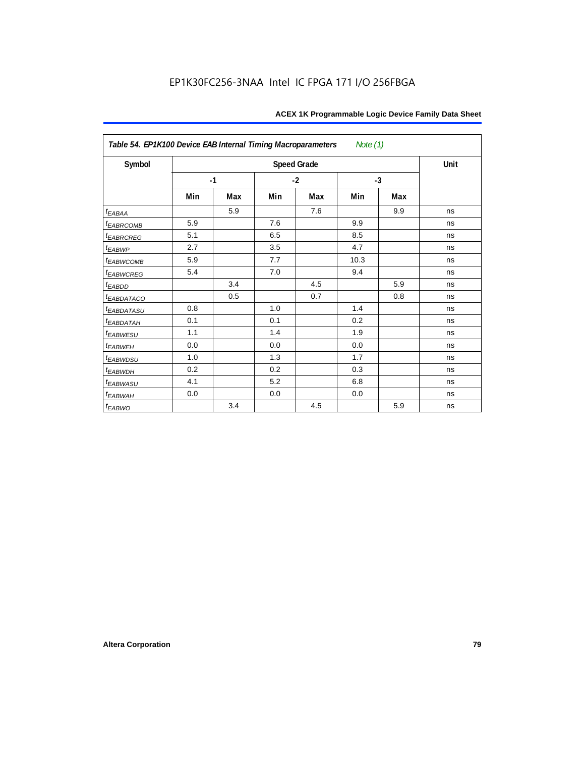| Table 54. EP1K100 Device EAB Internal Timing Macroparameters<br>Note $(1)$ |      |     |      |                    |      |     |      |  |  |
|----------------------------------------------------------------------------|------|-----|------|--------------------|------|-----|------|--|--|
| Symbol                                                                     |      |     |      | <b>Speed Grade</b> |      |     | Unit |  |  |
|                                                                            | $-1$ |     | $-2$ |                    | $-3$ |     |      |  |  |
|                                                                            | Min  | Max | Min  | Max                | Min  | Max |      |  |  |
| $t_{E\underline{ABA}\underline{A}}$                                        |      | 5.9 |      | 7.6                |      | 9.9 | ns   |  |  |
| <b><i>EABRCOMB</i></b>                                                     | 5.9  |     | 7.6  |                    | 9.9  |     | ns   |  |  |
| <b><i>EABRCREG</i></b>                                                     | 5.1  |     | 6.5  |                    | 8.5  |     | ns   |  |  |
| $t_{EABWP}$                                                                | 2.7  |     | 3.5  |                    | 4.7  |     | ns   |  |  |
| <sup>t</sup> ЕАВWСОМВ                                                      | 5.9  |     | 7.7  |                    | 10.3 |     | ns   |  |  |
| t <sub>EABWCREG</sub>                                                      | 5.4  |     | 7.0  |                    | 9.4  |     | ns   |  |  |
| $t_{EABDD}$                                                                |      | 3.4 |      | 4.5                |      | 5.9 | ns   |  |  |
| <b><i>EABDATACO</i></b>                                                    |      | 0.5 |      | 0.7                |      | 0.8 | ns   |  |  |
| t <sub>eabdatasu</sub>                                                     | 0.8  |     | 1.0  |                    | 1.4  |     | ns   |  |  |
| <sup>t</sup> EABDATAH                                                      | 0.1  |     | 0.1  |                    | 0.2  |     | ns   |  |  |
| t <sub>EABWESU</sub>                                                       | 1.1  |     | 1.4  |                    | 1.9  |     | ns   |  |  |
| t <sub>EABWEH</sub>                                                        | 0.0  |     | 0.0  |                    | 0.0  |     | ns   |  |  |
| t <sub>EABWDSU</sub>                                                       | 1.0  |     | 1.3  |                    | 1.7  |     | ns   |  |  |
| t <sub>EABWDH</sub>                                                        | 0.2  |     | 0.2  |                    | 0.3  |     | ns   |  |  |
| <sup>t</sup> EABWASU                                                       | 4.1  |     | 5.2  |                    | 6.8  |     | ns   |  |  |
| t <sub>EABWAH</sub>                                                        | 0.0  |     | 0.0  |                    | 0.0  |     | ns   |  |  |
| $t_{EABWO}$                                                                |      | 3.4 |      | 4.5                |      | 5.9 | ns   |  |  |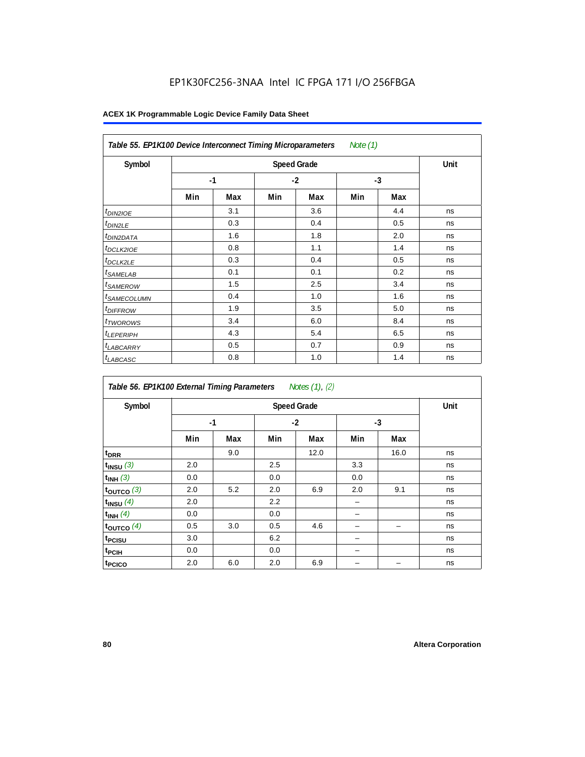### EP1K30FC256-3NAA Intel IC FPGA 171 I/O 256FBGA

| Table 55. EP1K100 Device Interconnect Timing Microparameters<br>Note (1) |      |     |     |                    |      |     |      |  |  |
|--------------------------------------------------------------------------|------|-----|-----|--------------------|------|-----|------|--|--|
| Symbol                                                                   |      |     |     | <b>Speed Grade</b> |      |     | Unit |  |  |
|                                                                          | $-1$ |     |     | $-2$               | $-3$ |     |      |  |  |
|                                                                          | Min  | Max | Min | Max                | Min  | Max |      |  |  |
| $t_{DIN2IOE}$                                                            |      | 3.1 |     | 3.6                |      | 4.4 | ns   |  |  |
| <sup>t</sup> DIN2LE                                                      |      | 0.3 |     | 0.4                |      | 0.5 | ns   |  |  |
| <sup>t</sup> DIN2DATA                                                    |      | 1.6 |     | 1.8                |      | 2.0 | ns   |  |  |
| <sup>t</sup> DCLK2IOE                                                    |      | 0.8 |     | 1.1                |      | 1.4 | ns   |  |  |
| <sup>t</sup> DCLK2LE                                                     |      | 0.3 |     | 0.4                |      | 0.5 | ns   |  |  |
| <sup>t</sup> SAMELAB                                                     |      | 0.1 |     | 0.1                |      | 0.2 | ns   |  |  |
| <sup>t</sup> SAMEROW                                                     |      | 1.5 |     | 2.5                |      | 3.4 | ns   |  |  |
| <sup>t</sup> SAMECOLUMN                                                  |      | 0.4 |     | 1.0                |      | 1.6 | ns   |  |  |
| <i><b>IDIFFROW</b></i>                                                   |      | 1.9 |     | 3.5                |      | 5.0 | ns   |  |  |
| <sup>t</sup> TWOROWS                                                     |      | 3.4 |     | 6.0                |      | 8.4 | ns   |  |  |
| <sup>t</sup> LEPERIPH                                                    |      | 4.3 |     | 5.4                |      | 6.5 | ns   |  |  |
| <sup>t</sup> LABCARRY                                                    |      | 0.5 |     | 0.7                |      | 0.9 | ns   |  |  |
| <sup>t</sup> LABCASC                                                     |      | 0.8 |     | 1.0                |      | 1.4 | ns   |  |  |

| Table 56. EP1K100 External Timing Parameters<br>Notes (1), (2) |      |     |     |                    |      |      |      |  |  |  |
|----------------------------------------------------------------|------|-----|-----|--------------------|------|------|------|--|--|--|
| Symbol                                                         |      |     |     | <b>Speed Grade</b> |      |      | Unit |  |  |  |
|                                                                | $-1$ |     |     | $-2$               | $-3$ |      |      |  |  |  |
|                                                                | Min  | Max | Min | Max                | Min  | Max  |      |  |  |  |
| t <sub>DRR</sub>                                               |      | 9.0 |     | 12.0               |      | 16.0 | ns   |  |  |  |
| $t_{INSU}$ (3)                                                 | 2.0  |     | 2.5 |                    | 3.3  |      | ns   |  |  |  |
| $t_{INH}$ (3)                                                  | 0.0  |     | 0.0 |                    | 0.0  |      | ns   |  |  |  |
| $t_{OUTCO}$ (3)                                                | 2.0  | 5.2 | 2.0 | 6.9                | 2.0  | 9.1  | ns   |  |  |  |
| $t_{INSU}$ (4)                                                 | 2.0  |     | 2.2 |                    |      |      | ns   |  |  |  |
| $t_{INH}$ (4)                                                  | 0.0  |     | 0.0 |                    |      |      | ns   |  |  |  |
| toutco $(4)$                                                   | 0.5  | 3.0 | 0.5 | 4.6                |      |      | ns   |  |  |  |
| t <sub>PCISU</sub>                                             | 3.0  |     | 6.2 |                    |      |      | ns   |  |  |  |
| t <sub>PCIH</sub>                                              | 0.0  |     | 0.0 |                    |      |      | ns   |  |  |  |
| t <sub>PCICO</sub>                                             | 2.0  | 6.0 | 2.0 | 6.9                |      |      | ns   |  |  |  |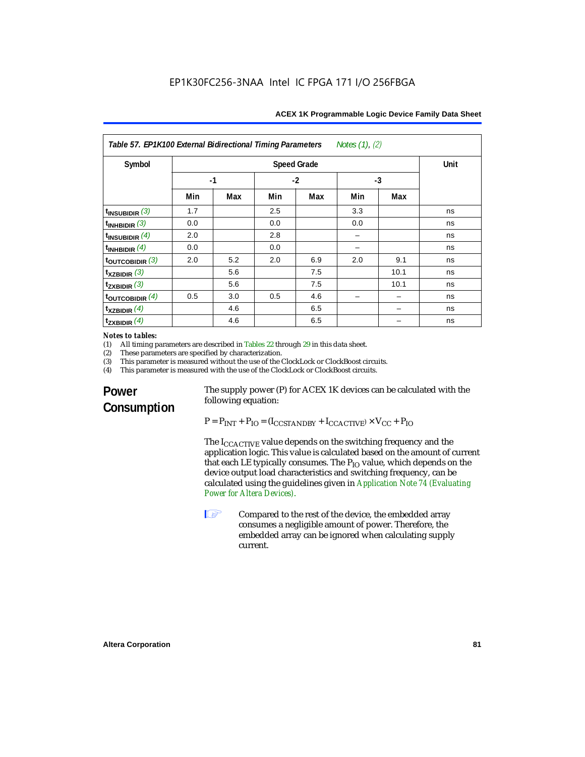| Table 57. EP1K100 External Bidirectional Timing Parameters<br>Notes $(1)$ , $(2)$ |                                   |     |      |     |      |      |    |
|-----------------------------------------------------------------------------------|-----------------------------------|-----|------|-----|------|------|----|
| Symbol                                                                            | <b>Speed Grade</b><br><b>Unit</b> |     |      |     |      |      |    |
|                                                                                   | $-1$                              |     | $-2$ |     | $-3$ |      |    |
|                                                                                   | Min                               | Max | Min  | Max | Min  | Max  |    |
| $t_{INSUBIDIR}$ (3)                                                               | 1.7                               |     | 2.5  |     | 3.3  |      | ns |
| $t_{INHBIDIR}$ (3)                                                                | 0.0                               |     | 0.0  |     | 0.0  |      | ns |
| $t_{INSUBIDIR}(4)$                                                                | 2.0                               |     | 2.8  |     |      |      | ns |
| $t_{INHBIDIR}$ (4)                                                                | 0.0                               |     | 0.0  |     |      |      | ns |
| $t_{\text{OUTCOBIDIR}}$ (3)                                                       | 2.0                               | 5.2 | 2.0  | 6.9 | 2.0  | 9.1  | ns |
| $\mathbf{t}_{\text{XZBIDIR}}$ (3)                                                 |                                   | 5.6 |      | 7.5 |      | 10.1 | ns |
| $t_{ZXBIDIR}$ (3)                                                                 |                                   | 5.6 |      | 7.5 |      | 10.1 | ns |
| $t_{\text{OUTCOBIDIR}}$ (4)                                                       | 0.5                               | 3.0 | 0.5  | 4.6 |      |      | ns |
| $\mathsf{t}_{\mathsf{XZBIDIR}}$ (4)                                               |                                   | 4.6 |      | 6.5 |      |      | ns |
| $t_{ZXBIDIR}$ (4)                                                                 |                                   | 4.6 |      | 6.5 |      |      | ns |

## *Notes to tables:*<br>(1) All timing p

(1) All timing parameters are described in Tables 22 through  $29$  in this data sheet.<br>(2) These parameters are specified by characterization.

(2) These parameters are specified by characterization.<br>(3) This parameter is measured without the use of the C

(3) This parameter is measured without the use of the ClockLock or ClockBoost circuits.<br>(4) This parameter is measured with the use of the ClockLock or ClockBoost circuits.

This parameter is measured with the use of the ClockLock or ClockBoost circuits.

### **Power Consumption**

The supply power (P) for ACEX 1K devices can be calculated with the following equation:

 $P = P_{INT} + P_{IO} = (I_{CCSTANDBY} + I_{CCACTIVE}) \times V_{CC} + P_{IO}$ 

The I<sub>CCACTIVE</sub> value depends on the switching frequency and the application logic. This value is calculated based on the amount of current that each LE typically consumes. The  $P_{IO}$  value, which depends on the device output load characteristics and switching frequency, can be calculated using the guidelines given in *Application Note 74 (Evaluating Power for Altera Devices)*.

**1 Compared to the rest of the device, the embedded array** consumes a negligible amount of power. Therefore, the embedded array can be ignored when calculating supply current.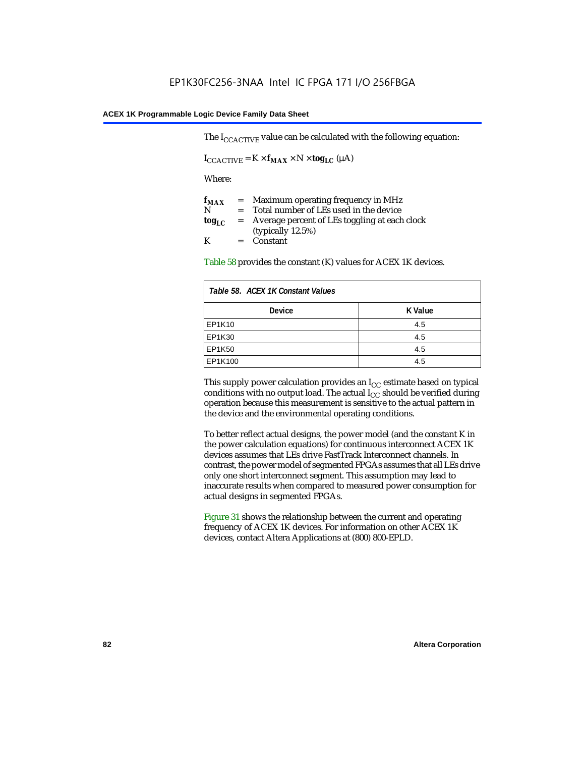The  $I_{CCACTIVE}$  value can be calculated with the following equation:

 $I_{\text{CCACTIVE}} = K \times f_{\text{MAX}} \times N \times \text{tog}_{\text{LC}} (\mu A)$ 

Where:

| $f_{MAX}$  | $=$     | Maximum operating frequency in MHz            |
|------------|---------|-----------------------------------------------|
| N          | $=$ $-$ | Total number of LEs used in the device        |
| $log_{LC}$ | $=$     | Average percent of LEs toggling at each clock |
|            |         | (typically $12.5\%$ )                         |
| K          |         | $=$ Constant                                  |

Table 58 provides the constant (K) values for ACEX 1K devices.

| Table 58. ACEX 1K Constant Values |         |  |
|-----------------------------------|---------|--|
| <b>Device</b>                     | K Value |  |
| EP1K10                            | 4.5     |  |
| EP1K30                            | 4.5     |  |
| <b>EP1K50</b>                     | 4.5     |  |
| EP1K100                           | 4.5     |  |

This supply power calculation provides an  $I_{CC}$  estimate based on typical conditions with no output load. The actual  $I_{CC}$  should be verified during operation because this measurement is sensitive to the actual pattern in the device and the environmental operating conditions.

To better reflect actual designs, the power model (and the constant K in the power calculation equations) for continuous interconnect ACEX 1K devices assumes that LEs drive FastTrack Interconnect channels. In contrast, the power model of segmented FPGAs assumes that all LEs drive only one short interconnect segment. This assumption may lead to inaccurate results when compared to measured power consumption for actual designs in segmented FPGAs.

Figure 31 shows the relationship between the current and operating frequency of ACEX 1K devices. For information on other ACEX 1K devices, contact Altera Applications at (800) 800-EPLD.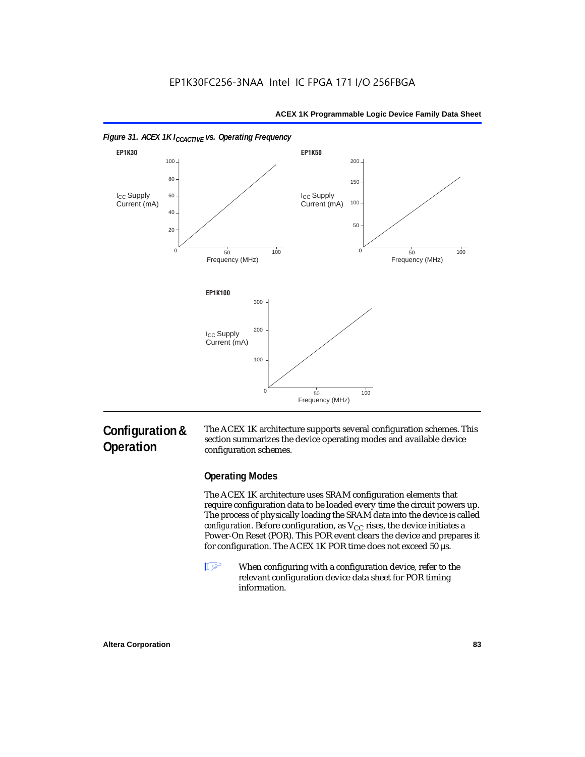

### *Figure 31. ACEX 1K I<sub>CCACTIVE</sub> vs. Operating Frequency*

### **Configuration & Operation**

The ACEX 1K architecture supports several configuration schemes. This section summarizes the device operating modes and available device configuration schemes.

### **Operating Modes**

The ACEX 1K architecture uses SRAM configuration elements that require configuration data to be loaded every time the circuit powers up. The process of physically loading the SRAM data into the device is called *configuration*. Before configuration, as  $V_{CC}$  rises, the device initiates a Power-On Reset (POR). This POR event clears the device and prepares it for configuration. The ACEX 1K POR time does not exceed 50 µs.

**1** When configuring with a configuration device, refer to the relevant configuration device data sheet for POR timing information.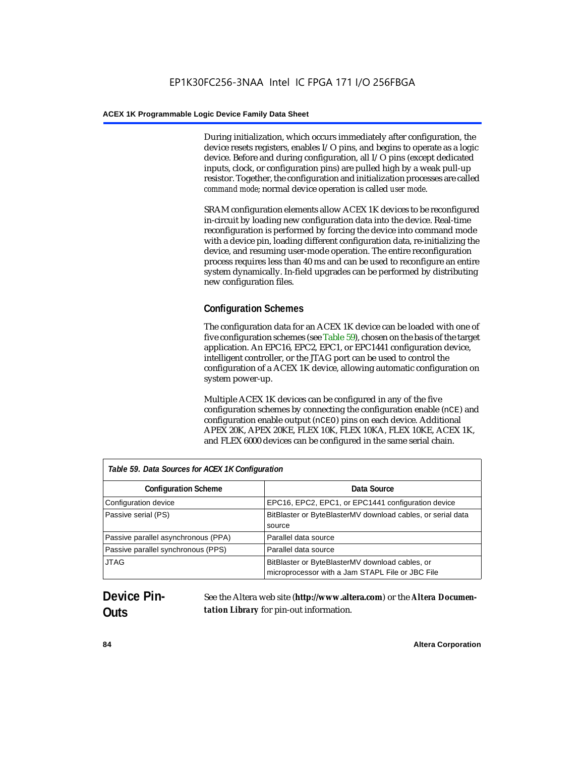During initialization, which occurs immediately after configuration, the device resets registers, enables I/O pins, and begins to operate as a logic device. Before and during configuration, all I/O pins (except dedicated inputs, clock, or configuration pins) are pulled high by a weak pull-up resistor. Together, the configuration and initialization processes are called *command mode*; normal device operation is called *user mode*.

SRAM configuration elements allow ACEX 1K devices to be reconfigured in-circuit by loading new configuration data into the device. Real-time reconfiguration is performed by forcing the device into command mode with a device pin, loading different configuration data, re-initializing the device, and resuming user-mode operation. The entire reconfiguration process requires less than 40 ms and can be used to reconfigure an entire system dynamically. In-field upgrades can be performed by distributing new configuration files.

### **Configuration Schemes**

The configuration data for an ACEX 1K device can be loaded with one of five configuration schemes (see Table 59), chosen on the basis of the target application. An EPC16, EPC2, EPC1, or EPC1441 configuration device, intelligent controller, or the JTAG port can be used to control the configuration of a ACEX 1K device, allowing automatic configuration on system power-up.

Multiple ACEX 1K devices can be configured in any of the five configuration schemes by connecting the configuration enable (nCE) and configuration enable output (nCEO) pins on each device. Additional APEX 20K, APEX 20KE, FLEX 10K, FLEX 10KA, FLEX 10KE, ACEX 1K, and FLEX 6000 devices can be configured in the same serial chain.

| Table 59. Data Sources for ACEX 1K Configuration |                                                                                                     |  |
|--------------------------------------------------|-----------------------------------------------------------------------------------------------------|--|
| <b>Configuration Scheme</b>                      | Data Source                                                                                         |  |
| Configuration device                             | EPC16, EPC2, EPC1, or EPC1441 configuration device                                                  |  |
| Passive serial (PS)                              | BitBlaster or ByteBlasterMV download cables, or serial data<br>source                               |  |
| Passive parallel asynchronous (PPA)              | Parallel data source                                                                                |  |
| Passive parallel synchronous (PPS)               | Parallel data source                                                                                |  |
| <b>JTAG</b>                                      | BitBlaster or ByteBlasterMV download cables, or<br>microprocessor with a Jam STAPL File or JBC File |  |

## **Device Pin-Outs**

See the Altera web site (**http://www.altera.com**) or the *Altera Documentation Library* for pin-out information.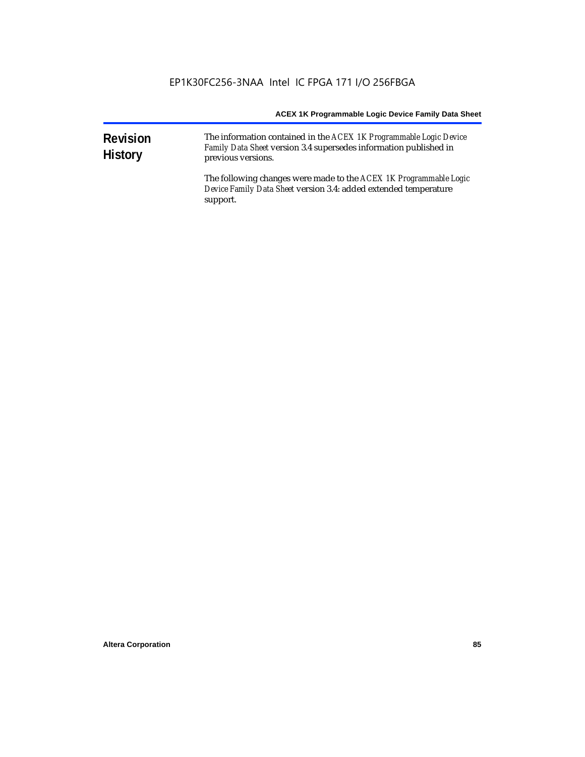| <b>Revision</b><br><b>History</b> | The information contained in the ACEX 1K Programmable Logic Device<br>Family Data Sheet version 3.4 supersedes information published in<br>previous versions. |  |  |
|-----------------------------------|---------------------------------------------------------------------------------------------------------------------------------------------------------------|--|--|
|                                   | The following changes were made to the ACEX 1K Programmable Logic<br>Device Family Data Sheet version 3.4: added extended temperature<br>support.             |  |  |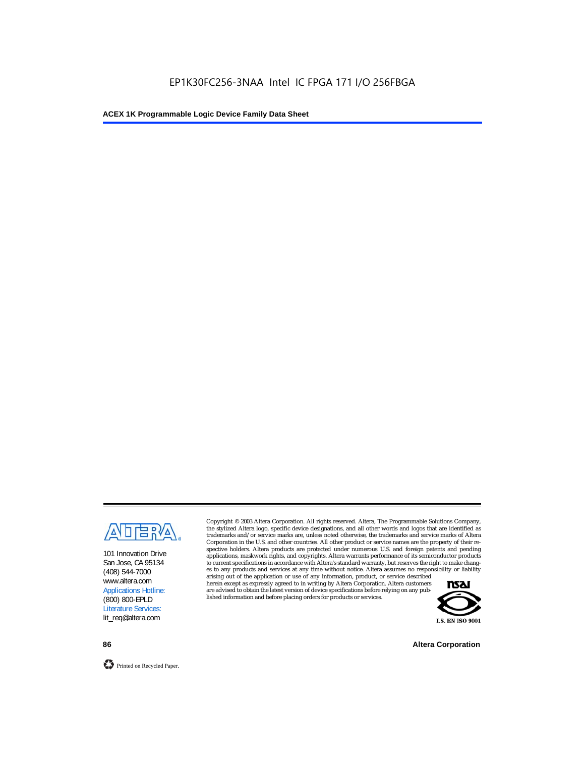

101 Innovation Drive San Jose, CA 95134 (408) 544-7000 www.altera.com Applications Hotline: (800) 800-EPLD Literature Services: lit\_req@altera.com

Copyright © 2003 Altera Corporation. All rights reserved. Altera, The Programmable Solutions Company, the stylized Altera logo, specific device designations, and all other words and logos that are identified as trademarks and/or service marks are, unless noted otherwise, the trademarks and service marks of Altera Corporation in the U.S. and other countries. All other product or service names are the property of their respective holders. Altera products are protected under numerous U.S. and foreign patents and pending applications, maskwork rights, and copyrights. Altera warrants performance of its semiconductor products to current specifications in accordance with Altera's standard warranty, but reserves the right to make changes to any products and services at any time without notice. Altera assumes no responsibility or liability

arising out of the application or use of any information, product, or service described herein except as expressly agreed to in writing by Altera Corporation. Altera customers are advised to obtain the latest version of device specifications before relying on any published information and before placing orders for products or services.



**86 Altera Corporation**